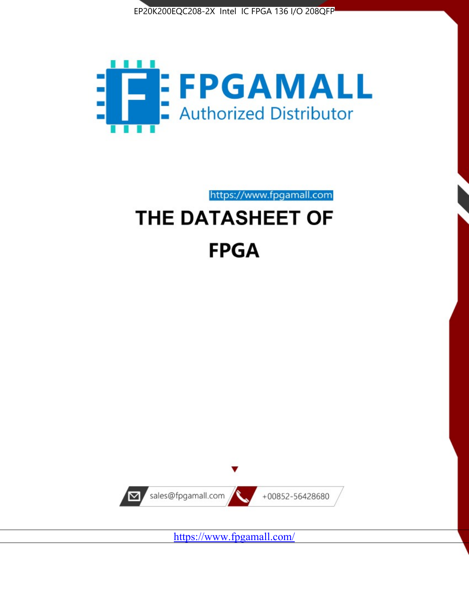



https://www.fpgamall.com

# THE DATASHEET OF **FPGA**



<https://www.fpgamall.com/>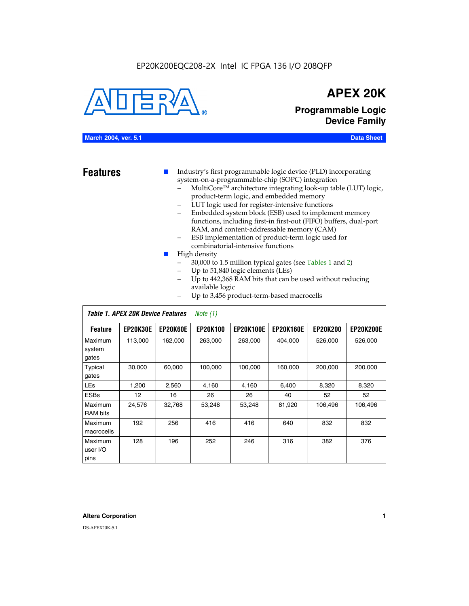### EP20K200EQC208-2X Intel IC FPGA 136 I/O 208QFP



## **APEX 20K**

**Programmable Logic Device Family**

#### **March 2004, ver. 5.1 Data Sheet**

**Features ■** Industry's first programmable logic device (PLD) incorporating system-on-a-programmable-chip (SOPC) integration

- MultiCore™ architecture integrating look-up table (LUT) logic, product-term logic, and embedded memory
- LUT logic used for register-intensive functions
- Embedded system block (ESB) used to implement memory functions, including first-in first-out (FIFO) buffers, dual-port RAM, and content-addressable memory (CAM)
- ESB implementation of product-term logic used for combinatorial-intensive functions
- High density
	- 30,000 to 1.5 million typical gates (see Tables 1 and 2)
	- Up to 51,840 logic elements (LEs)
	- Up to 442,368 RAM bits that can be used without reducing available logic
	- Up to 3,456 product-term-based macrocells

|                             | Table 1. APEX 20K Device Features<br>Note $(1)$ |                 |                 |                  |                  |                 |                  |  |  |  |
|-----------------------------|-------------------------------------------------|-----------------|-----------------|------------------|------------------|-----------------|------------------|--|--|--|
| <b>Feature</b>              | <b>EP20K30E</b>                                 | <b>EP20K60E</b> | <b>EP20K100</b> | <b>EP20K100E</b> | <b>EP20K160E</b> | <b>EP20K200</b> | <b>EP20K200E</b> |  |  |  |
| Maximum<br>system<br>gates  | 113,000                                         | 162,000         | 263.000         | 263,000          | 404.000          | 526,000         | 526,000          |  |  |  |
| Typical<br>gates            | 30,000                                          | 60,000          | 100,000         | 100,000          | 160,000          | 200,000         | 200,000          |  |  |  |
| <b>LEs</b>                  | 1,200                                           | 2,560           | 4,160           | 4,160            | 6.400            | 8,320           | 8,320            |  |  |  |
| <b>ESBs</b>                 | 12                                              | 16              | 26              | 26               | 40               | 52              | 52               |  |  |  |
| Maximum<br><b>RAM</b> bits  | 24,576                                          | 32,768          | 53,248          | 53,248           | 81,920           | 106,496         | 106,496          |  |  |  |
| Maximum<br>macrocells       | 192                                             | 256             | 416             | 416              | 640              | 832             | 832              |  |  |  |
| Maximum<br>user I/O<br>pins | 128                                             | 196             | 252             | 246              | 316              | 382             | 376              |  |  |  |

#### **Altera Corporation 1**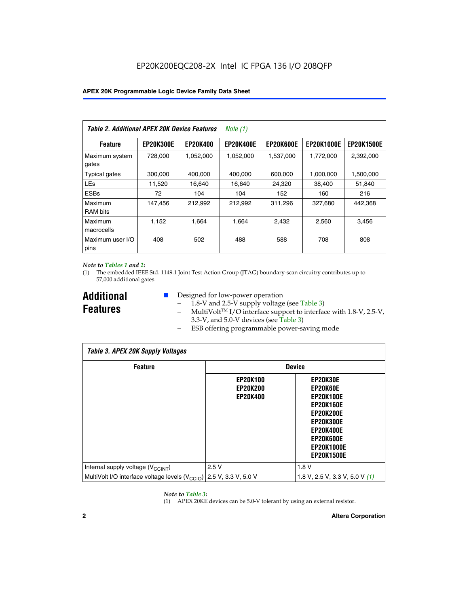| Table 2. Additional APEX 20K Device Features |                  |                 | Note $(1)$       |                  |                   |                   |
|----------------------------------------------|------------------|-----------------|------------------|------------------|-------------------|-------------------|
| <b>Feature</b>                               | <b>EP20K300E</b> | <b>EP20K400</b> | <b>EP20K400E</b> | <b>EP20K600E</b> | <b>EP20K1000E</b> | <b>EP20K1500E</b> |
| Maximum system<br>gates                      | 728,000          | 1,052,000       | 1,052,000        | 1,537,000        | 1,772,000         | 2,392,000         |
| <b>Typical gates</b>                         | 300,000          | 400,000         | 400,000          | 600,000          | 1,000,000         | 1,500,000         |
| <b>LEs</b>                                   | 11,520           | 16.640          | 16.640           | 24,320           | 38,400            | 51,840            |
| <b>ESBs</b>                                  | 72               | 104             | 104              | 152              | 160               | 216               |
| Maximum<br><b>RAM bits</b>                   | 147,456          | 212,992         | 212,992          | 311,296          | 327,680           | 442.368           |
| Maximum<br>macrocells                        | 1,152            | 1,664           | 1,664            | 2.432            | 2,560             | 3,456             |
| Maximum user I/O<br>pins                     | 408              | 502             | 488              | 588              | 708               | 808               |

#### *Note to Tables 1 and 2:*

(1) The embedded IEEE Std. 1149.1 Joint Test Action Group (JTAG) boundary-scan circuitry contributes up to 57,000 additional gates.

**Additional Features**

- Designed for low-power operation
	- 1.8-V and 2.5-V supply voltage (see Table 3)
	- $-$  MultiVolt<sup>TM</sup> I/O interface support to interface with 1.8-V, 2.5-V, 3.3-V, and 5.0-V devices (see Table 3)
	- ESB offering programmable power-saving mode

| <b>Table 3. APEX 20K Supply Voltages</b>                                       |                                                       |                                                                                                                                                                          |  |  |  |  |  |  |
|--------------------------------------------------------------------------------|-------------------------------------------------------|--------------------------------------------------------------------------------------------------------------------------------------------------------------------------|--|--|--|--|--|--|
| <b>Feature</b>                                                                 | <b>Device</b>                                         |                                                                                                                                                                          |  |  |  |  |  |  |
|                                                                                | <b>EP20K100</b><br><b>EP20K200</b><br><b>EP20K400</b> | EP20K30E<br>EP20K60E<br><b>EP20K100E</b><br><b>EP20K160E</b><br>EP20K200E<br><b>EP20K300E</b><br><b>EP20K400E</b><br>EP20K600E<br><b>EP20K1000E</b><br><b>EP20K1500E</b> |  |  |  |  |  |  |
| Internal supply voltage (V <sub>CCINT</sub> )                                  | 2.5V                                                  | 1.8V                                                                                                                                                                     |  |  |  |  |  |  |
| MultiVolt I/O interface voltage levels $(V_{\text{CCIO}})$ 2.5 V, 3.3 V, 5.0 V |                                                       | 1.8 V, 2.5 V, 3.3 V, 5.0 V $(1)$                                                                                                                                         |  |  |  |  |  |  |

#### *Note to Table 3:*

(1) APEX 20KE devices can be 5.0-V tolerant by using an external resistor.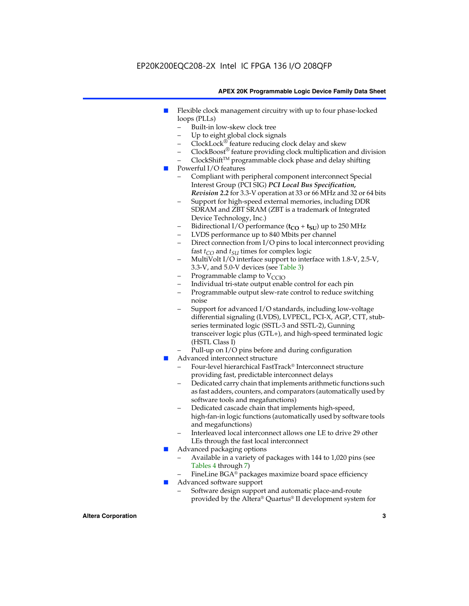### EP20K200EQC208-2X Intel IC FPGA 136 I/O 208QFP

#### **APEX 20K Programmable Logic Device Family Data Sheet**

- Flexible clock management circuitry with up to four phase-locked loops (PLLs)
	- Built-in low-skew clock tree
	- Up to eight global clock signals
	- $ClockLock^{\circledR}$  feature reducing clock delay and skew
	- $ClockBoost^{\circledR}$  feature providing clock multiplication and division
	- ClockShiftTM programmable clock phase and delay shifting
- Powerful I/O features
	- Compliant with peripheral component interconnect Special Interest Group (PCI SIG) *PCI Local Bus Specification, Revision 2.2* for 3.3-V operation at 33 or 66 MHz and 32 or 64 bits
	- Support for high-speed external memories, including DDR SDRAM and ZBT SRAM (ZBT is a trademark of Integrated Device Technology, Inc.)
	- Bidirectional I/O performance  $(t_{CO} + t_{SU})$  up to 250 MHz
	- LVDS performance up to 840 Mbits per channel
	- Direct connection from I/O pins to local interconnect providing fast  $t_{CO}$  and  $t_{SU}$  times for complex logic
	- MultiVolt I/O interface support to interface with 1.8-V, 2.5-V, 3.3-V, and 5.0-V devices (see Table 3)
	- Programmable clamp to  $V_{\text{C}CD}$
	- Individual tri-state output enable control for each pin
	- Programmable output slew-rate control to reduce switching noise
	- Support for advanced I/O standards, including low-voltage differential signaling (LVDS), LVPECL, PCI-X, AGP, CTT, stubseries terminated logic (SSTL-3 and SSTL-2), Gunning transceiver logic plus (GTL+), and high-speed terminated logic (HSTL Class I)
	- Pull-up on I/O pins before and during configuration
- Advanced interconnect structure
	- Four-level hierarchical FastTrack® Interconnect structure providing fast, predictable interconnect delays
	- Dedicated carry chain that implements arithmetic functions such as fast adders, counters, and comparators (automatically used by software tools and megafunctions)
	- Dedicated cascade chain that implements high-speed, high-fan-in logic functions (automatically used by software tools and megafunctions)
	- Interleaved local interconnect allows one LE to drive 29 other LEs through the fast local interconnect
- Advanced packaging options
	- Available in a variety of packages with 144 to 1,020 pins (see Tables 4 through 7)
	- FineLine BGA® packages maximize board space efficiency
- Advanced software support
	- Software design support and automatic place-and-route provided by the Altera® Quartus® II development system for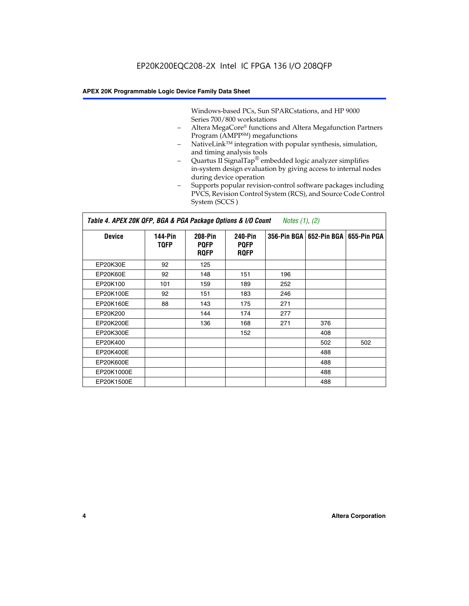Windows-based PCs, Sun SPARCstations, and HP 9000 Series 700/800 workstations

- Altera MegaCore® functions and Altera Megafunction Partners Program (AMPP<sup>SM</sup>) megafunctions
- NativeLink™ integration with popular synthesis, simulation, and timing analysis tools
- Quartus II SignalTap® embedded logic analyzer simplifies in-system design evaluation by giving access to internal nodes during device operation
- Supports popular revision-control software packages including PVCS, Revision Control System (RCS), and Source Code Control System (SCCS )

#### *Table 4. APEX 20K QFP, BGA & PGA Package Options & I/O Count Notes (1), (2)*

| <b>Device</b>   | 144-Pin<br><b>TQFP</b> | 208-Pin<br><b>PQFP</b><br><b>ROFP</b> | 240-Pin<br><b>PQFP</b><br><b>ROFP</b> |     | 356-Pin BGA   652-Pin BGA | 655-Pin PGA |
|-----------------|------------------------|---------------------------------------|---------------------------------------|-----|---------------------------|-------------|
| EP20K30E        | 92                     | 125                                   |                                       |     |                           |             |
| <b>EP20K60E</b> | 92                     | 148                                   | 151                                   | 196 |                           |             |
| EP20K100        | 101                    | 159                                   | 189                                   | 252 |                           |             |
| EP20K100E       | 92                     | 151                                   | 183                                   | 246 |                           |             |
| EP20K160E       | 88                     | 143                                   | 175                                   | 271 |                           |             |
| EP20K200        |                        | 144                                   | 174                                   | 277 |                           |             |
| EP20K200E       |                        | 136                                   | 168                                   | 271 | 376                       |             |
| EP20K300E       |                        |                                       | 152                                   |     | 408                       |             |
| EP20K400        |                        |                                       |                                       |     | 502                       | 502         |
| EP20K400E       |                        |                                       |                                       |     | 488                       |             |
| EP20K600E       |                        |                                       |                                       |     | 488                       |             |
| EP20K1000E      |                        |                                       |                                       |     | 488                       |             |
| EP20K1500E      |                        |                                       |                                       |     | 488                       |             |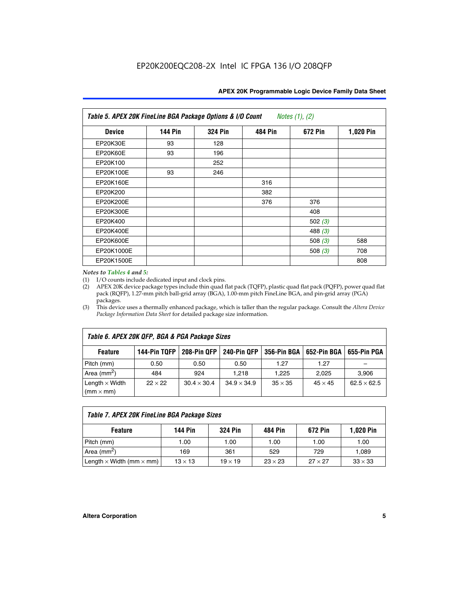| Table 5. APEX 20K FineLine BGA Package Options & I/O Count<br>Notes $(1)$ , $(2)$ |                |                |                |           |           |  |  |  |
|-----------------------------------------------------------------------------------|----------------|----------------|----------------|-----------|-----------|--|--|--|
| <b>Device</b>                                                                     | <b>144 Pin</b> | <b>324 Pin</b> | <b>484 Pin</b> | 672 Pin   | 1,020 Pin |  |  |  |
| EP20K30E                                                                          | 93             | 128            |                |           |           |  |  |  |
| <b>EP20K60E</b>                                                                   | 93             | 196            |                |           |           |  |  |  |
| EP20K100                                                                          |                | 252            |                |           |           |  |  |  |
| EP20K100E                                                                         | 93             | 246            |                |           |           |  |  |  |
| EP20K160E                                                                         |                |                | 316            |           |           |  |  |  |
| EP20K200                                                                          |                |                | 382            |           |           |  |  |  |
| EP20K200E                                                                         |                |                | 376            | 376       |           |  |  |  |
| EP20K300E                                                                         |                |                |                | 408       |           |  |  |  |
| EP20K400                                                                          |                |                |                | 502 $(3)$ |           |  |  |  |
| EP20K400E                                                                         |                |                |                | 488 $(3)$ |           |  |  |  |
| EP20K600E                                                                         |                |                |                | 508 $(3)$ | 588       |  |  |  |
| EP20K1000E                                                                        |                |                |                | 508 $(3)$ | 708       |  |  |  |
| EP20K1500E                                                                        |                |                |                |           | 808       |  |  |  |

#### *Notes to Tables 4 and 5:*

 $\Gamma$ 

(1) I/O counts include dedicated input and clock pins.

(2) APEX 20K device package types include thin quad flat pack (TQFP), plastic quad flat pack (PQFP), power quad flat pack (RQFP), 1.27-mm pitch ball-grid array (BGA), 1.00-mm pitch FineLine BGA, and pin-grid array (PGA) packages.

(3) This device uses a thermally enhanced package, which is taller than the regular package. Consult the *Altera Device Package Information Data Sheet* for detailed package size information.

| Table 6. APEX 20K QFP, BGA & PGA Package Sizes                                                                  |                |                    |                    |                |                |                    |  |  |  |
|-----------------------------------------------------------------------------------------------------------------|----------------|--------------------|--------------------|----------------|----------------|--------------------|--|--|--|
| 144-Pin TQFP<br>208-Pin OFP<br><b>240-Pin OFP</b><br>356-Pin BGA   652-Pin BGA<br>655-Pin PGA<br><b>Feature</b> |                |                    |                    |                |                |                    |  |  |  |
| Pitch (mm)                                                                                                      | 0.50           | 0.50               | 0.50               | 1.27           | 1.27           |                    |  |  |  |
| Area $(mm^2)$                                                                                                   | 484            | 924                | 1.218              | 1.225          | 2.025          | 3,906              |  |  |  |
| Length $\times$ Width<br>$(mm \times mm)$                                                                       | $22 \times 22$ | $30.4 \times 30.4$ | $34.9 \times 34.9$ | $35 \times 35$ | $45 \times 45$ | $62.5 \times 62.5$ |  |  |  |

| Table 7. APEX 20K FineLine BGA Package Sizes                                          |                |                |                |                |                |  |  |  |
|---------------------------------------------------------------------------------------|----------------|----------------|----------------|----------------|----------------|--|--|--|
| <b>324 Pin</b><br><b>1,020 Pin</b><br>144 Pin<br>672 Pin<br>484 Pin<br><b>Feature</b> |                |                |                |                |                |  |  |  |
| Pitch (mm)                                                                            | 1.00           | 1.00           | 1.00           | 1.00           | 1.00           |  |  |  |
| Area ( $mm2$ )                                                                        | 169            | 361            | 529            | 729            | 1,089          |  |  |  |
| Length $\times$ Width (mm $\times$ mm)                                                | $13 \times 13$ | $19 \times 19$ | $23 \times 23$ | $27 \times 27$ | $33 \times 33$ |  |  |  |

٦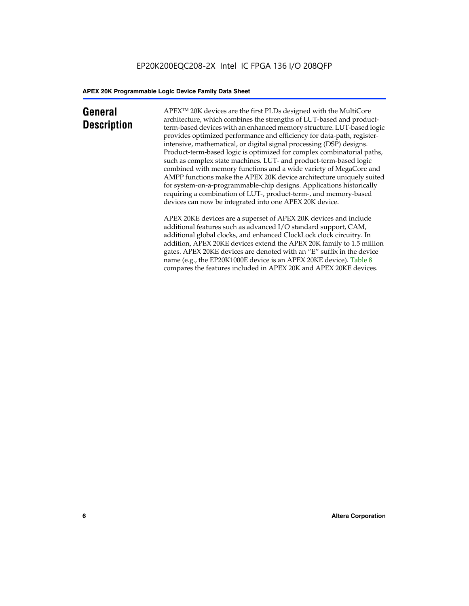### **General Description**

APEXTM 20K devices are the first PLDs designed with the MultiCore architecture, which combines the strengths of LUT-based and productterm-based devices with an enhanced memory structure. LUT-based logic provides optimized performance and efficiency for data-path, registerintensive, mathematical, or digital signal processing (DSP) designs. Product-term-based logic is optimized for complex combinatorial paths, such as complex state machines. LUT- and product-term-based logic combined with memory functions and a wide variety of MegaCore and AMPP functions make the APEX 20K device architecture uniquely suited for system-on-a-programmable-chip designs. Applications historically requiring a combination of LUT-, product-term-, and memory-based devices can now be integrated into one APEX 20K device.

APEX 20KE devices are a superset of APEX 20K devices and include additional features such as advanced I/O standard support, CAM, additional global clocks, and enhanced ClockLock clock circuitry. In addition, APEX 20KE devices extend the APEX 20K family to 1.5 million gates. APEX 20KE devices are denoted with an "E" suffix in the device name (e.g., the EP20K1000E device is an APEX 20KE device). Table 8 compares the features included in APEX 20K and APEX 20KE devices.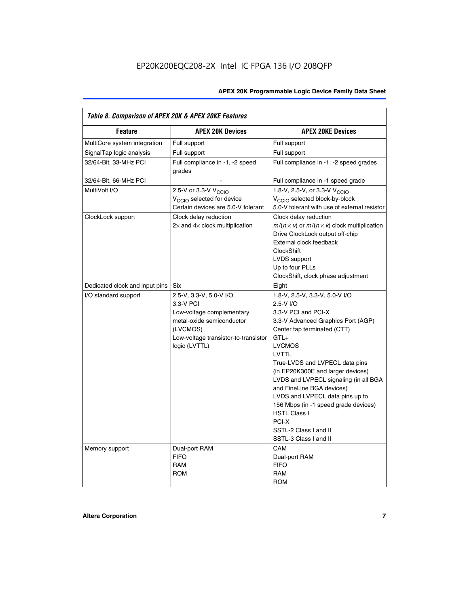| Table 8. Comparison of APEX 20K & APEX 20KE Features |                                                                                                                                                                     |                                                                                                                                                                                                                                                                                                                                                                                                                                                                                       |  |  |  |  |  |
|------------------------------------------------------|---------------------------------------------------------------------------------------------------------------------------------------------------------------------|---------------------------------------------------------------------------------------------------------------------------------------------------------------------------------------------------------------------------------------------------------------------------------------------------------------------------------------------------------------------------------------------------------------------------------------------------------------------------------------|--|--|--|--|--|
| <b>Feature</b>                                       | <b>APEX 20K Devices</b>                                                                                                                                             | <b>APEX 20KE Devices</b>                                                                                                                                                                                                                                                                                                                                                                                                                                                              |  |  |  |  |  |
| MultiCore system integration                         | Full support                                                                                                                                                        | Full support                                                                                                                                                                                                                                                                                                                                                                                                                                                                          |  |  |  |  |  |
| SignalTap logic analysis                             | Full support                                                                                                                                                        | Full support                                                                                                                                                                                                                                                                                                                                                                                                                                                                          |  |  |  |  |  |
| 32/64-Bit, 33-MHz PCI                                | Full compliance in -1, -2 speed<br>grades                                                                                                                           | Full compliance in -1, -2 speed grades                                                                                                                                                                                                                                                                                                                                                                                                                                                |  |  |  |  |  |
| 32/64-Bit, 66-MHz PCI                                |                                                                                                                                                                     | Full compliance in -1 speed grade                                                                                                                                                                                                                                                                                                                                                                                                                                                     |  |  |  |  |  |
| MultiVolt I/O                                        | 2.5-V or 3.3-V V <sub>CCIO</sub><br>V <sub>CCIO</sub> selected for device<br>Certain devices are 5.0-V tolerant                                                     | 1.8-V, 2.5-V, or 3.3-V V <sub>CCIO</sub><br>V <sub>CCIO</sub> selected block-by-block<br>5.0-V tolerant with use of external resistor                                                                                                                                                                                                                                                                                                                                                 |  |  |  |  |  |
| ClockLock support                                    | Clock delay reduction<br>$2\times$ and $4\times$ clock multiplication                                                                                               | Clock delay reduction<br>$m/(n \times v)$ or $m/(n \times k)$ clock multiplication<br>Drive ClockLock output off-chip<br>External clock feedback<br><b>ClockShift</b><br>LVDS support<br>Up to four PLLs<br>ClockShift, clock phase adjustment                                                                                                                                                                                                                                        |  |  |  |  |  |
| Dedicated clock and input pins                       | <b>Six</b>                                                                                                                                                          | Eight                                                                                                                                                                                                                                                                                                                                                                                                                                                                                 |  |  |  |  |  |
| I/O standard support                                 | 2.5-V, 3.3-V, 5.0-V I/O<br>3.3-V PCI<br>Low-voltage complementary<br>metal-oxide semiconductor<br>(LVCMOS)<br>Low-voltage transistor-to-transistor<br>logic (LVTTL) | 1.8-V, 2.5-V, 3.3-V, 5.0-V I/O<br>2.5-V I/O<br>3.3-V PCI and PCI-X<br>3.3-V Advanced Graphics Port (AGP)<br>Center tap terminated (CTT)<br>$GTL+$<br><b>LVCMOS</b><br>LVTTL<br>True-LVDS and LVPECL data pins<br>(in EP20K300E and larger devices)<br>LVDS and LVPECL signaling (in all BGA<br>and FineLine BGA devices)<br>LVDS and LVPECL data pins up to<br>156 Mbps (in -1 speed grade devices)<br><b>HSTL Class I</b><br>PCI-X<br>SSTL-2 Class I and II<br>SSTL-3 Class I and II |  |  |  |  |  |
| Memory support                                       | Dual-port RAM<br><b>FIFO</b><br><b>RAM</b><br><b>ROM</b>                                                                                                            | CAM<br>Dual-port RAM<br><b>FIFO</b><br>RAM<br><b>ROM</b>                                                                                                                                                                                                                                                                                                                                                                                                                              |  |  |  |  |  |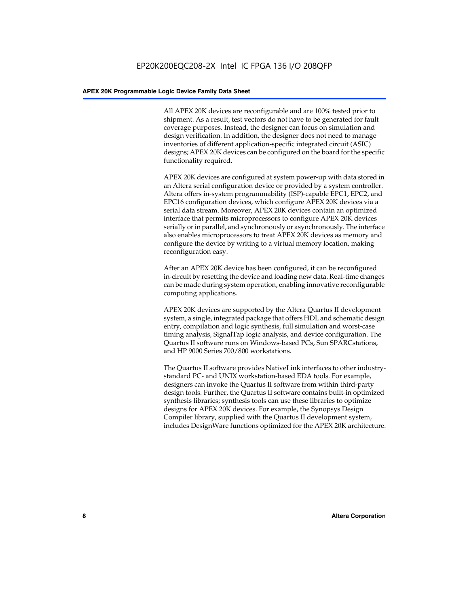All APEX 20K devices are reconfigurable and are 100% tested prior to shipment. As a result, test vectors do not have to be generated for fault coverage purposes. Instead, the designer can focus on simulation and design verification. In addition, the designer does not need to manage inventories of different application-specific integrated circuit (ASIC) designs; APEX 20K devices can be configured on the board for the specific functionality required.

APEX 20K devices are configured at system power-up with data stored in an Altera serial configuration device or provided by a system controller. Altera offers in-system programmability (ISP)-capable EPC1, EPC2, and EPC16 configuration devices, which configure APEX 20K devices via a serial data stream. Moreover, APEX 20K devices contain an optimized interface that permits microprocessors to configure APEX 20K devices serially or in parallel, and synchronously or asynchronously. The interface also enables microprocessors to treat APEX 20K devices as memory and configure the device by writing to a virtual memory location, making reconfiguration easy.

After an APEX 20K device has been configured, it can be reconfigured in-circuit by resetting the device and loading new data. Real-time changes can be made during system operation, enabling innovative reconfigurable computing applications.

APEX 20K devices are supported by the Altera Quartus II development system, a single, integrated package that offers HDL and schematic design entry, compilation and logic synthesis, full simulation and worst-case timing analysis, SignalTap logic analysis, and device configuration. The Quartus II software runs on Windows-based PCs, Sun SPARCstations, and HP 9000 Series 700/800 workstations.

The Quartus II software provides NativeLink interfaces to other industrystandard PC- and UNIX workstation-based EDA tools. For example, designers can invoke the Quartus II software from within third-party design tools. Further, the Quartus II software contains built-in optimized synthesis libraries; synthesis tools can use these libraries to optimize designs for APEX 20K devices. For example, the Synopsys Design Compiler library, supplied with the Quartus II development system, includes DesignWare functions optimized for the APEX 20K architecture.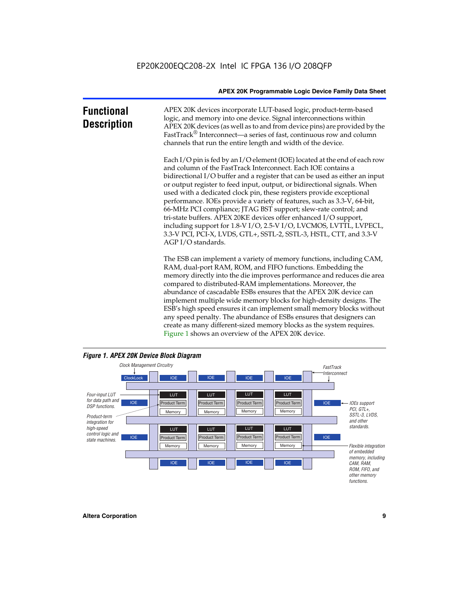| <b>Functional</b><br><b>Description</b> | APEX 20K devices incorporate LUT-based logic, product-term-based<br>logic, and memory into one device. Signal interconnections within<br>APEX 20K devices (as well as to and from device pins) are provided by the<br>FastTrack <sup>®</sup> Interconnect—a series of fast, continuous row and column<br>channels that run the entire length and width of the device.                                                                                                                                                                                                                                                                                                                                                                                              |
|-----------------------------------------|--------------------------------------------------------------------------------------------------------------------------------------------------------------------------------------------------------------------------------------------------------------------------------------------------------------------------------------------------------------------------------------------------------------------------------------------------------------------------------------------------------------------------------------------------------------------------------------------------------------------------------------------------------------------------------------------------------------------------------------------------------------------|
|                                         | Each I/O pin is fed by an I/O element (IOE) located at the end of each row<br>and column of the FastTrack Interconnect. Each IOE contains a<br>bidirectional I/O buffer and a register that can be used as either an input<br>or output register to feed input, output, or bidirectional signals. When<br>used with a dedicated clock pin, these registers provide exceptional<br>performance. IOEs provide a variety of features, such as 3.3-V, 64-bit,<br>66-MHz PCI compliance; JTAG BST support; slew-rate control; and<br>tri-state buffers. APEX 20KE devices offer enhanced I/O support,<br>including support for 1.8-V I/O, 2.5-V I/O, LVCMOS, LVTTL, LVPECL,<br>3.3-V PCI, PCI-X, LVDS, GTL+, SSTL-2, SSTL-3, HSTL, CTT, and 3.3-V<br>AGP I/O standards. |
|                                         | The ESB can implement a variety of memory functions, including CAM,<br>RAM, dual-port RAM, ROM, and FIFO functions. Embedding the<br>memory directly into the die improves performance and reduces die area<br>compared to distributed-RAM implementations. Moreover, the<br>abundance of cascadable ESBs ensures that the APEX 20K device can<br>implement multiple wide memory blocks for high-density designs. The<br>ESB's high speed ensures it can implement small memory blocks without<br>any speed penalty. The abundance of ESBs ensures that designers can                                                                                                                                                                                              |



create as many different-sized memory blocks as the system requires.

Figure 1 shows an overview of the APEX 20K device.

#### *Figure 1. APEX 20K Device Block Diagram*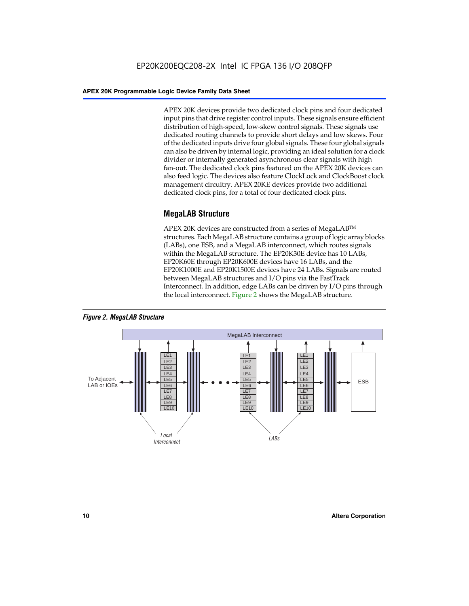APEX 20K devices provide two dedicated clock pins and four dedicated input pins that drive register control inputs. These signals ensure efficient distribution of high-speed, low-skew control signals. These signals use dedicated routing channels to provide short delays and low skews. Four of the dedicated inputs drive four global signals. These four global signals can also be driven by internal logic, providing an ideal solution for a clock divider or internally generated asynchronous clear signals with high fan-out. The dedicated clock pins featured on the APEX 20K devices can also feed logic. The devices also feature ClockLock and ClockBoost clock management circuitry. APEX 20KE devices provide two additional dedicated clock pins, for a total of four dedicated clock pins.

#### **MegaLAB Structure**

APEX 20K devices are constructed from a series of MegaLAB<sup>™</sup> structures. Each MegaLAB structure contains a group of logic array blocks (LABs), one ESB, and a MegaLAB interconnect, which routes signals within the MegaLAB structure. The EP20K30E device has 10 LABs, EP20K60E through EP20K600E devices have 16 LABs, and the EP20K1000E and EP20K1500E devices have 24 LABs. Signals are routed between MegaLAB structures and I/O pins via the FastTrack Interconnect. In addition, edge LABs can be driven by I/O pins through the local interconnect. Figure 2 shows the MegaLAB structure.



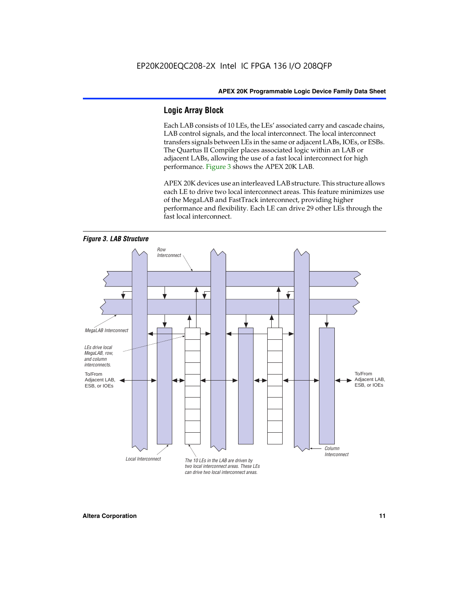#### **Logic Array Block**

Each LAB consists of 10 LEs, the LEs' associated carry and cascade chains, LAB control signals, and the local interconnect. The local interconnect transfers signals between LEs in the same or adjacent LABs, IOEs, or ESBs. The Quartus II Compiler places associated logic within an LAB or adjacent LABs, allowing the use of a fast local interconnect for high performance. Figure 3 shows the APEX 20K LAB.

APEX 20K devices use an interleaved LAB structure. This structure allows each LE to drive two local interconnect areas. This feature minimizes use of the MegaLAB and FastTrack interconnect, providing higher performance and flexibility. Each LE can drive 29 other LEs through the fast local interconnect.

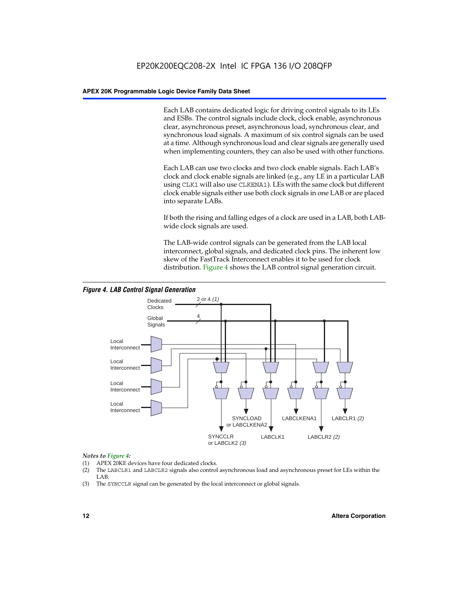Each LAB contains dedicated logic for driving control signals to its LEs and ESBs. The control signals include clock, clock enable, asynchronous clear, asynchronous preset, asynchronous load, synchronous clear, and synchronous load signals. A maximum of six control signals can be used at a time. Although synchronous load and clear signals are generally used when implementing counters, they can also be used with other functions.

Each LAB can use two clocks and two clock enable signals. Each LAB's clock and clock enable signals are linked (e.g., any LE in a particular LAB using CLK1 will also use CLKENA1). LEs with the same clock but different clock enable signals either use both clock signals in one LAB or are placed into separate LABs.

If both the rising and falling edges of a clock are used in a LAB, both LABwide clock signals are used.

The LAB-wide control signals can be generated from the LAB local interconnect, global signals, and dedicated clock pins. The inherent low skew of the FastTrack Interconnect enables it to be used for clock distribution. Figure 4 shows the LAB control signal generation circuit.



#### *Figure 4. LAB Control Signal Generation*

#### *Notes to Figure 4:*

- (1) APEX 20KE devices have four dedicated clocks.
- (2) The LABCLR1 and LABCLR2 signals also control asynchronous load and asynchronous preset for LEs within the LAB.
- (3) The SYNCCLR signal can be generated by the local interconnect or global signals.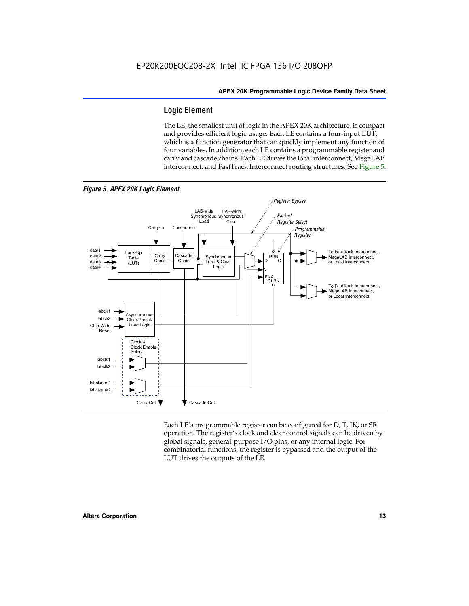#### **Logic Element**

The LE, the smallest unit of logic in the APEX 20K architecture, is compact and provides efficient logic usage. Each LE contains a four-input LUT, which is a function generator that can quickly implement any function of four variables. In addition, each LE contains a programmable register and carry and cascade chains. Each LE drives the local interconnect, MegaLAB interconnect, and FastTrack Interconnect routing structures. See Figure 5.



Each LE's programmable register can be configured for D, T, JK, or SR operation. The register's clock and clear control signals can be driven by global signals, general-purpose I/O pins, or any internal logic. For combinatorial functions, the register is bypassed and the output of the LUT drives the outputs of the LE.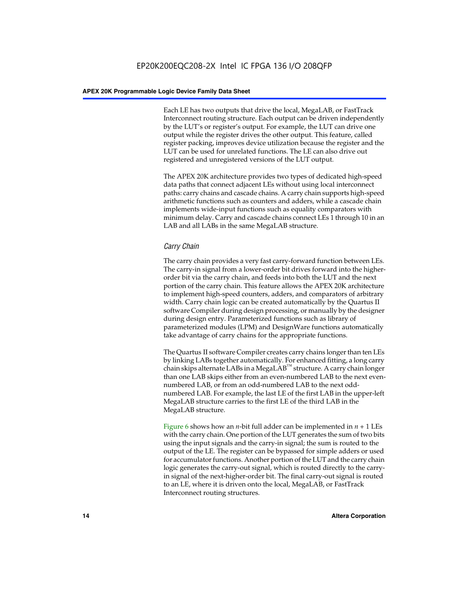Each LE has two outputs that drive the local, MegaLAB, or FastTrack Interconnect routing structure. Each output can be driven independently by the LUT's or register's output. For example, the LUT can drive one output while the register drives the other output. This feature, called register packing, improves device utilization because the register and the LUT can be used for unrelated functions. The LE can also drive out registered and unregistered versions of the LUT output.

The APEX 20K architecture provides two types of dedicated high-speed data paths that connect adjacent LEs without using local interconnect paths: carry chains and cascade chains. A carry chain supports high-speed arithmetic functions such as counters and adders, while a cascade chain implements wide-input functions such as equality comparators with minimum delay. Carry and cascade chains connect LEs 1 through 10 in an LAB and all LABs in the same MegaLAB structure.

#### *Carry Chain*

The carry chain provides a very fast carry-forward function between LEs. The carry-in signal from a lower-order bit drives forward into the higherorder bit via the carry chain, and feeds into both the LUT and the next portion of the carry chain. This feature allows the APEX 20K architecture to implement high-speed counters, adders, and comparators of arbitrary width. Carry chain logic can be created automatically by the Quartus II software Compiler during design processing, or manually by the designer during design entry. Parameterized functions such as library of parameterized modules (LPM) and DesignWare functions automatically take advantage of carry chains for the appropriate functions.

The Quartus II software Compiler creates carry chains longer than ten LEs by linking LABs together automatically. For enhanced fitting, a long carry chain skips alternate LABs in a MegaLAB<sup>™</sup> structure. A carry chain longer than one LAB skips either from an even-numbered LAB to the next evennumbered LAB, or from an odd-numbered LAB to the next oddnumbered LAB. For example, the last LE of the first LAB in the upper-left MegaLAB structure carries to the first LE of the third LAB in the MegaLAB structure.

Figure 6 shows how an *n*-bit full adder can be implemented in *n* + 1 LEs with the carry chain. One portion of the LUT generates the sum of two bits using the input signals and the carry-in signal; the sum is routed to the output of the LE. The register can be bypassed for simple adders or used for accumulator functions. Another portion of the LUT and the carry chain logic generates the carry-out signal, which is routed directly to the carryin signal of the next-higher-order bit. The final carry-out signal is routed to an LE, where it is driven onto the local, MegaLAB, or FastTrack Interconnect routing structures.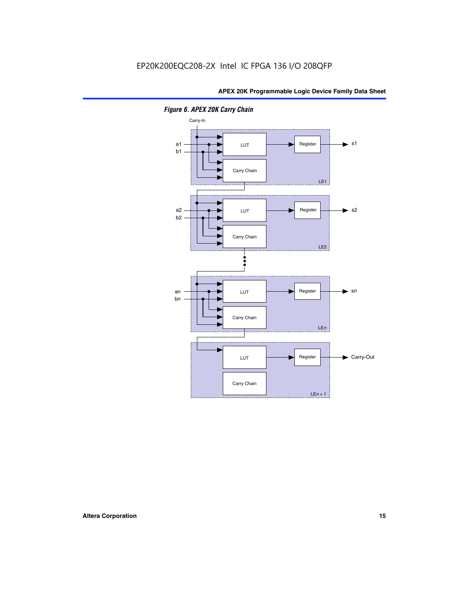

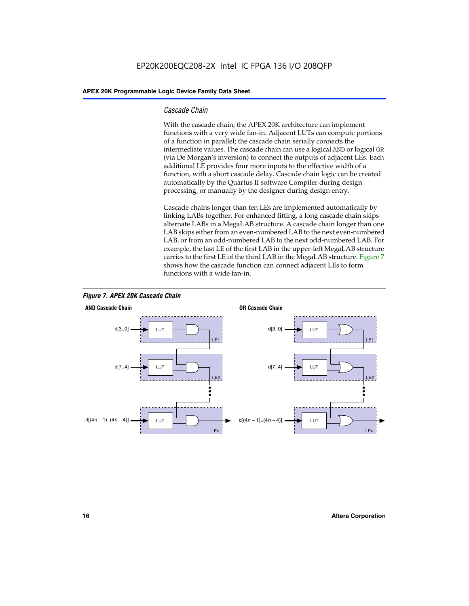#### *Cascade Chain*

With the cascade chain, the APEX 20K architecture can implement functions with a very wide fan-in. Adjacent LUTs can compute portions of a function in parallel; the cascade chain serially connects the intermediate values. The cascade chain can use a logical AND or logical OR (via De Morgan's inversion) to connect the outputs of adjacent LEs. Each additional LE provides four more inputs to the effective width of a function, with a short cascade delay. Cascade chain logic can be created automatically by the Quartus II software Compiler during design processing, or manually by the designer during design entry.

Cascade chains longer than ten LEs are implemented automatically by linking LABs together. For enhanced fitting, a long cascade chain skips alternate LABs in a MegaLAB structure. A cascade chain longer than one LAB skips either from an even-numbered LAB to the next even-numbered LAB, or from an odd-numbered LAB to the next odd-numbered LAB. For example, the last LE of the first LAB in the upper-left MegaLAB structure carries to the first LE of the third LAB in the MegaLAB structure. Figure 7 shows how the cascade function can connect adjacent LEs to form functions with a wide fan-in.



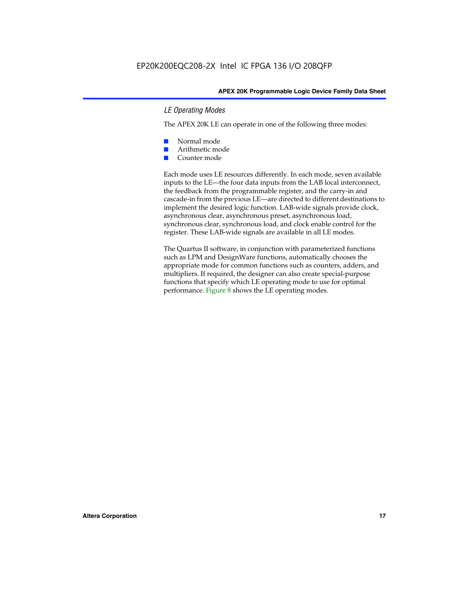#### *LE Operating Modes*

The APEX 20K LE can operate in one of the following three modes:

- Normal mode
- Arithmetic mode
- Counter mode

Each mode uses LE resources differently. In each mode, seven available inputs to the LE—the four data inputs from the LAB local interconnect, the feedback from the programmable register, and the carry-in and cascade-in from the previous LE—are directed to different destinations to implement the desired logic function. LAB-wide signals provide clock, asynchronous clear, asynchronous preset, asynchronous load, synchronous clear, synchronous load, and clock enable control for the register. These LAB-wide signals are available in all LE modes.

The Quartus II software, in conjunction with parameterized functions such as LPM and DesignWare functions, automatically chooses the appropriate mode for common functions such as counters, adders, and multipliers. If required, the designer can also create special-purpose functions that specify which LE operating mode to use for optimal performance. Figure 8 shows the LE operating modes.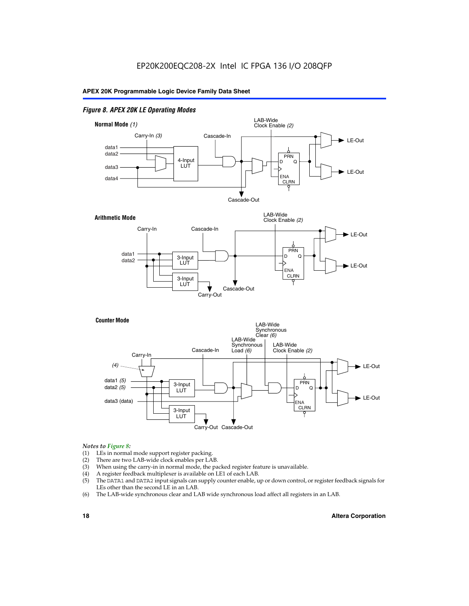#### *Figure 8. APEX 20K LE Operating Modes*



#### *Notes to Figure 8:*

- (1) LEs in normal mode support register packing.
- (2) There are two LAB-wide clock enables per LAB.
- (3) When using the carry-in in normal mode, the packed register feature is unavailable.
- (4) A register feedback multiplexer is available on LE1 of each LAB.
- (5) The DATA1 and DATA2 input signals can supply counter enable, up or down control, or register feedback signals for LEs other than the second LE in an LAB.
- (6) The LAB-wide synchronous clear and LAB wide synchronous load affect all registers in an LAB.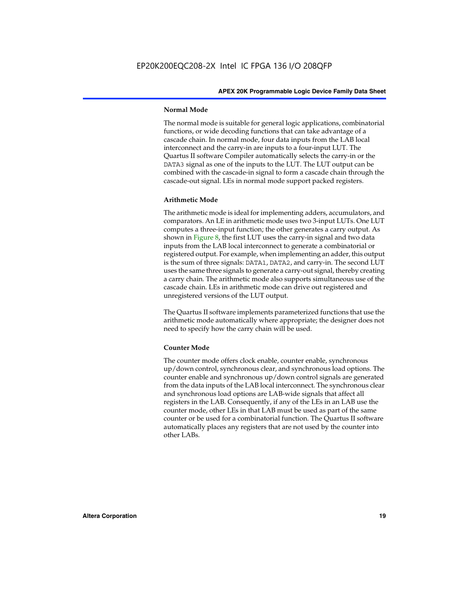#### **Normal Mode**

The normal mode is suitable for general logic applications, combinatorial functions, or wide decoding functions that can take advantage of a cascade chain. In normal mode, four data inputs from the LAB local interconnect and the carry-in are inputs to a four-input LUT. The Quartus II software Compiler automatically selects the carry-in or the DATA3 signal as one of the inputs to the LUT. The LUT output can be combined with the cascade-in signal to form a cascade chain through the cascade-out signal. LEs in normal mode support packed registers.

#### **Arithmetic Mode**

The arithmetic mode is ideal for implementing adders, accumulators, and comparators. An LE in arithmetic mode uses two 3-input LUTs. One LUT computes a three-input function; the other generates a carry output. As shown in Figure 8, the first LUT uses the carry-in signal and two data inputs from the LAB local interconnect to generate a combinatorial or registered output. For example, when implementing an adder, this output is the sum of three signals: DATA1, DATA2, and carry-in. The second LUT uses the same three signals to generate a carry-out signal, thereby creating a carry chain. The arithmetic mode also supports simultaneous use of the cascade chain. LEs in arithmetic mode can drive out registered and unregistered versions of the LUT output.

The Quartus II software implements parameterized functions that use the arithmetic mode automatically where appropriate; the designer does not need to specify how the carry chain will be used.

#### **Counter Mode**

The counter mode offers clock enable, counter enable, synchronous up/down control, synchronous clear, and synchronous load options. The counter enable and synchronous up/down control signals are generated from the data inputs of the LAB local interconnect. The synchronous clear and synchronous load options are LAB-wide signals that affect all registers in the LAB. Consequently, if any of the LEs in an LAB use the counter mode, other LEs in that LAB must be used as part of the same counter or be used for a combinatorial function. The Quartus II software automatically places any registers that are not used by the counter into other LABs.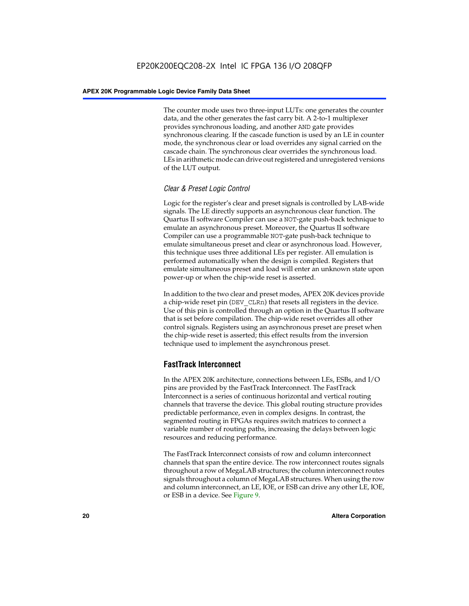The counter mode uses two three-input LUTs: one generates the counter data, and the other generates the fast carry bit. A 2-to-1 multiplexer provides synchronous loading, and another AND gate provides synchronous clearing. If the cascade function is used by an LE in counter mode, the synchronous clear or load overrides any signal carried on the cascade chain. The synchronous clear overrides the synchronous load. LEs in arithmetic mode can drive out registered and unregistered versions of the LUT output.

#### *Clear & Preset Logic Control*

Logic for the register's clear and preset signals is controlled by LAB-wide signals. The LE directly supports an asynchronous clear function. The Quartus II software Compiler can use a NOT-gate push-back technique to emulate an asynchronous preset. Moreover, the Quartus II software Compiler can use a programmable NOT-gate push-back technique to emulate simultaneous preset and clear or asynchronous load. However, this technique uses three additional LEs per register. All emulation is performed automatically when the design is compiled. Registers that emulate simultaneous preset and load will enter an unknown state upon power-up or when the chip-wide reset is asserted.

In addition to the two clear and preset modes, APEX 20K devices provide a chip-wide reset pin (DEV\_CLRn) that resets all registers in the device. Use of this pin is controlled through an option in the Quartus II software that is set before compilation. The chip-wide reset overrides all other control signals. Registers using an asynchronous preset are preset when the chip-wide reset is asserted; this effect results from the inversion technique used to implement the asynchronous preset.

#### **FastTrack Interconnect**

In the APEX 20K architecture, connections between LEs, ESBs, and I/O pins are provided by the FastTrack Interconnect. The FastTrack Interconnect is a series of continuous horizontal and vertical routing channels that traverse the device. This global routing structure provides predictable performance, even in complex designs. In contrast, the segmented routing in FPGAs requires switch matrices to connect a variable number of routing paths, increasing the delays between logic resources and reducing performance.

The FastTrack Interconnect consists of row and column interconnect channels that span the entire device. The row interconnect routes signals throughout a row of MegaLAB structures; the column interconnect routes signals throughout a column of MegaLAB structures. When using the row and column interconnect, an LE, IOE, or ESB can drive any other LE, IOE, or ESB in a device. See Figure 9.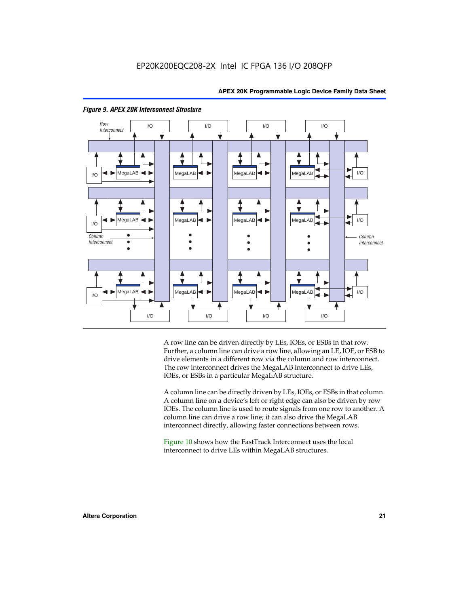

#### *Figure 9. APEX 20K Interconnect Structure*

A row line can be driven directly by LEs, IOEs, or ESBs in that row. Further, a column line can drive a row line, allowing an LE, IOE, or ESB to drive elements in a different row via the column and row interconnect. The row interconnect drives the MegaLAB interconnect to drive LEs, IOEs, or ESBs in a particular MegaLAB structure.

A column line can be directly driven by LEs, IOEs, or ESBs in that column. A column line on a device's left or right edge can also be driven by row IOEs. The column line is used to route signals from one row to another. A column line can drive a row line; it can also drive the MegaLAB interconnect directly, allowing faster connections between rows.

Figure 10 shows how the FastTrack Interconnect uses the local interconnect to drive LEs within MegaLAB structures.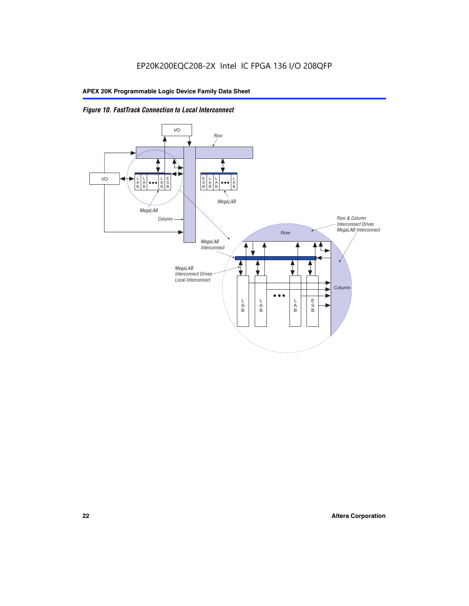

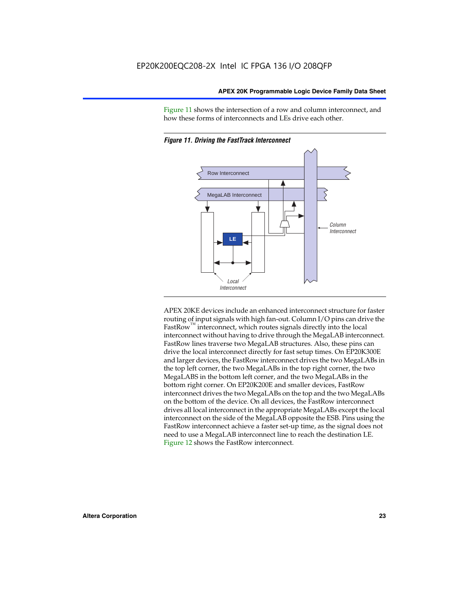Figure 11 shows the intersection of a row and column interconnect, and how these forms of interconnects and LEs drive each other.



*Figure 11. Driving the FastTrack Interconnect*

APEX 20KE devices include an enhanced interconnect structure for faster routing of input signals with high fan-out. Column I/O pins can drive the FastRow<sup>™</sup> interconnect, which routes signals directly into the local interconnect without having to drive through the MegaLAB interconnect. FastRow lines traverse two MegaLAB structures. Also, these pins can drive the local interconnect directly for fast setup times. On EP20K300E and larger devices, the FastRow interconnect drives the two MegaLABs in the top left corner, the two MegaLABs in the top right corner, the two MegaLABS in the bottom left corner, and the two MegaLABs in the bottom right corner. On EP20K200E and smaller devices, FastRow interconnect drives the two MegaLABs on the top and the two MegaLABs on the bottom of the device. On all devices, the FastRow interconnect drives all local interconnect in the appropriate MegaLABs except the local interconnect on the side of the MegaLAB opposite the ESB. Pins using the FastRow interconnect achieve a faster set-up time, as the signal does not need to use a MegaLAB interconnect line to reach the destination LE. Figure 12 shows the FastRow interconnect.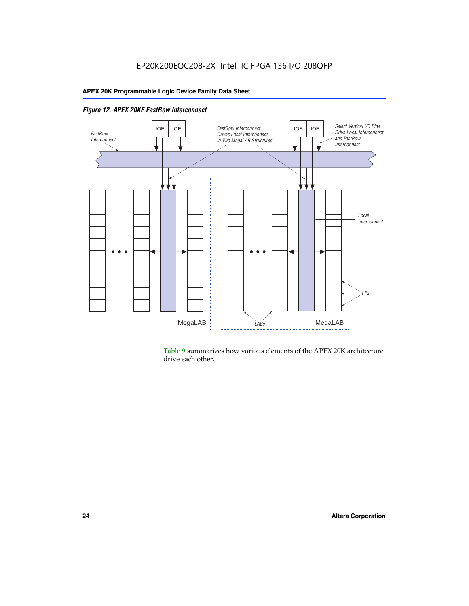

*Figure 12. APEX 20KE FastRow Interconnect*

Table 9 summarizes how various elements of the APEX 20K architecture drive each other.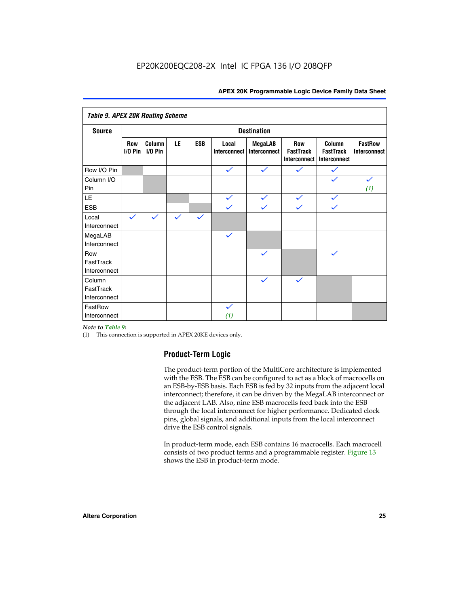| <b>Table 9. APEX 20K Routing Scheme</b> |                  |                   |              |              |                              |                                |                                                |                                            |                                |
|-----------------------------------------|------------------|-------------------|--------------|--------------|------------------------------|--------------------------------|------------------------------------------------|--------------------------------------------|--------------------------------|
| <b>Destination</b><br><b>Source</b>     |                  |                   |              |              |                              |                                |                                                |                                            |                                |
|                                         | Row<br>$1/0$ Pin | Column<br>I/O Pin | LE           | <b>ESB</b>   | Local<br><b>Interconnect</b> | <b>MegaLAB</b><br>Interconnect | Row<br><b>FastTrack</b><br><b>Interconnect</b> | Column<br><b>FastTrack</b><br>Interconnect | <b>FastRow</b><br>Interconnect |
| Row I/O Pin                             |                  |                   |              |              | $\checkmark$                 | $\checkmark$                   | $\checkmark$                                   | $\checkmark$                               |                                |
| Column I/O<br>Pin                       |                  |                   |              |              |                              |                                |                                                | $\checkmark$                               | $\checkmark$<br>(1)            |
| LE                                      |                  |                   |              |              | $\checkmark$                 | $\checkmark$                   | $\checkmark$                                   | $\checkmark$                               |                                |
| <b>ESB</b>                              |                  |                   |              |              | $\checkmark$                 | $\checkmark$                   | $\checkmark$                                   | $\checkmark$                               |                                |
| Local<br>Interconnect                   | $\checkmark$     | $\checkmark$      | $\checkmark$ | $\checkmark$ |                              |                                |                                                |                                            |                                |
| MegaLAB<br>Interconnect                 |                  |                   |              |              | $\checkmark$                 |                                |                                                |                                            |                                |
| Row<br>FastTrack<br>Interconnect        |                  |                   |              |              |                              | $\checkmark$                   |                                                | $\checkmark$                               |                                |
| Column<br>FastTrack<br>Interconnect     |                  |                   |              |              |                              | $\checkmark$                   | $\checkmark$                                   |                                            |                                |
| FastRow<br>Interconnect                 |                  |                   |              |              | $\checkmark$<br>(1)          |                                |                                                |                                            |                                |

#### *Note to Table 9:*

(1) This connection is supported in APEX 20KE devices only.

#### **Product-Term Logic**

The product-term portion of the MultiCore architecture is implemented with the ESB. The ESB can be configured to act as a block of macrocells on an ESB-by-ESB basis. Each ESB is fed by 32 inputs from the adjacent local interconnect; therefore, it can be driven by the MegaLAB interconnect or the adjacent LAB. Also, nine ESB macrocells feed back into the ESB through the local interconnect for higher performance. Dedicated clock pins, global signals, and additional inputs from the local interconnect drive the ESB control signals.

In product-term mode, each ESB contains 16 macrocells. Each macrocell consists of two product terms and a programmable register. Figure 13 shows the ESB in product-term mode.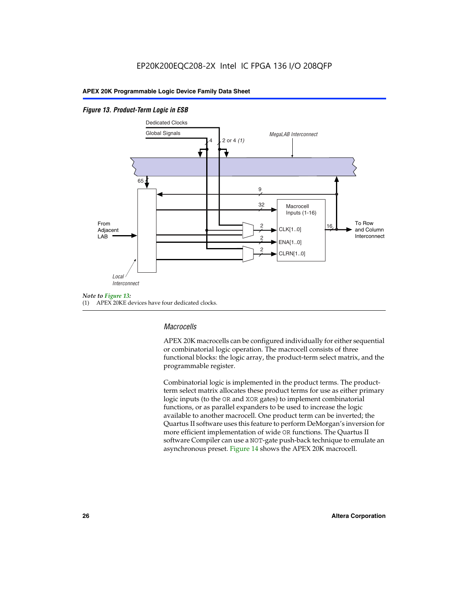#### *Figure 13. Product-Term Logic in ESB*



(1) APEX 20KE devices have four dedicated clocks.

#### *Macrocells*

APEX 20K macrocells can be configured individually for either sequential or combinatorial logic operation. The macrocell consists of three functional blocks: the logic array, the product-term select matrix, and the programmable register.

Combinatorial logic is implemented in the product terms. The productterm select matrix allocates these product terms for use as either primary logic inputs (to the OR and XOR gates) to implement combinatorial functions, or as parallel expanders to be used to increase the logic available to another macrocell. One product term can be inverted; the Quartus II software uses this feature to perform DeMorgan's inversion for more efficient implementation of wide OR functions. The Quartus II software Compiler can use a NOT-gate push-back technique to emulate an asynchronous preset. Figure 14 shows the APEX 20K macrocell.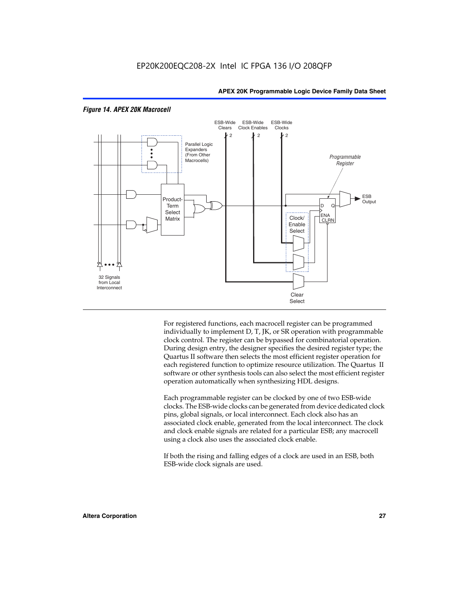

#### *Figure 14. APEX 20K Macrocell*

For registered functions, each macrocell register can be programmed individually to implement D, T, JK, or SR operation with programmable clock control. The register can be bypassed for combinatorial operation. During design entry, the designer specifies the desired register type; the Quartus II software then selects the most efficient register operation for each registered function to optimize resource utilization. The Quartus II software or other synthesis tools can also select the most efficient register operation automatically when synthesizing HDL designs.

Each programmable register can be clocked by one of two ESB-wide clocks. The ESB-wide clocks can be generated from device dedicated clock pins, global signals, or local interconnect. Each clock also has an associated clock enable, generated from the local interconnect. The clock and clock enable signals are related for a particular ESB; any macrocell using a clock also uses the associated clock enable.

If both the rising and falling edges of a clock are used in an ESB, both ESB-wide clock signals are used.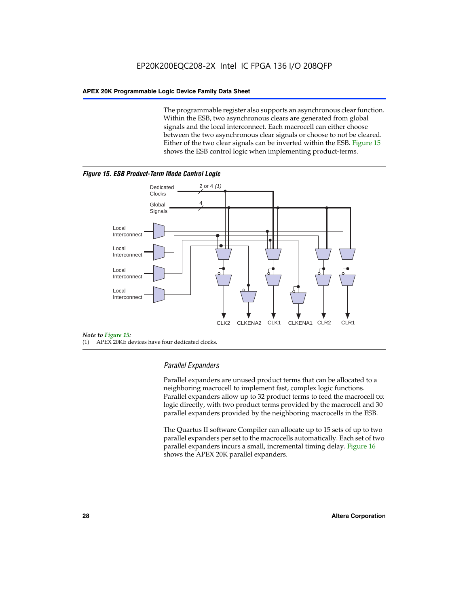The programmable register also supports an asynchronous clear function. Within the ESB, two asynchronous clears are generated from global signals and the local interconnect. Each macrocell can either choose between the two asynchronous clear signals or choose to not be cleared. Either of the two clear signals can be inverted within the ESB. Figure 15 shows the ESB control logic when implementing product-terms.





(1) APEX 20KE devices have four dedicated clocks.

#### *Parallel Expanders*

Parallel expanders are unused product terms that can be allocated to a neighboring macrocell to implement fast, complex logic functions. Parallel expanders allow up to 32 product terms to feed the macrocell OR logic directly, with two product terms provided by the macrocell and 30 parallel expanders provided by the neighboring macrocells in the ESB.

The Quartus II software Compiler can allocate up to 15 sets of up to two parallel expanders per set to the macrocells automatically. Each set of two parallel expanders incurs a small, incremental timing delay. Figure 16 shows the APEX 20K parallel expanders.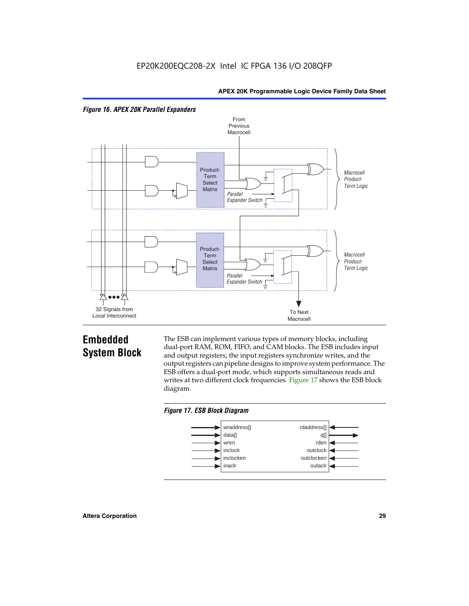



## **Embedded System Block**

The ESB can implement various types of memory blocks, including dual-port RAM, ROM, FIFO, and CAM blocks. The ESB includes input and output registers; the input registers synchronize writes, and the output registers can pipeline designs to improve system performance. The ESB offers a dual-port mode, which supports simultaneous reads and writes at two different clock frequencies. Figure 17 shows the ESB block diagram.



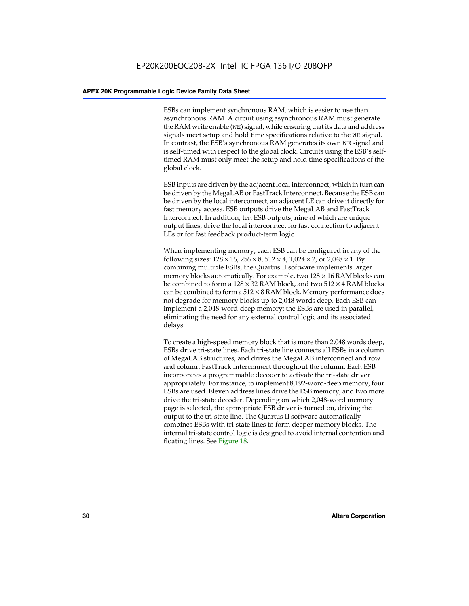ESBs can implement synchronous RAM, which is easier to use than asynchronous RAM. A circuit using asynchronous RAM must generate the RAM write enable (WE) signal, while ensuring that its data and address signals meet setup and hold time specifications relative to the WE signal. In contrast, the ESB's synchronous RAM generates its own WE signal and is self-timed with respect to the global clock. Circuits using the ESB's selftimed RAM must only meet the setup and hold time specifications of the global clock.

ESB inputs are driven by the adjacent local interconnect, which in turn can be driven by the MegaLAB or FastTrack Interconnect. Because the ESB can be driven by the local interconnect, an adjacent LE can drive it directly for fast memory access. ESB outputs drive the MegaLAB and FastTrack Interconnect. In addition, ten ESB outputs, nine of which are unique output lines, drive the local interconnect for fast connection to adjacent LEs or for fast feedback product-term logic.

When implementing memory, each ESB can be configured in any of the following sizes:  $128 \times 16$ ,  $256 \times 8$ ,  $512 \times 4$ ,  $1,024 \times 2$ , or  $2,048 \times 1$ . By combining multiple ESBs, the Quartus II software implements larger memory blocks automatically. For example, two  $128 \times 16$  RAM blocks can be combined to form a  $128 \times 32$  RAM block, and two  $512 \times 4$  RAM blocks can be combined to form a  $512 \times 8$  RAM block. Memory performance does not degrade for memory blocks up to 2,048 words deep. Each ESB can implement a 2,048-word-deep memory; the ESBs are used in parallel, eliminating the need for any external control logic and its associated delays.

To create a high-speed memory block that is more than 2,048 words deep, ESBs drive tri-state lines. Each tri-state line connects all ESBs in a column of MegaLAB structures, and drives the MegaLAB interconnect and row and column FastTrack Interconnect throughout the column. Each ESB incorporates a programmable decoder to activate the tri-state driver appropriately. For instance, to implement 8,192-word-deep memory, four ESBs are used. Eleven address lines drive the ESB memory, and two more drive the tri-state decoder. Depending on which 2,048-word memory page is selected, the appropriate ESB driver is turned on, driving the output to the tri-state line. The Quartus II software automatically combines ESBs with tri-state lines to form deeper memory blocks. The internal tri-state control logic is designed to avoid internal contention and floating lines. See Figure 18.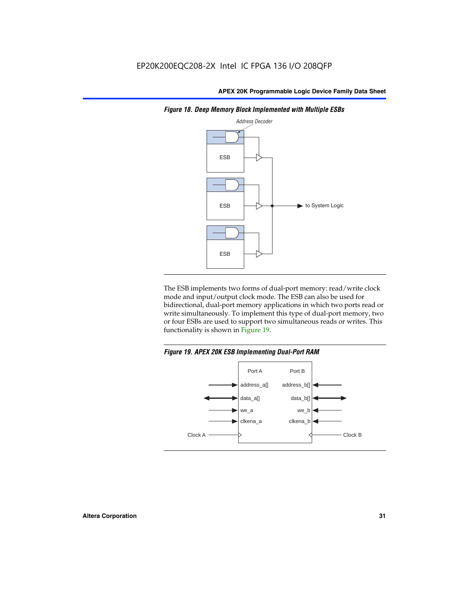

*Figure 18. Deep Memory Block Implemented with Multiple ESBs*

The ESB implements two forms of dual-port memory: read/write clock mode and input/output clock mode. The ESB can also be used for bidirectional, dual-port memory applications in which two ports read or write simultaneously. To implement this type of dual-port memory, two or four ESBs are used to support two simultaneous reads or writes. This functionality is shown in Figure 19.

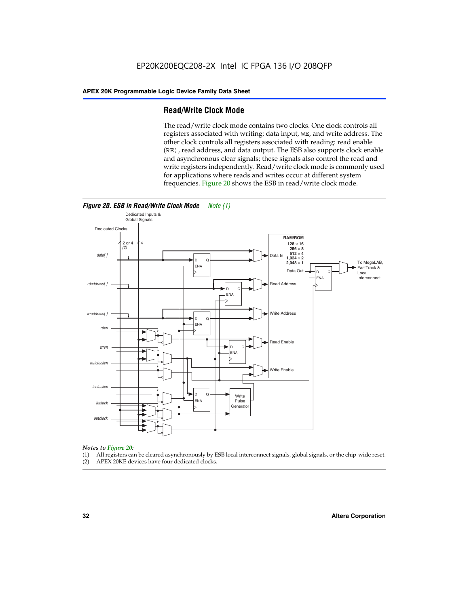#### **Read/Write Clock Mode**

The read/write clock mode contains two clocks. One clock controls all registers associated with writing: data input, WE, and write address. The other clock controls all registers associated with reading: read enable (RE), read address, and data output. The ESB also supports clock enable and asynchronous clear signals; these signals also control the read and write registers independently. Read/write clock mode is commonly used for applications where reads and writes occur at different system frequencies. Figure 20 shows the ESB in read/write clock mode.



## *Notes to Figure 20:*

- (1) All registers can be cleared asynchronously by ESB local interconnect signals, global signals, or the chip-wide reset.
- (2) APEX 20KE devices have four dedicated clocks.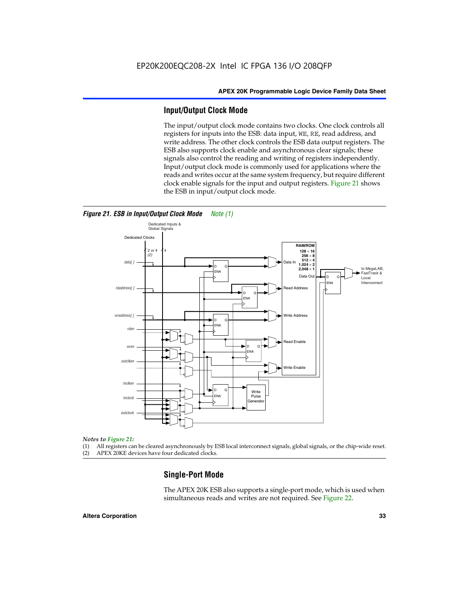#### **Input/Output Clock Mode**

The input/output clock mode contains two clocks. One clock controls all registers for inputs into the ESB: data input, WE, RE, read address, and write address. The other clock controls the ESB data output registers. The ESB also supports clock enable and asynchronous clear signals; these signals also control the reading and writing of registers independently. Input/output clock mode is commonly used for applications where the reads and writes occur at the same system frequency, but require different clock enable signals for the input and output registers. Figure 21 shows the ESB in input/output clock mode.



#### *Figure 21. ESB in Input/Output Clock Mode Note (1)*

#### *Notes to Figure 21:*

(1) All registers can be cleared asynchronously by ESB local interconnect signals, global signals, or the chip-wide reset.

(2) APEX 20KE devices have four dedicated clocks.

#### **Single-Port Mode**

The APEX 20K ESB also supports a single-port mode, which is used when simultaneous reads and writes are not required. See Figure 22.

#### **Altera Corporation 33**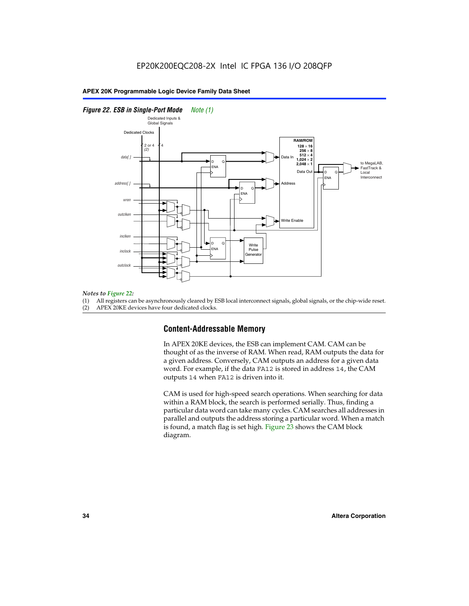#### *Figure 22. ESB in Single-Port Mode Note (1)*



#### *Notes to Figure 22:*

(1) All registers can be asynchronously cleared by ESB local interconnect signals, global signals, or the chip-wide reset.

(2) APEX 20KE devices have four dedicated clocks.

#### **Content-Addressable Memory**

In APEX 20KE devices, the ESB can implement CAM. CAM can be thought of as the inverse of RAM. When read, RAM outputs the data for a given address. Conversely, CAM outputs an address for a given data word. For example, if the data FA12 is stored in address 14, the CAM outputs 14 when FA12 is driven into it.

CAM is used for high-speed search operations. When searching for data within a RAM block, the search is performed serially. Thus, finding a particular data word can take many cycles. CAM searches all addresses in parallel and outputs the address storing a particular word. When a match is found, a match flag is set high. Figure 23 shows the CAM block diagram.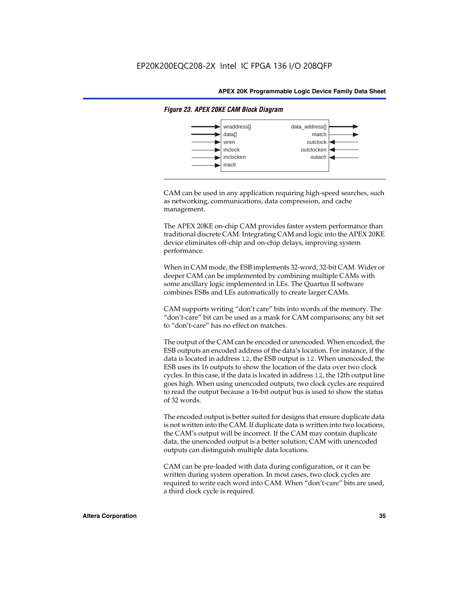

#### *Figure 23. APEX 20KE CAM Block Diagram*

CAM can be used in any application requiring high-speed searches, such as networking, communications, data compression, and cache management.

The APEX 20KE on-chip CAM provides faster system performance than traditional discrete CAM. Integrating CAM and logic into the APEX 20KE device eliminates off-chip and on-chip delays, improving system performance.

When in CAM mode, the ESB implements 32-word, 32-bit CAM. Wider or deeper CAM can be implemented by combining multiple CAMs with some ancillary logic implemented in LEs. The Quartus II software combines ESBs and LEs automatically to create larger CAMs.

CAM supports writing "don't care" bits into words of the memory. The "don't-care" bit can be used as a mask for CAM comparisons; any bit set to "don't-care" has no effect on matches.

The output of the CAM can be encoded or unencoded. When encoded, the ESB outputs an encoded address of the data's location. For instance, if the data is located in address 12, the ESB output is 12. When unencoded, the ESB uses its 16 outputs to show the location of the data over two clock cycles. In this case, if the data is located in address 12, the 12th output line goes high. When using unencoded outputs, two clock cycles are required to read the output because a 16-bit output bus is used to show the status of 32 words.

The encoded output is better suited for designs that ensure duplicate data is not written into the CAM. If duplicate data is written into two locations, the CAM's output will be incorrect. If the CAM may contain duplicate data, the unencoded output is a better solution; CAM with unencoded outputs can distinguish multiple data locations.

CAM can be pre-loaded with data during configuration, or it can be written during system operation. In most cases, two clock cycles are required to write each word into CAM. When "don't-care" bits are used, a third clock cycle is required.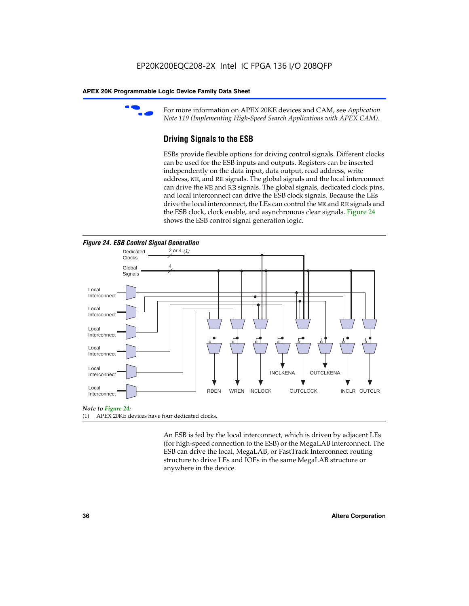

For more information on APEX 20KE devices and CAM, see *Application Note 119 (Implementing High-Speed Search Applications with APEX CAM).*

# **Driving Signals to the ESB**

ESBs provide flexible options for driving control signals. Different clocks can be used for the ESB inputs and outputs. Registers can be inserted independently on the data input, data output, read address, write address, WE, and RE signals. The global signals and the local interconnect can drive the WE and RE signals. The global signals, dedicated clock pins, and local interconnect can drive the ESB clock signals. Because the LEs drive the local interconnect, the LEs can control the WE and RE signals and the ESB clock, clock enable, and asynchronous clear signals. Figure 24 shows the ESB control signal generation logic.





#### *Note to Figure 24:*

(1) APEX 20KE devices have four dedicated clocks.

An ESB is fed by the local interconnect, which is driven by adjacent LEs (for high-speed connection to the ESB) or the MegaLAB interconnect. The ESB can drive the local, MegaLAB, or FastTrack Interconnect routing structure to drive LEs and IOEs in the same MegaLAB structure or anywhere in the device.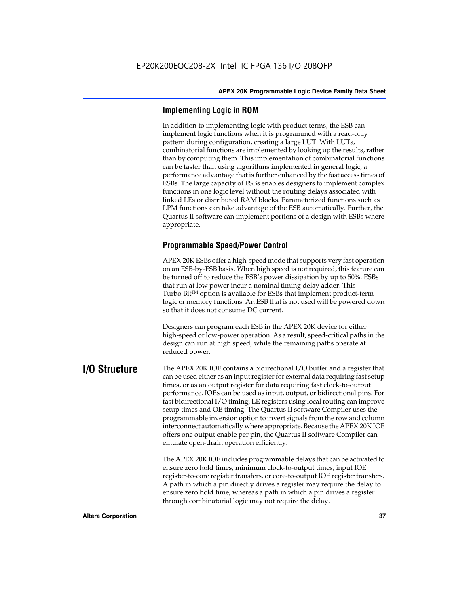# **Implementing Logic in ROM**

In addition to implementing logic with product terms, the ESB can implement logic functions when it is programmed with a read-only pattern during configuration, creating a large LUT. With LUTs, combinatorial functions are implemented by looking up the results, rather than by computing them. This implementation of combinatorial functions can be faster than using algorithms implemented in general logic, a performance advantage that is further enhanced by the fast access times of ESBs. The large capacity of ESBs enables designers to implement complex functions in one logic level without the routing delays associated with linked LEs or distributed RAM blocks. Parameterized functions such as LPM functions can take advantage of the ESB automatically. Further, the Quartus II software can implement portions of a design with ESBs where appropriate.

# **Programmable Speed/Power Control**

APEX 20K ESBs offer a high-speed mode that supports very fast operation on an ESB-by-ESB basis. When high speed is not required, this feature can be turned off to reduce the ESB's power dissipation by up to 50%. ESBs that run at low power incur a nominal timing delay adder. This Turbo  $Bit^{TM}$  option is available for ESBs that implement product-term logic or memory functions. An ESB that is not used will be powered down so that it does not consume DC current.

Designers can program each ESB in the APEX 20K device for either high-speed or low-power operation. As a result, speed-critical paths in the design can run at high speed, while the remaining paths operate at reduced power.

**I/O Structure** The APEX 20K IOE contains a bidirectional I/O buffer and a register that can be used either as an input register for external data requiring fast setup times, or as an output register for data requiring fast clock-to-output performance. IOEs can be used as input, output, or bidirectional pins. For fast bidirectional I/O timing, LE registers using local routing can improve setup times and OE timing. The Quartus II software Compiler uses the programmable inversion option to invert signals from the row and column interconnect automatically where appropriate. Because the APEX 20K IOE offers one output enable per pin, the Quartus II software Compiler can emulate open-drain operation efficiently.

> The APEX 20K IOE includes programmable delays that can be activated to ensure zero hold times, minimum clock-to-output times, input IOE register-to-core register transfers, or core-to-output IOE register transfers. A path in which a pin directly drives a register may require the delay to ensure zero hold time, whereas a path in which a pin drives a register through combinatorial logic may not require the delay.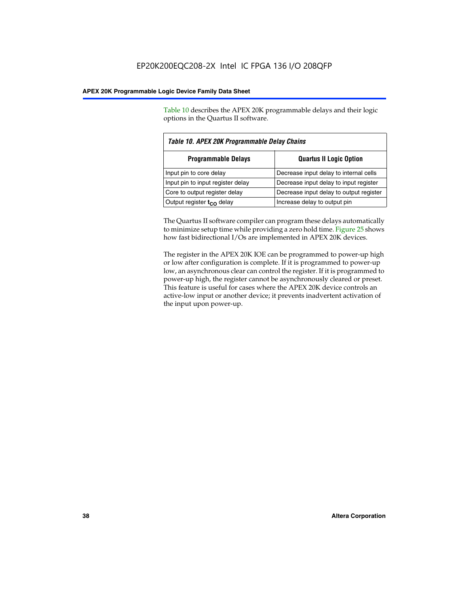Table 10 describes the APEX 20K programmable delays and their logic options in the Quartus II software.

| Table 10. APEX 20K Programmable Delay Chains |                                         |  |  |
|----------------------------------------------|-----------------------------------------|--|--|
| <b>Programmable Delays</b>                   | <b>Quartus II Logic Option</b>          |  |  |
| Input pin to core delay                      | Decrease input delay to internal cells  |  |  |
| Input pin to input register delay            | Decrease input delay to input register  |  |  |
| Core to output register delay                | Decrease input delay to output register |  |  |
| Output register $t_{\rm CO}$ delay           | Increase delay to output pin            |  |  |

The Quartus II software compiler can program these delays automatically to minimize setup time while providing a zero hold time. Figure 25 shows how fast bidirectional I/Os are implemented in APEX 20K devices.

The register in the APEX 20K IOE can be programmed to power-up high or low after configuration is complete. If it is programmed to power-up low, an asynchronous clear can control the register. If it is programmed to power-up high, the register cannot be asynchronously cleared or preset. This feature is useful for cases where the APEX 20K device controls an active-low input or another device; it prevents inadvertent activation of the input upon power-up.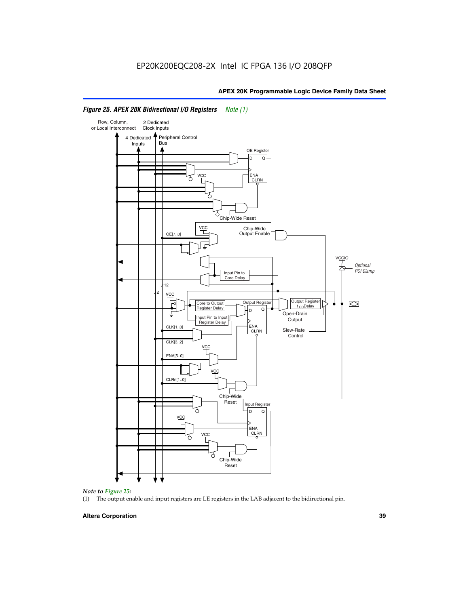

# *Figure 25. APEX 20K Bidirectional I/O Registers Note (1)*



#### **Altera Corporation 39**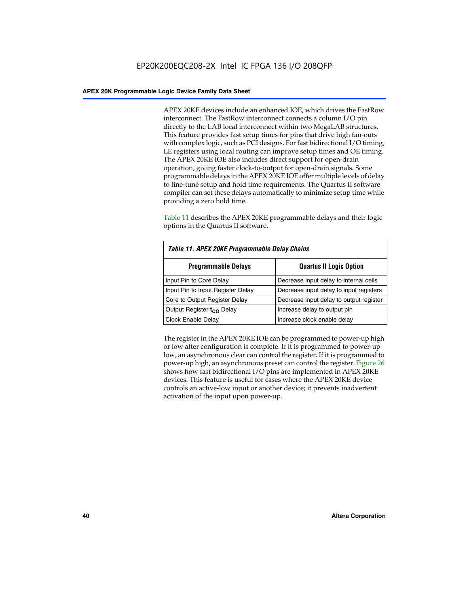APEX 20KE devices include an enhanced IOE, which drives the FastRow interconnect. The FastRow interconnect connects a column I/O pin directly to the LAB local interconnect within two MegaLAB structures. This feature provides fast setup times for pins that drive high fan-outs with complex logic, such as PCI designs. For fast bidirectional I/O timing, LE registers using local routing can improve setup times and OE timing. The APEX 20KE IOE also includes direct support for open-drain operation, giving faster clock-to-output for open-drain signals. Some programmable delays in the APEX 20KE IOE offer multiple levels of delay to fine-tune setup and hold time requirements. The Quartus II software compiler can set these delays automatically to minimize setup time while providing a zero hold time.

Table 11 describes the APEX 20KE programmable delays and their logic options in the Quartus II software.

| Table 11. APEX 20KE Programmable Delay Chains |                                         |  |  |  |
|-----------------------------------------------|-----------------------------------------|--|--|--|
| <b>Programmable Delays</b>                    | <b>Quartus II Logic Option</b>          |  |  |  |
| Input Pin to Core Delay                       | Decrease input delay to internal cells  |  |  |  |
| Input Pin to Input Register Delay             | Decrease input delay to input registers |  |  |  |
| Core to Output Register Delay                 | Decrease input delay to output register |  |  |  |
| Output Register t <sub>CO</sub> Delay         | Increase delay to output pin            |  |  |  |
| <b>Clock Enable Delay</b>                     | Increase clock enable delay             |  |  |  |

The register in the APEX 20KE IOE can be programmed to power-up high or low after configuration is complete. If it is programmed to power-up low, an asynchronous clear can control the register. If it is programmed to power-up high, an asynchronous preset can control the register. Figure 26 shows how fast bidirectional I/O pins are implemented in APEX 20KE devices. This feature is useful for cases where the APEX 20KE device controls an active-low input or another device; it prevents inadvertent activation of the input upon power-up.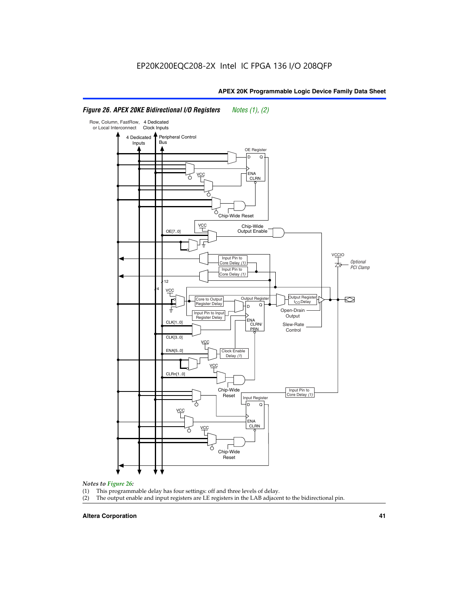#### Row, Column, FastRow, 4 Dedicated or Local Interconnect Clock Inputs Peripheral Control 4 Dedicated **Bus** Inputs OE Register D Q ENA VCC CLRN 7 Chip-Wide Reset YCC Chip-Wide Output Enable OE[7..0] VC Input Pin to **Optional** Core Delay (1) PCI Clamp Input Pin to Core Delay (1) 12 4 **VCC** Output Register **Output Registe**  $\approx$ Core to Output | Output Hegister | Durbut Tropieding | Contput Tropieding | Durbut Tropieding | Output Tropied<br>Register Delay | Durbut Tropieding | Contput Tropieding | Contput Tropieding | O t<sub>CO</sub>Delay  $D$  Q ŧ Open-Drain Input Pin to Input **Output** Register Delay ENA CLK[1..0] CLRN/ Slew-Rate PR<sub>N</sub> Control CLK[3..0] VCC ENA[5..0] Clock Enable Delay (1) VCC CLRn[1..0] Chip-Wide Input Pin to Core Delay (1) Reset Input Register D Q VCC .<br>ENA CLRN **VCC** Chip-Wide Reset

# *Figure 26. APEX 20KE Bidirectional I/O Registers Notes (1), (2)*

#### *Notes to Figure 26:*

- 
- (1) This programmable delay has four settings: off and three levels of delay.<br>(2) The output enable and input registers are LE registers in the LAB adjacer The output enable and input registers are LE registers in the LAB adjacent to the bidirectional pin.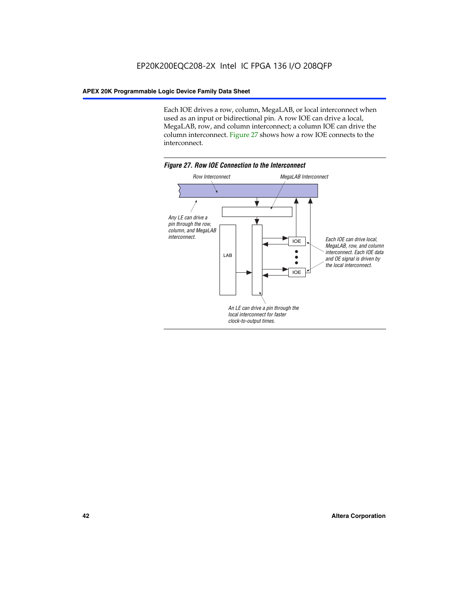Each IOE drives a row, column, MegaLAB, or local interconnect when used as an input or bidirectional pin. A row IOE can drive a local, MegaLAB, row, and column interconnect; a column IOE can drive the column interconnect. Figure 27 shows how a row IOE connects to the interconnect.

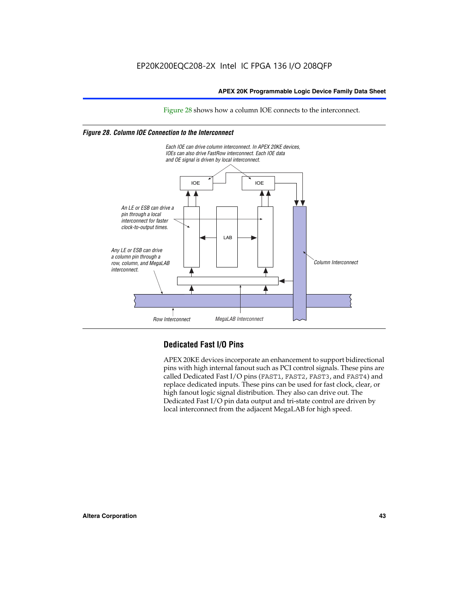Figure 28 shows how a column IOE connects to the interconnect.

# *Figure 28. Column IOE Connection to the Interconnect*



# **Dedicated Fast I/O Pins**

APEX 20KE devices incorporate an enhancement to support bidirectional pins with high internal fanout such as PCI control signals. These pins are called Dedicated Fast I/O pins (FAST1, FAST2, FAST3, and FAST4) and replace dedicated inputs. These pins can be used for fast clock, clear, or high fanout logic signal distribution. They also can drive out. The Dedicated Fast I/O pin data output and tri-state control are driven by local interconnect from the adjacent MegaLAB for high speed.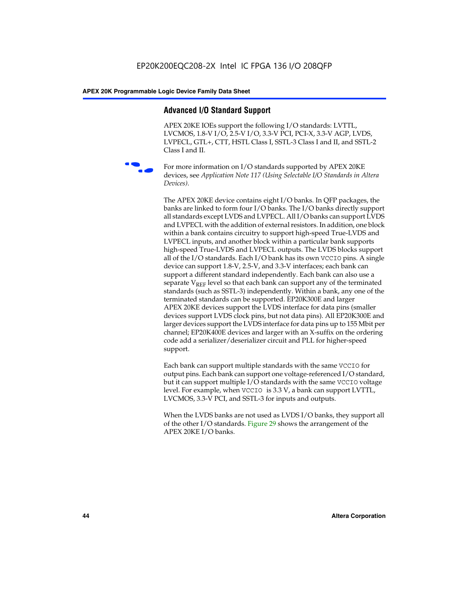# **Advanced I/O Standard Support**

APEX 20KE IOEs support the following I/O standards: LVTTL, LVCMOS, 1.8-V I/O, 2.5-V I/O, 3.3-V PCI, PCI-X, 3.3-V AGP, LVDS, LVPECL, GTL+, CTT, HSTL Class I, SSTL-3 Class I and II, and SSTL-2 Class I and II.



For more information on I/O standards supported by APEX 20KE devices, see *Application Note 117 (Using Selectable I/O Standards in Altera Devices)*.

The APEX 20KE device contains eight I/O banks. In QFP packages, the banks are linked to form four I/O banks. The I/O banks directly support all standards except LVDS and LVPECL. All I/O banks can support LVDS and LVPECL with the addition of external resistors. In addition, one block within a bank contains circuitry to support high-speed True-LVDS and LVPECL inputs, and another block within a particular bank supports high-speed True-LVDS and LVPECL outputs. The LVDS blocks support all of the I/O standards. Each I/O bank has its own VCCIO pins. A single device can support 1.8-V, 2.5-V, and 3.3-V interfaces; each bank can support a different standard independently. Each bank can also use a separate  $V_{\text{REF}}$  level so that each bank can support any of the terminated standards (such as SSTL-3) independently. Within a bank, any one of the terminated standards can be supported. EP20K300E and larger APEX 20KE devices support the LVDS interface for data pins (smaller devices support LVDS clock pins, but not data pins). All EP20K300E and larger devices support the LVDS interface for data pins up to 155 Mbit per channel; EP20K400E devices and larger with an X-suffix on the ordering code add a serializer/deserializer circuit and PLL for higher-speed support.

Each bank can support multiple standards with the same VCCIO for output pins. Each bank can support one voltage-referenced I/O standard, but it can support multiple I/O standards with the same VCCIO voltage level. For example, when VCCIO is 3.3 V, a bank can support LVTTL, LVCMOS, 3.3-V PCI, and SSTL-3 for inputs and outputs.

When the LVDS banks are not used as LVDS I/O banks, they support all of the other I/O standards. Figure 29 shows the arrangement of the APEX 20KE I/O banks.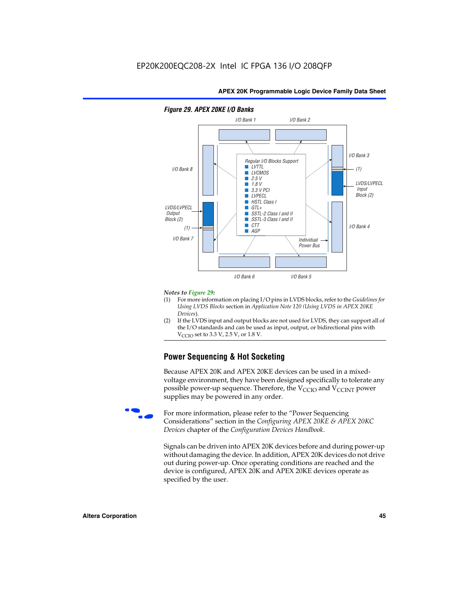

# *Figure 29. APEX 20KE I/O Banks*

#### *Notes to Figure 29:*

- (1) For more information on placing I/O pins in LVDS blocks, refer to the *Guidelines for Using LVDS Blocks* section in *Application Note 120 (Using LVDS in APEX 20KE Devices*).
- (2) If the LVDS input and output blocks are not used for LVDS, they can support all of the I/O standards and can be used as input, output, or bidirectional pins with  $V_{\text{C} \cap \text{O}}$  set to 3.3 V, 2.5 V, or 1.8 V.

# **Power Sequencing & Hot Socketing**

Because APEX 20K and APEX 20KE devices can be used in a mixedvoltage environment, they have been designed specifically to tolerate any possible power-up sequence. Therefore, the  $V_{\text{CCIO}}$  and  $V_{\text{CCINT}}$  power supplies may be powered in any order.

For more information, please refer to the "Power Sequencing Considerations" section in the *Configuring APEX 20KE & APEX 20KC Devices* chapter of the *Configuration Devices Handbook*.

Signals can be driven into APEX 20K devices before and during power-up without damaging the device. In addition, APEX 20K devices do not drive out during power-up. Once operating conditions are reached and the device is configured, APEX 20K and APEX 20KE devices operate as specified by the user.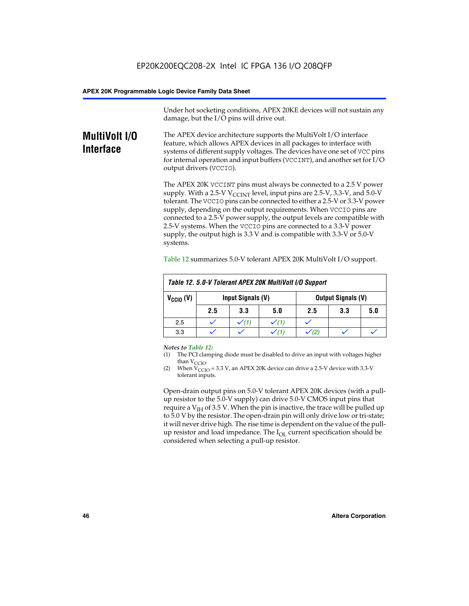Under hot socketing conditions, APEX 20KE devices will not sustain any damage, but the I/O pins will drive out.

# **MultiVolt I/O Interface**

The APEX device architecture supports the MultiVolt I/O interface feature, which allows APEX devices in all packages to interface with systems of different supply voltages. The devices have one set of VCC pins for internal operation and input buffers (VCCINT), and another set for I/O output drivers (VCCIO).

The APEX 20K VCCINT pins must always be connected to a 2.5 V power supply. With a 2.5-V  $V_{\text{CCMT}}$  level, input pins are 2.5-V, 3.3-V, and 5.0-V tolerant. The VCCIO pins can be connected to either a 2.5-V or 3.3-V power supply, depending on the output requirements. When VCCIO pins are connected to a 2.5-V power supply, the output levels are compatible with 2.5-V systems. When the VCCIO pins are connected to a 3.3-V power supply, the output high is 3.3 V and is compatible with 3.3-V or 5.0-V systems.

| Table 12. 5.0-V Tolerant APEX 20K MultiVolt I/O Support |                                                |                  |     |     |     |     |
|---------------------------------------------------------|------------------------------------------------|------------------|-----|-----|-----|-----|
| $V_{\text{CCIO}}(V)$                                    | Input Signals (V)<br><b>Output Signals (V)</b> |                  |     |     |     |     |
|                                                         | 2.5                                            | 3.3              | 5.0 | 2.5 | 3.3 | 5.0 |
| 2.5                                                     |                                                | $\checkmark$ (1) |     |     |     |     |
| 3.3                                                     |                                                |                  |     |     |     |     |

Table 12 summarizes 5.0-V tolerant APEX 20K MultiVolt I/O support.

#### *Notes to Table 12:*

- (1) The PCI clamping diode must be disabled to drive an input with voltages higher than  $V_{CCIO}$ .
- (2) When  $V_{CCIO} = 3.3 V$ , an APEX 20K device can drive a 2.5-V device with 3.3-V tolerant inputs.

Open-drain output pins on 5.0-V tolerant APEX 20K devices (with a pullup resistor to the 5.0-V supply) can drive 5.0-V CMOS input pins that require a  $V_{IH}$  of 3.5 V. When the pin is inactive, the trace will be pulled up to 5.0 V by the resistor. The open-drain pin will only drive low or tri-state; it will never drive high. The rise time is dependent on the value of the pullup resistor and load impedance. The  $I_{OI}$  current specification should be considered when selecting a pull-up resistor.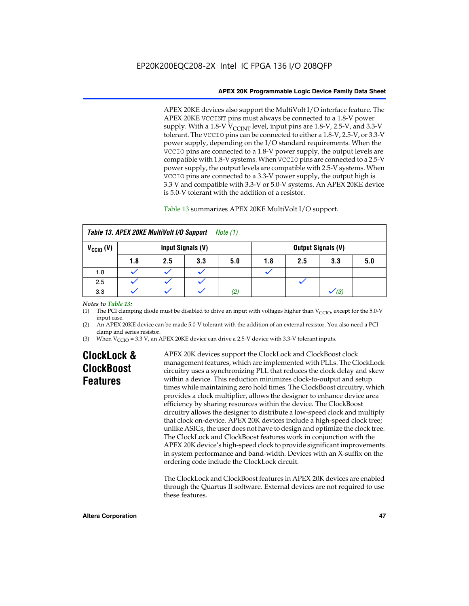APEX 20KE devices also support the MultiVolt I/O interface feature. The APEX 20KE VCCINT pins must always be connected to a 1.8-V power supply. With a 1.8-V  $V_{\text{CCINT}}$  level, input pins are 1.8-V, 2.5-V, and 3.3-V tolerant. The VCCIO pins can be connected to either a 1.8-V, 2.5-V, or 3.3-V power supply, depending on the I/O standard requirements. When the VCCIO pins are connected to a 1.8-V power supply, the output levels are compatible with 1.8-V systems. When VCCIO pins are connected to a 2.5-V power supply, the output levels are compatible with 2.5-V systems. When VCCIO pins are connected to a 3.3-V power supply, the output high is 3.3 V and compatible with 3.3-V or 5.0-V systems. An APEX 20KE device is 5.0-V tolerant with the addition of a resistor.

# Table 13 summarizes APEX 20KE MultiVolt I/O support.

|                      | Table 13. APEX 20KE MultiVolt I/O Support<br>Note (1) |     |                   |     |     |     |                           |     |
|----------------------|-------------------------------------------------------|-----|-------------------|-----|-----|-----|---------------------------|-----|
| $V_{\text{CCIO}}(V)$ |                                                       |     | Input Signals (V) |     |     |     | <b>Output Signals (V)</b> |     |
|                      | 1.8                                                   | 2.5 | 3.3               | 5.0 | 1.8 | 2.5 | 3.3                       | 5.0 |
| 1.8                  |                                                       |     |                   |     |     |     |                           |     |
| 2.5                  |                                                       |     |                   |     |     |     |                           |     |
| 3.3                  |                                                       |     |                   | (2) |     |     | (3)                       |     |

## *Notes to Table 13:*

(1) The PCI clamping diode must be disabled to drive an input with voltages higher than  $V_{CCIO}$ , except for the 5.0-V input case.

(2) An APEX 20KE device can be made 5.0-V tolerant with the addition of an external resistor. You also need a PCI clamp and series resistor.

(3) When  $V_{\text{CCIO}} = 3.3$  V, an APEX 20KE device can drive a 2.5-V device with 3.3-V tolerant inputs.

# **ClockLock & ClockBoost Features**

APEX 20K devices support the ClockLock and ClockBoost clock management features, which are implemented with PLLs. The ClockLock circuitry uses a synchronizing PLL that reduces the clock delay and skew within a device. This reduction minimizes clock-to-output and setup times while maintaining zero hold times. The ClockBoost circuitry, which provides a clock multiplier, allows the designer to enhance device area efficiency by sharing resources within the device. The ClockBoost circuitry allows the designer to distribute a low-speed clock and multiply that clock on-device. APEX 20K devices include a high-speed clock tree; unlike ASICs, the user does not have to design and optimize the clock tree. The ClockLock and ClockBoost features work in conjunction with the APEX 20K device's high-speed clock to provide significant improvements in system performance and band-width. Devices with an X-suffix on the ordering code include the ClockLock circuit.

The ClockLock and ClockBoost features in APEX 20K devices are enabled through the Quartus II software. External devices are not required to use these features.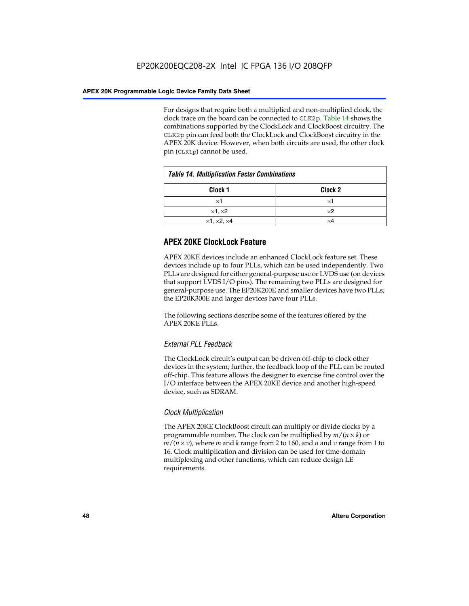For designs that require both a multiplied and non-multiplied clock, the clock trace on the board can be connected to CLK2p. Table 14 shows the combinations supported by the ClockLock and ClockBoost circuitry. The CLK2p pin can feed both the ClockLock and ClockBoost circuitry in the APEX 20K device. However, when both circuits are used, the other clock pin (CLK1p) cannot be used.

| <b>Table 14. Multiplication Factor Combinations</b> |                    |  |
|-----------------------------------------------------|--------------------|--|
| Clock 1                                             | Clock <sub>2</sub> |  |
| ×1                                                  | ×1                 |  |
| $\times$ 1, $\times$ 2                              | $\times 2$         |  |
| $\times$ 1, $\times$ 2, $\times$ 4                  | ×4                 |  |

# **APEX 20KE ClockLock Feature**

APEX 20KE devices include an enhanced ClockLock feature set. These devices include up to four PLLs, which can be used independently. Two PLLs are designed for either general-purpose use or LVDS use (on devices that support LVDS I/O pins). The remaining two PLLs are designed for general-purpose use. The EP20K200E and smaller devices have two PLLs; the EP20K300E and larger devices have four PLLs.

The following sections describe some of the features offered by the APEX 20KE PLLs.

# *External PLL Feedback*

The ClockLock circuit's output can be driven off-chip to clock other devices in the system; further, the feedback loop of the PLL can be routed off-chip. This feature allows the designer to exercise fine control over the I/O interface between the APEX 20KE device and another high-speed device, such as SDRAM.

# *Clock Multiplication*

The APEX 20KE ClockBoost circuit can multiply or divide clocks by a programmable number. The clock can be multiplied by *m*/(*n* × *k*) or  $m/(n \times v)$ , where *m* and *k* range from 2 to 160, and *n* and *v* range from 1 to 16. Clock multiplication and division can be used for time-domain multiplexing and other functions, which can reduce design LE requirements.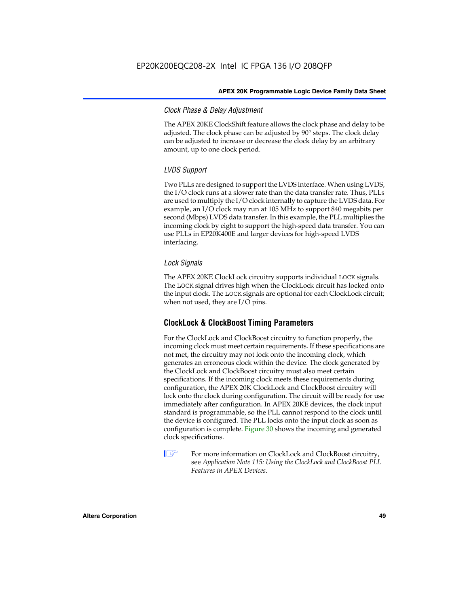# *Clock Phase & Delay Adjustment*

The APEX 20KE ClockShift feature allows the clock phase and delay to be adjusted. The clock phase can be adjusted by 90° steps. The clock delay can be adjusted to increase or decrease the clock delay by an arbitrary amount, up to one clock period.

# *LVDS Support*

Two PLLs are designed to support the LVDS interface. When using LVDS, the I/O clock runs at a slower rate than the data transfer rate. Thus, PLLs are used to multiply the I/O clock internally to capture the LVDS data. For example, an I/O clock may run at 105 MHz to support 840 megabits per second (Mbps) LVDS data transfer. In this example, the PLL multiplies the incoming clock by eight to support the high-speed data transfer. You can use PLLs in EP20K400E and larger devices for high-speed LVDS interfacing.

# *Lock Signals*

The APEX 20KE ClockLock circuitry supports individual LOCK signals. The LOCK signal drives high when the ClockLock circuit has locked onto the input clock. The LOCK signals are optional for each ClockLock circuit; when not used, they are I/O pins.

# **ClockLock & ClockBoost Timing Parameters**

For the ClockLock and ClockBoost circuitry to function properly, the incoming clock must meet certain requirements. If these specifications are not met, the circuitry may not lock onto the incoming clock, which generates an erroneous clock within the device. The clock generated by the ClockLock and ClockBoost circuitry must also meet certain specifications. If the incoming clock meets these requirements during configuration, the APEX 20K ClockLock and ClockBoost circuitry will lock onto the clock during configuration. The circuit will be ready for use immediately after configuration. In APEX 20KE devices, the clock input standard is programmable, so the PLL cannot respond to the clock until the device is configured. The PLL locks onto the input clock as soon as configuration is complete. Figure 30 shows the incoming and generated clock specifications.

 $\mathbb{I} \mathcal{F}$  For more information on ClockLock and ClockBoost circuitry, see *Application Note 115: Using the ClockLock and ClockBoost PLL Features in APEX Devices*.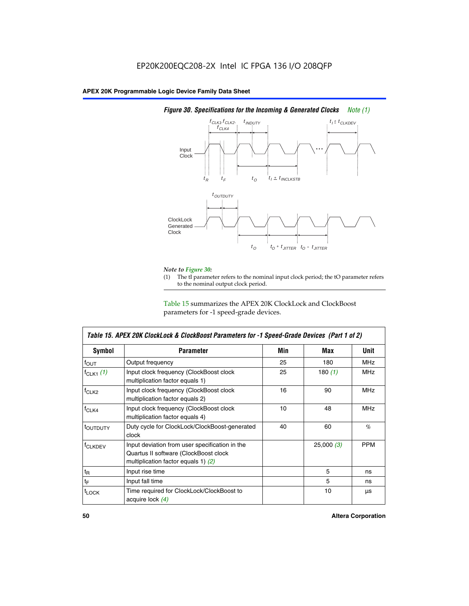

# *Figure 30. Specifications for the Incoming & Generated Clocks Note (1)*

# *Note to Figure 30:*

The tI parameter refers to the nominal input clock period; the tO parameter refers to the nominal output clock period.

Table 15 summarizes the APEX 20K ClockLock and ClockBoost parameters for -1 speed-grade devices.

| Symbol                    | Table 15. APEX 20K ClockLock & ClockBoost Parameters for -1 Speed-Grade Devices (Part 1 of 2)<br><b>Parameter</b>                | Min | Max       | <b>Unit</b> |
|---------------------------|----------------------------------------------------------------------------------------------------------------------------------|-----|-----------|-------------|
| $f_{OUT}$                 | Output frequency                                                                                                                 | 25  | 180       | MHz         |
| $f_{CLK1}$ $(1)$          | Input clock frequency (ClockBoost clock<br>multiplication factor equals 1)                                                       | 25  | 180 $(1)$ | <b>MHz</b>  |
| $f_{CLK2}$                | Input clock frequency (ClockBoost clock<br>multiplication factor equals 2)                                                       | 16  | 90        | <b>MHz</b>  |
| $f_{CLK4}$                | Input clock frequency (ClockBoost clock<br>multiplication factor equals 4)                                                       | 10  | 48        | <b>MHz</b>  |
| toutputy                  | Duty cycle for ClockLock/ClockBoost-generated<br>clock                                                                           | 40  | 60        | %           |
| <b>f<sub>CLKDEV</sub></b> | Input deviation from user specification in the<br>Quartus II software (ClockBoost clock<br>multiplication factor equals 1) $(2)$ |     | 25,000(3) | <b>PPM</b>  |
| $t_{\mathsf{R}}$          | Input rise time                                                                                                                  |     | 5         | ns          |
| $t_{\text{F}}$            | Input fall time                                                                                                                  |     | 5         | ns          |
| <sup>t</sup> LOCK         | Time required for ClockLock/ClockBoost to<br>acquire lock (4)                                                                    |     | 10        | μs          |

 $\mathsf I$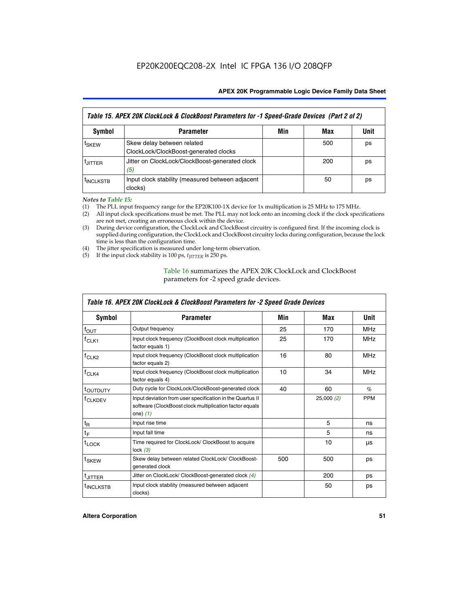| Table 15. APEX 20K ClockLock & ClockBoost Parameters for -1 Speed-Grade Devices (Part 2 of 2) |                                                                     |     |     |      |
|-----------------------------------------------------------------------------------------------|---------------------------------------------------------------------|-----|-----|------|
| <b>Symbol</b>                                                                                 | <b>Parameter</b>                                                    | Min | Max | Unit |
| t <sub>SKEW</sub>                                                                             | Skew delay between related<br>ClockLock/ClockBoost-generated clocks |     | 500 | ps   |
| <b>UITTER</b>                                                                                 | Jitter on ClockLock/ClockBoost-generated clock<br>(5)               |     | 200 | ps   |
| <b>INCLKSTB</b>                                                                               | Input clock stability (measured between adjacent<br>clocks)         |     | 50  | ps   |

*Notes to Table 15:*

- (1) The PLL input frequency range for the EP20K100-1X device for 1x multiplication is 25 MHz to 175 MHz.
- (2) All input clock specifications must be met. The PLL may not lock onto an incoming clock if the clock specifications are not met, creating an erroneous clock within the device.
- (3) During device configuration, the ClockLock and ClockBoost circuitry is configured first. If the incoming clock is supplied during configuration, the ClockLock and ClockBoost circuitry locks during configuration, because the lock time is less than the configuration time.
- (4) The jitter specification is measured under long-term observation.
- (5) If the input clock stability is 100 ps,  $t_{\text{JITTER}}$  is 250 ps.

# Table 16 summarizes the APEX 20K ClockLock and ClockBoost parameters for -2 speed grade devices.

| Symbol                                                                                   | <b>Parameter</b>                                                                                                                   | Min | Max       | Unit       |
|------------------------------------------------------------------------------------------|------------------------------------------------------------------------------------------------------------------------------------|-----|-----------|------------|
| f <sub>ouт</sub>                                                                         | Output frequency                                                                                                                   | 25  | 170       | <b>MHz</b> |
| $f_{CLK1}$                                                                               | Input clock frequency (ClockBoost clock multiplication<br>factor equals 1)                                                         | 25  | 170       | <b>MHz</b> |
| $f_{CLK2}$                                                                               | Input clock frequency (ClockBoost clock multiplication<br>factor equals 2)                                                         | 16  | 80        | <b>MHz</b> |
| Input clock frequency (ClockBoost clock multiplication<br>$f_{CLK4}$<br>factor equals 4) |                                                                                                                                    | 10  | 34        | <b>MHz</b> |
| <sup>t</sup> OUTDUTY                                                                     | Duty cycle for ClockLock/ClockBoost-generated clock                                                                                | 40  | 60        | $\%$       |
| <sup>T</sup> CLKDEV                                                                      | Input deviation from user specification in the Quartus II<br>software (ClockBoost clock multiplication factor equals<br>one) $(1)$ |     | 25,000(2) | <b>PPM</b> |
| $t_{\mathsf{R}}$                                                                         | Input rise time                                                                                                                    |     | 5         | ns         |
| $t_F$                                                                                    | Input fall time                                                                                                                    |     | 5         | ns         |
| $t_{\text{LOCK}}$                                                                        | Time required for ClockLock/ ClockBoost to acquire<br>lock $(3)$                                                                   |     | 10        | μs         |
| t <sub>SKEW</sub>                                                                        | Skew delay between related ClockLock/ ClockBoost-<br>generated clock                                                               | 500 | 500       | ps         |
| t <sub>JITTER</sub>                                                                      | Jitter on ClockLock/ ClockBoost-generated clock (4)                                                                                |     | 200       | ps         |
| <sup>I</sup> INCLKSTB                                                                    | Input clock stability (measured between adjacent<br>clocks)                                                                        |     | 50        | ps         |

# *Table 16. APEX 20K ClockLock & ClockBoost Parameters for -2 Speed Grade Devices*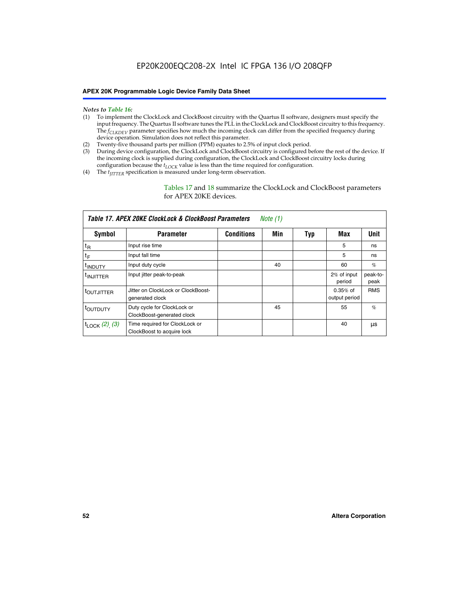#### *Notes to Table 16:*

- (1) To implement the ClockLock and ClockBoost circuitry with the Quartus II software, designers must specify the input frequency. The Quartus II software tunes the PLL in the ClockLock and ClockBoost circuitry to this frequency. The *f<sub>CLKDEV</sub>* parameter specifies how much the incoming clock can differ from the specified frequency during device operation. Simulation does not reflect this parameter.
- (2) Twenty-five thousand parts per million (PPM) equates to 2.5% of input clock period.
- (3) During device configuration, the ClockLock and ClockBoost circuitry is configured before the rest of the device. If the incoming clock is supplied during configuration, the ClockLock and ClockBoost circuitry locks during configuration because the  $t_{LOCK}$  value is less than the time required for configuration.
- (4) The  $t_{\text{ITTTER}}$  specification is measured under long-term observation.

Tables 17 and 18 summarize the ClockLock and ClockBoost parameters for APEX 20KE devices.

|                            | Table 17. APEX 20KE ClockLock & ClockBoost Parameters        |                   | Note (1) |     |                             |                  |
|----------------------------|--------------------------------------------------------------|-------------------|----------|-----|-----------------------------|------------------|
| Symbol                     | <b>Parameter</b>                                             | <b>Conditions</b> | Min      | Typ | Max                         | <b>Unit</b>      |
| $t_{R}$                    | Input rise time                                              |                   |          |     | 5                           | ns               |
| tF                         | Input fall time                                              |                   |          |     | 5                           | ns               |
| <sup>t</sup> INDUTY        | Input duty cycle                                             |                   | 40       |     | 60                          | %                |
| <sup>t</sup> INJITTER      | Input jitter peak-to-peak                                    |                   |          |     | 2% of input<br>period       | peak-to-<br>peak |
| <sup>t</sup> OUTJITTER     | Jitter on ClockLock or ClockBoost-<br>generated clock        |                   |          |     | $0.35%$ of<br>output period | <b>RMS</b>       |
| t <sub>outputy</sub>       | Duty cycle for ClockLock or<br>ClockBoost-generated clock    |                   | 45       |     | 55                          | $\%$             |
| $t_{\text{LOCK}}$ (2), (3) | Time required for ClockLock or<br>ClockBoost to acquire lock |                   |          |     | 40                          | μs               |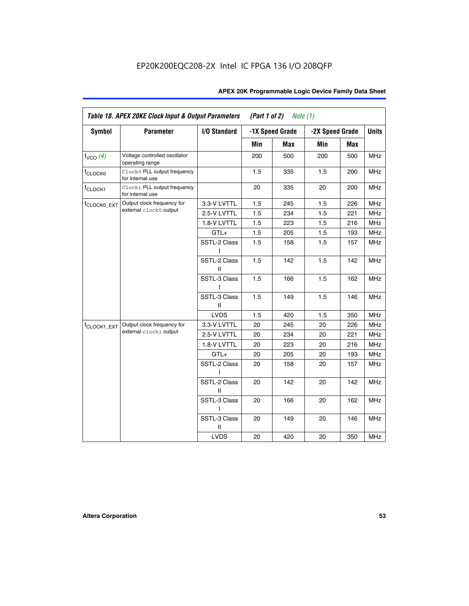| Table 18. APEX 20KE Clock Input & Output Parameters<br>(Part 1 of 2)<br>Note $(1)$ |                                                  |                   |     |                 |                 |     |              |
|------------------------------------------------------------------------------------|--------------------------------------------------|-------------------|-----|-----------------|-----------------|-----|--------------|
| <b>Symbol</b>                                                                      | <b>Parameter</b>                                 | I/O Standard      |     | -1X Speed Grade | -2X Speed Grade |     | <b>Units</b> |
|                                                                                    |                                                  |                   | Min | <b>Max</b>      | Min             | Max |              |
| $f_{VCO}$ (4)                                                                      | Voltage controlled oscillator<br>operating range |                   | 200 | 500             | 200             | 500 | <b>MHz</b>   |
| f <sub>CLOCK0</sub>                                                                | Clock0 PLL output frequency<br>for internal use  |                   | 1.5 | 335             | 1.5             | 200 | <b>MHz</b>   |
| f <sub>CLOCK1</sub>                                                                | Clock1 PLL output frequency<br>for internal use  |                   | 20  | 335             | 20              | 200 | MHz          |
| <sup>f</sup> CLOCK0_EXT                                                            | Output clock frequency for                       | 3.3-V LVTTL       | 1.5 | 245             | 1.5             | 226 | <b>MHz</b>   |
|                                                                                    | external clock0 output                           | 2.5-V LVTTL       | 1.5 | 234             | 1.5             | 221 | <b>MHz</b>   |
|                                                                                    |                                                  | 1.8-V LVTTL       | 1.5 | 223             | 1.5             | 216 | <b>MHz</b>   |
|                                                                                    |                                                  | $GTL+$            | 1.5 | 205             | 1.5             | 193 | <b>MHz</b>   |
|                                                                                    |                                                  | SSTL-2 Class<br>ı | 1.5 | 158             | 1.5             | 157 | MHz          |
|                                                                                    |                                                  | SSTL-2 Class<br>Ш | 1.5 | 142             | 1.5             | 142 | <b>MHz</b>   |
|                                                                                    |                                                  | SSTL-3 Class      | 1.5 | 166             | 1.5             | 162 | MHz          |
|                                                                                    |                                                  | SSTL-3 Class<br>Ш | 1.5 | 149             | 1.5             | 146 | <b>MHz</b>   |
|                                                                                    |                                                  | <b>LVDS</b>       | 1.5 | 420             | 1.5             | 350 | <b>MHz</b>   |
| f <sub>CLOCK1_EXT</sub>                                                            | Output clock frequency for                       | 3.3-V LVTTL       | 20  | 245             | 20              | 226 | <b>MHz</b>   |
|                                                                                    | external clock1 output                           | 2.5-V LVTTL       | 20  | 234             | 20              | 221 | <b>MHz</b>   |
|                                                                                    |                                                  | 1.8-V LVTTL       | 20  | 223             | 20              | 216 | <b>MHz</b>   |
|                                                                                    |                                                  | $GTL+$            | 20  | 205             | 20              | 193 | <b>MHz</b>   |
|                                                                                    |                                                  | SSTL-2 Class      | 20  | 158             | 20              | 157 | <b>MHz</b>   |
|                                                                                    |                                                  | SSTL-2 Class<br>Ш | 20  | 142             | 20              | 142 | <b>MHz</b>   |
|                                                                                    |                                                  | SSTL-3 Class<br>I | 20  | 166             | 20              | 162 | <b>MHz</b>   |
|                                                                                    |                                                  | SSTL-3 Class<br>Ш | 20  | 149             | 20              | 146 | <b>MHz</b>   |
|                                                                                    |                                                  | <b>LVDS</b>       | 20  | 420             | 20              | 350 | <b>MHz</b>   |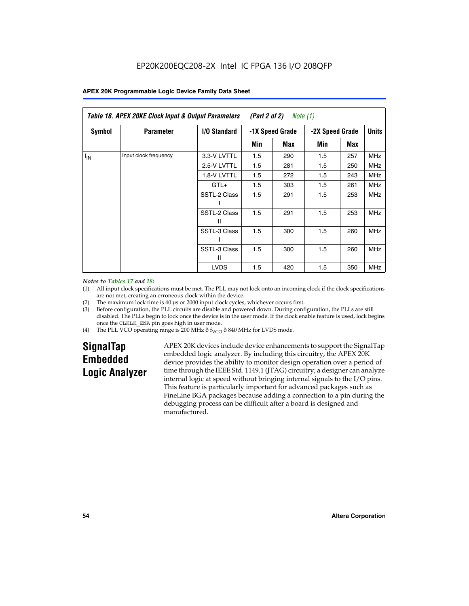|               | Table 18. APEX 20KE Clock Input & Output Parameters<br>(Part 2 of 2)<br>Note (1) |                   |                 |     |                 |            |              |
|---------------|----------------------------------------------------------------------------------|-------------------|-----------------|-----|-----------------|------------|--------------|
| <b>Symbol</b> | <b>Parameter</b>                                                                 | I/O Standard      | -1X Speed Grade |     | -2X Speed Grade |            | <b>Units</b> |
|               |                                                                                  |                   | Min             | Max | Min             | Max        |              |
| $f_{IN}$      | Input clock frequency                                                            | 3.3-V LVTTL       | 1.5             | 290 | 1.5             | 257        | <b>MHz</b>   |
|               | 2.5-V LVTTL                                                                      | 1.5               | 281             | 1.5 | 250             | <b>MHz</b> |              |
|               |                                                                                  | 1.8-V LVTTL       | 1.5             | 272 | 1.5             | 243        | <b>MHz</b>   |
|               | $GTL+$                                                                           | 1.5               | 303             | 1.5 | 261             | <b>MHz</b> |              |
|               |                                                                                  | SSTL-2 Class      | 1.5             | 291 | 1.5             | 253        | <b>MHz</b>   |
|               |                                                                                  | SSTL-2 Class<br>Ш | 1.5             | 291 | 1.5             | 253        | <b>MHz</b>   |
|               |                                                                                  | SSTL-3 Class      | 1.5             | 300 | 1.5             | 260        | <b>MHz</b>   |
|               |                                                                                  | SSTL-3 Class<br>Ш | 1.5             | 300 | 1.5             | 260        | <b>MHz</b>   |
|               |                                                                                  | <b>LVDS</b>       | 1.5             | 420 | 1.5             | 350        | <b>MHz</b>   |

### *Notes to Tables 17 and 18:*

(1) All input clock specifications must be met. The PLL may not lock onto an incoming clock if the clock specifications are not met, creating an erroneous clock within the device.

- (2) The maximum lock time is 40 µs or 2000 input clock cycles, whichever occurs first.
- (3) Before configuration, the PLL circuits are disable and powered down. During configuration, the PLLs are still disabled. The PLLs begin to lock once the device is in the user mode. If the clock enable feature is used, lock begins once the CLKLK\_ENA pin goes high in user mode.
- (4) The PLL VCO operating range is 200 MHz  $\eth$  f<sub>VCO</sub>  $\eth$  840 MHz for LVDS mode.

# **SignalTap Embedded Logic Analyzer**

APEX 20K devices include device enhancements to support the SignalTap embedded logic analyzer. By including this circuitry, the APEX 20K device provides the ability to monitor design operation over a period of time through the IEEE Std. 1149.1 (JTAG) circuitry; a designer can analyze internal logic at speed without bringing internal signals to the I/O pins. This feature is particularly important for advanced packages such as FineLine BGA packages because adding a connection to a pin during the debugging process can be difficult after a board is designed and manufactured.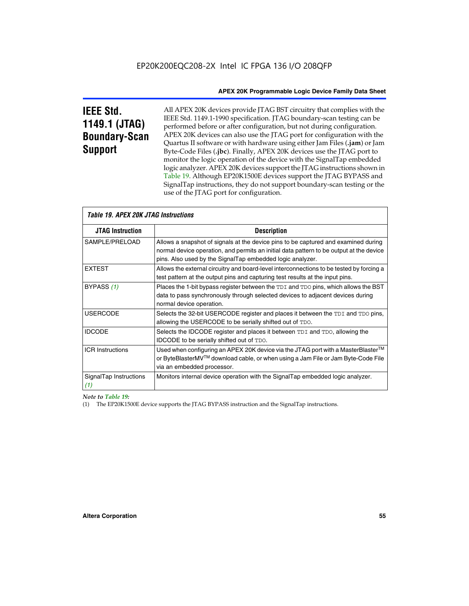# **IEEE Std. 1149.1 (JTAG) Boundary-Scan Support**

Г

All APEX 20K devices provide JTAG BST circuitry that complies with the IEEE Std. 1149.1-1990 specification. JTAG boundary-scan testing can be performed before or after configuration, but not during configuration. APEX 20K devices can also use the JTAG port for configuration with the Quartus II software or with hardware using either Jam Files (**.jam**) or Jam Byte-Code Files (**.jbc**). Finally, APEX 20K devices use the JTAG port to monitor the logic operation of the device with the SignalTap embedded logic analyzer. APEX 20K devices support the JTAG instructions shown in Table 19. Although EP20K1500E devices support the JTAG BYPASS and SignalTap instructions, they do not support boundary-scan testing or the use of the JTAG port for configuration.

| <i><b>Table 19. APEX 20K JTAG Instructions</b></i> |                                                                                                                                                                                                                                            |
|----------------------------------------------------|--------------------------------------------------------------------------------------------------------------------------------------------------------------------------------------------------------------------------------------------|
| <b>JTAG Instruction</b>                            | <b>Description</b>                                                                                                                                                                                                                         |
| SAMPLE/PRELOAD                                     | Allows a snapshot of signals at the device pins to be captured and examined during<br>normal device operation, and permits an initial data pattern to be output at the device<br>pins. Also used by the SignalTap embedded logic analyzer. |
| <b>EXTEST</b>                                      | Allows the external circuitry and board-level interconnections to be tested by forcing a<br>test pattern at the output pins and capturing test results at the input pins.                                                                  |
| BYPASS (1)                                         | Places the 1-bit bypass register between the TDI and TDO pins, which allows the BST<br>data to pass synchronously through selected devices to adjacent devices during<br>normal device operation.                                          |
| <b>USERCODE</b>                                    | Selects the 32-bit USERCODE register and places it between the TDI and TDO pins,<br>allowing the USERCODE to be serially shifted out of TDO.                                                                                               |
| <b>IDCODE</b>                                      | Selects the IDCODE register and places it between TDI and TDO, allowing the<br>IDCODE to be serially shifted out of TDO.                                                                                                                   |
| <b>ICR Instructions</b>                            | Used when configuring an APEX 20K device via the JTAG port with a MasterBlaster™<br>or ByteBlasterMV™ download cable, or when using a Jam File or Jam Byte-Code File<br>via an embedded processor.                                         |
| SignalTap Instructions<br>(1)                      | Monitors internal device operation with the SignalTap embedded logic analyzer.                                                                                                                                                             |

# *Note to Table 19:*

(1) The EP20K1500E device supports the JTAG BYPASS instruction and the SignalTap instructions.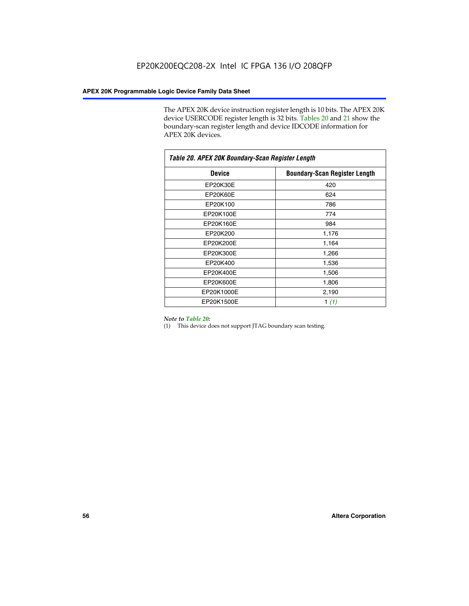The APEX 20K device instruction register length is 10 bits. The APEX 20K device USERCODE register length is 32 bits. Tables 20 and 21 show the boundary-scan register length and device IDCODE information for APEX 20K devices.

| Table 20. APEX 20K Boundary-Scan Register Length |                                      |  |  |  |
|--------------------------------------------------|--------------------------------------|--|--|--|
| <b>Device</b>                                    | <b>Boundary-Scan Register Length</b> |  |  |  |
| EP20K30E                                         | 420                                  |  |  |  |
| EP20K60E                                         | 624                                  |  |  |  |
| EP20K100                                         | 786                                  |  |  |  |
| EP20K100E                                        | 774                                  |  |  |  |
| EP20K160E                                        | 984                                  |  |  |  |
| EP20K200                                         | 1,176                                |  |  |  |
| EP20K200E                                        | 1,164                                |  |  |  |
| EP20K300E                                        | 1,266                                |  |  |  |
| EP20K400                                         | 1,536                                |  |  |  |
| EP20K400E                                        | 1,506                                |  |  |  |
| EP20K600E                                        | 1,806                                |  |  |  |
| EP20K1000E                                       | 2,190                                |  |  |  |
| EP20K1500E                                       | 1 $(1)$                              |  |  |  |

#### *Note to Table 20:*

(1) This device does not support JTAG boundary scan testing.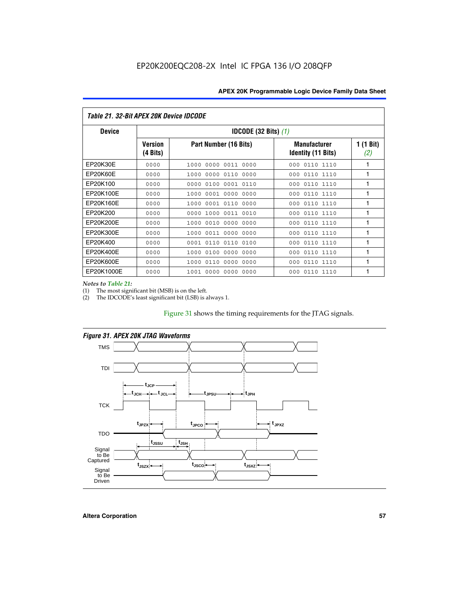| Table 21, 32-Bit APEX 20K Device IDCODE |                            |                                          |                                                  |                  |  |  |
|-----------------------------------------|----------------------------|------------------------------------------|--------------------------------------------------|------------------|--|--|
| <b>Device</b>                           |                            | <b>IDCODE (32 Bits) <math>(1)</math></b> |                                                  |                  |  |  |
|                                         | <b>Version</b><br>(4 Bits) | Part Number (16 Bits)                    | <b>Manufacturer</b><br><b>Identity (11 Bits)</b> | 1 (1 Bit)<br>(2) |  |  |
| EP20K30E                                | 0000                       | 0000<br>0011 0000<br>1000                | 0110 1110<br>000                                 | 1                |  |  |
| EP20K60E                                | 0000                       | 0000 0110<br>1000<br>0000                | 0110 1110<br>000                                 | 1                |  |  |
| EP20K100                                | 0000                       | 0000<br>0100<br>0001 0110                | 000<br>0110 1110                                 | 1                |  |  |
| EP20K100E                               | 0000                       | 0001 0000<br>0000<br>1000                | 0110 1110<br>000                                 | 1                |  |  |
| EP20K160E                               | 0000                       | 0001 0110<br>0000<br>1000                | 0110 1110<br>000                                 | 1                |  |  |
| EP20K200                                | 0000                       | 1000<br>0011 0010<br>0000                | 0110 1110<br>000                                 | 1                |  |  |
| EP20K200E                               | 0000                       | 0010 0000 0000<br>1000                   | 000<br>0110 1110                                 | 1                |  |  |
| EP20K300E                               | 0000                       | 0011 0000<br>1000<br>0000                | 0110 1110<br>000                                 | 1                |  |  |
| EP20K400                                | 0000                       | 0001<br>0110<br>0110<br>0100             | 0110 1110<br>000                                 | 1                |  |  |
| EP20K400E                               | 0000                       | 0000<br>0000<br>1000<br>0100             | 0110 1110<br>000                                 | 1                |  |  |
| EP20K600E                               | 0000                       | 0110<br>0000<br>0000<br>1000             | 0110 1110<br>000                                 | 1                |  |  |
| EP20K1000E                              | 0000                       | 0000<br>0000<br>0000<br>1001             | 000<br>0110 1110                                 | 1                |  |  |

*Notes to Table 21:*

The most significant bit (MSB) is on the left.

(2) The IDCODE's least significant bit (LSB) is always 1.

# Figure 31 shows the timing requirements for the JTAG signals.



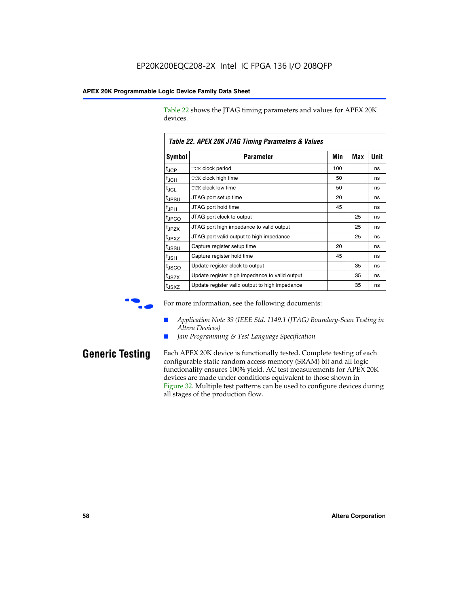Table 22 shows the JTAG timing parameters and values for APEX 20K devices.

|                   | TADIG LL. AF LA LUN JTAU THIIHIY FAIAHIGIGIS & VAIUGS |     |     |      |
|-------------------|-------------------------------------------------------|-----|-----|------|
| Symbol            | Parameter                                             | Min | Max | Unit |
| $t_{JCP}$         | <b>TCK clock period</b>                               | 100 |     | ns   |
| $t_{\text{JCH}}$  | TCK clock high time                                   | 50  |     | ns   |
| $t_{JCL}$         | TCK clock low time                                    | 50  |     | ns   |
| t <sub>JPSU</sub> | JTAG port setup time                                  | 20  |     | ns   |
| $t_{\rm JPH}$     | JTAG port hold time                                   | 45  |     | ns   |
| <sup>t</sup> JPCO | JTAG port clock to output                             |     | 25  | ns   |
| t <sub>JPZX</sub> | JTAG port high impedance to valid output              |     | 25  | ns   |
| t <sub>JPXZ</sub> | JTAG port valid output to high impedance              |     | 25  | ns   |
| tussu             | Capture register setup time                           | 20  |     | ns   |
| $t_{\rm JSH}$     | Capture register hold time                            | 45  |     | ns   |
| t <sub>JSCO</sub> | Update register clock to output                       |     | 35  | ns   |
| t <sub>JSZX</sub> | Update register high impedance to valid output        |     | 35  | ns   |
| t <sub>JSXZ</sub> | Update register valid output to high impedance        |     | 35  | ns   |

*Table 22. APEX 20K JTAG Timing Parameters & Values*

For more information, see the following documents:

- *Application Note 39 (IEEE Std. 1149.1 (JTAG) Boundary-Scan Testing in Altera Devices)*
- Jam Programming & Test Language Specification

**Generic Testing** Each APEX 20K device is functionally tested. Complete testing of each configurable static random access memory (SRAM) bit and all logic functionality ensures 100% yield. AC test measurements for APEX 20K devices are made under conditions equivalent to those shown in Figure 32. Multiple test patterns can be used to configure devices during all stages of the production flow.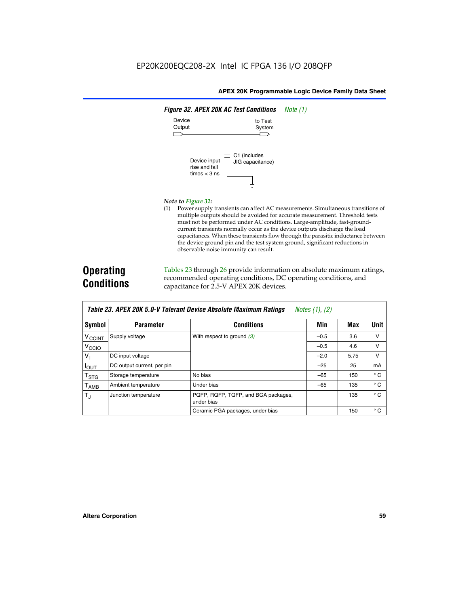

#### *Note to Figure 32:*

(1) Power supply transients can affect AC measurements. Simultaneous transitions of multiple outputs should be avoided for accurate measurement. Threshold tests must not be performed under AC conditions. Large-amplitude, fast-groundcurrent transients normally occur as the device outputs discharge the load capacitances. When these transients flow through the parasitic inductance between the device ground pin and the test system ground, significant reductions in observable noise immunity can result.

# **Operating Conditions**

Tables 23 through 26 provide information on absolute maximum ratings, recommended operating conditions, DC operating conditions, and capacitance for 2.5-V APEX 20K devices.

|                           |                            | TUDIO LO: TH LA LOR 0.0 T TUIUIUM DUTIUU HUUUMIU MUAMMUM HUUMIYU | $110100 + 11, 141$ |      |              |
|---------------------------|----------------------------|------------------------------------------------------------------|--------------------|------|--------------|
| Symbol                    | <b>Parameter</b>           | <b>Conditions</b>                                                | Min                | Max  | <b>Unit</b>  |
| <b>V<sub>CCINT</sub></b>  | Supply voltage             | With respect to ground $(3)$                                     | $-0.5$             | 3.6  | v            |
| V <sub>CCIO</sub>         |                            |                                                                  | $-0.5$             | 4.6  | $\vee$       |
| $V_{1}$                   | DC input voltage           |                                                                  | $-2.0$             | 5.75 | v            |
| $I_{\text{OUT}}$          | DC output current, per pin |                                                                  | $-25$              | 25   | mA           |
| $\mathsf{T}_{\text{STG}}$ | Storage temperature        | No bias                                                          | $-65$              | 150  | $^{\circ}$ C |
| Т <sub>АМВ</sub>          | Ambient temperature        | Under bias                                                       | $-65$              | 135  | $^{\circ}$ C |
| $T_{\rm J}$               | Junction temperature       | PQFP, RQFP, TQFP, and BGA packages,<br>under bias                |                    | 135  | $^{\circ}$ C |
|                           |                            | Ceramic PGA packages, under bias                                 |                    | 150  | $^{\circ}$ C |

| <b>Table 23. APEX 20K 5.0-V Tolerant Device Absolute Maximum Ratings</b> Notes (1), (2) |  |
|-----------------------------------------------------------------------------------------|--|
|-----------------------------------------------------------------------------------------|--|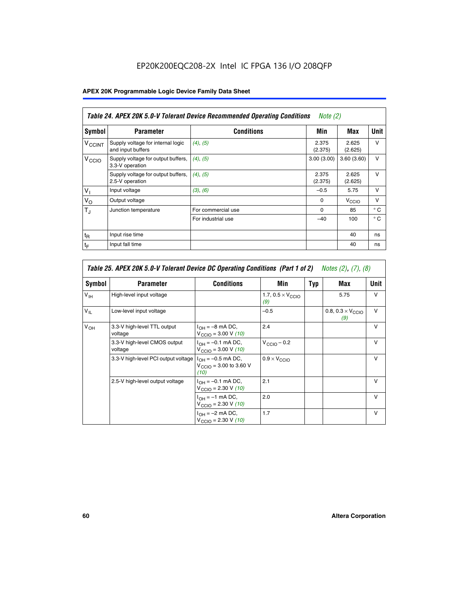# EP20K200EQC208-2X Intel IC FPGA 136 I/O 208QFP

# **APEX 20K Programmable Logic Device Family Data Sheet**

|                          | Table 24. APEX 20K 5.0-V Tolerant Device Recommended Operating Conditions<br><i>Note</i> $(2)$ |                    |                  |                  |              |  |
|--------------------------|------------------------------------------------------------------------------------------------|--------------------|------------------|------------------|--------------|--|
| Symbol                   | <b>Parameter</b>                                                                               | <b>Conditions</b>  | Min              | Max              | <b>Unit</b>  |  |
| <b>V<sub>CCINT</sub></b> | Supply voltage for internal logic<br>and input buffers                                         | $(4)$ , $(5)$      | 2.375<br>(2.375) | 2.625<br>(2.625) | $\vee$       |  |
| V <sub>CCIO</sub>        | Supply voltage for output buffers,<br>3.3-V operation                                          | (4), (5)           | 3.00(3.00)       | 3.60(3.60)       | $\vee$       |  |
|                          | Supply voltage for output buffers,<br>2.5-V operation                                          | (4), (5)           | 2.375<br>(2.375) | 2.625<br>(2.625) | $\vee$       |  |
| $V_1$                    | Input voltage                                                                                  | (3), (6)           | $-0.5$           | 5.75             | $\vee$       |  |
| $V_{\rm O}$              | Output voltage                                                                                 |                    | $\Omega$         | V <sub>CCO</sub> | $\vee$       |  |
| $T_{\rm J}$              | Junction temperature                                                                           | For commercial use | 0                | 85               | $^{\circ}$ C |  |
|                          |                                                                                                | For industrial use | $-40$            | 100              | $^{\circ}$ C |  |
| $t_{R}$                  | Input rise time                                                                                |                    |                  | 40               | ns           |  |
| $t_{\mathsf{F}}$         | Input fall time                                                                                |                    |                  | 40               | ns           |  |

|                 | Table 25. APEX 20K 5.0-V Tolerant Device DC Operating Conditions (Part 1 of 2) Notes (2), (7), (8) |                                                                        |                                          |     |                                          |              |  |  |
|-----------------|----------------------------------------------------------------------------------------------------|------------------------------------------------------------------------|------------------------------------------|-----|------------------------------------------|--------------|--|--|
| Symbol          | <b>Parameter</b>                                                                                   | <b>Conditions</b>                                                      | Min                                      | Typ | Max                                      | Unit         |  |  |
| $V_{\text{IH}}$ | High-level input voltage                                                                           |                                                                        | 1.7, $0.5 \times V_{\text{CCIO}}$<br>(9) |     | 5.75                                     | v            |  |  |
| $V_{\parallel}$ | Low-level input voltage                                                                            |                                                                        | $-0.5$                                   |     | 0.8, $0.3 \times V_{\text{CCIO}}$<br>(9) | $\vee$       |  |  |
| $V_{OH}$        | 3.3-V high-level TTL output<br>voltage                                                             | $I_{OH} = -8$ mA DC,<br>$V_{\text{CCIO}} = 3.00 V (10)$                | 2.4                                      |     |                                          | $\vee$       |  |  |
|                 | 3.3-V high-level CMOS output<br>voltage                                                            | $I_{OH} = -0.1$ mA DC,<br>$V_{\text{CCIO}} = 3.00 \text{ V} (10)$      | $V_{\text{CCIO}} - 0.2$                  |     |                                          | $\vee$       |  |  |
|                 | 3.3-V high-level PCI output voltage $ I_{OH} = -0.5$ mA DC,                                        | $V_{\text{CCIO}} = 3.00$ to 3.60 V<br>(10)                             | $0.9 \times V_{\text{CCIO}}$             |     |                                          | v            |  |  |
|                 | 2.5-V high-level output voltage                                                                    | $I_{OH} = -0.1$ mA DC,<br>$V_{\text{CCIO}} = 2.30 V (10)$              | 2.1                                      |     |                                          | $\mathsf{v}$ |  |  |
|                 |                                                                                                    | $I_{\text{OH}} = -1 \text{ mA DC},$<br>$V_{\text{CCIO}} = 2.30 V (10)$ | 2.0                                      |     |                                          | $\vee$       |  |  |
|                 |                                                                                                    | $I_{OH} = -2$ mA DC,<br>$V_{\text{CCIO}} = 2.30 V (10)$                | 1.7                                      |     |                                          | v            |  |  |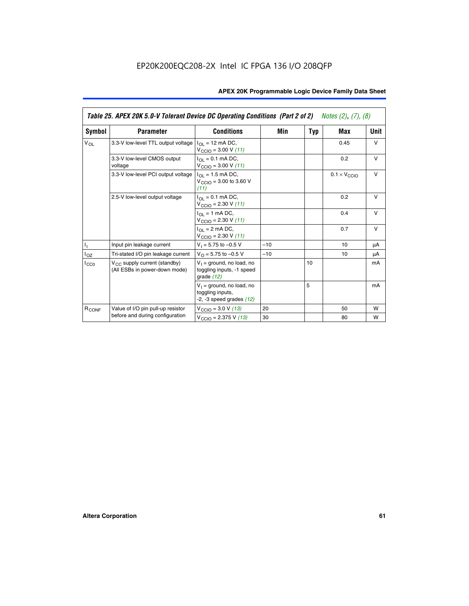|                   | Table 25. APEX 20K 5.0-V Tolerant Device DC Operating Conditions (Part 2 of 2) Notes (2), (7), (8) |                                                                                    |       |     |                              |        |  |
|-------------------|----------------------------------------------------------------------------------------------------|------------------------------------------------------------------------------------|-------|-----|------------------------------|--------|--|
| Symbol            | <b>Parameter</b>                                                                                   | <b>Conditions</b>                                                                  | Min   | Typ | Max                          | Unit   |  |
| $V_{OL}$          | 3.3-V low-level TTL output voltage                                                                 | $I_{\Omega}$ = 12 mA DC,<br>$V_{\text{CCIO}} = 3.00 V (11)$                        |       |     | 0.45                         | $\vee$ |  |
|                   | 3.3-V low-level CMOS output<br>voltage                                                             | $I_{\Omega I} = 0.1$ mA DC,<br>$V_{\text{CCIO}} = 3.00 V (11)$                     |       |     | 0.2                          | $\vee$ |  |
|                   | 3.3-V low-level PCI output voltage                                                                 | $I_{\Omega}$ = 1.5 mA DC,<br>$V_{CClO}$ = 3.00 to 3.60 V<br>(11)                   |       |     | $0.1 \times V_{\text{CCLO}}$ | $\vee$ |  |
|                   | 2.5-V low-level output voltage                                                                     | $I_{\Omega I} = 0.1$ mA DC,<br>$V_{\text{CCIO}} = 2.30 V (11)$                     |       |     | 0.2                          | $\vee$ |  |
|                   |                                                                                                    | $I_{\Omega}$ = 1 mA DC,<br>$V_{\text{CCIO}} = 2.30 V (11)$                         |       |     | 0.4                          | $\vee$ |  |
|                   |                                                                                                    | $I_{\Omega}$ = 2 mA DC,<br>$V_{\text{CCIO}} = 2.30 V (11)$                         |       |     | 0.7                          | $\vee$ |  |
| Τ,                | Input pin leakage current                                                                          | $V_1 = 5.75$ to $-0.5$ V                                                           | $-10$ |     | 10                           | μA     |  |
| $I_{OZ}$          | Tri-stated I/O pin leakage current                                                                 | $V_{\Omega}$ = 5.75 to -0.5 V                                                      | $-10$ |     | 10                           | μA     |  |
| $I_{CC0}$         | $V_{CC}$ supply current (standby)<br>(All ESBs in power-down mode)                                 | $V_1$ = ground, no load, no<br>toggling inputs, -1 speed<br>grade $(12)$           |       | 10  |                              | mA     |  |
|                   |                                                                                                    | $V_1$ = ground, no load, no<br>toggling inputs,<br>$-2$ , $-3$ speed grades $(12)$ |       | 5   |                              | mA     |  |
| R <sub>CONF</sub> | Value of I/O pin pull-up resistor                                                                  | $V_{\text{CCIO}} = 3.0 V (13)$                                                     | 20    |     | 50                           | W      |  |
|                   | before and during configuration                                                                    | $V_{\text{CCIO}} = 2.375 \text{ V} (13)$                                           | 30    |     | 80                           | W      |  |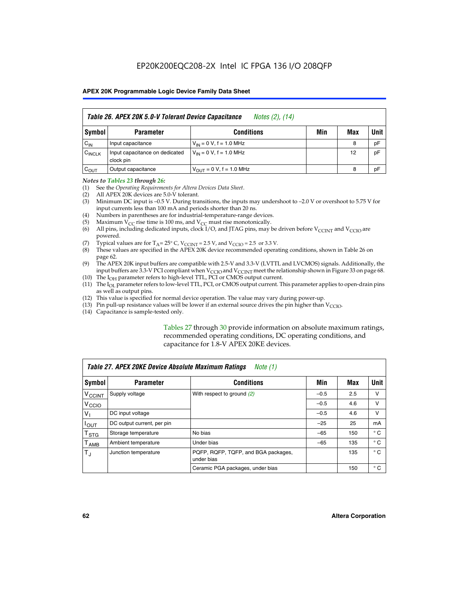|                    | Table 26. APEX 20K 5.0-V Tolerant Device Capacitance<br>Notes (2), (14) |                                     |     |     |      |  |  |
|--------------------|-------------------------------------------------------------------------|-------------------------------------|-----|-----|------|--|--|
| Symbol             | <b>Parameter</b>                                                        | <b>Conditions</b>                   | Min | Max | Unit |  |  |
| $C_{IN}$           | Input capacitance                                                       | $V_{1N} = 0 V$ , f = 1.0 MHz        |     | 8   | pF   |  |  |
| C <sub>INCLK</sub> | Input capacitance on dedicated<br>clock pin                             | $V_{1N} = 0 V$ , f = 1.0 MHz        |     | 12  | pF   |  |  |
| $C_{OUT}$          | Output capacitance                                                      | $V_{\text{OUT}} = 0 V, f = 1.0 MHz$ |     | 8   | pF   |  |  |

#### *Notes to Tables 23 through 26:*

- (1) See the *Operating Requirements for Altera Devices Data Sheet*.
- (2) All APEX 20K devices are 5.0-V tolerant.
- (3) Minimum DC input is –0.5 V. During transitions, the inputs may undershoot to –2.0 V or overshoot to 5.75 V for input currents less than 100 mA and periods shorter than 20 ns.
- (4) Numbers in parentheses are for industrial-temperature-range devices.
- (5) Maximum  $V_{CC}$  rise time is 100 ms, and  $V_{CC}$  must rise monotonically.<br>(6) All pins, including dedicated inputs, clock I/O, and JTAG pins, may b
- All pins, including dedicated inputs, clock I/O, and JTAG pins, may be driven before  $V_{\text{CCINT}}$  and  $V_{\text{CCIO}}$  are powered.
- (7) Typical values are for  $T_A = 25^\circ$  C, V<sub>CCINT</sub> = 2.5 V, and V<sub>CCIO</sub> = 2.5 or 3.3 V.<br>(8) These values are specified in the APEX 20K device recommended operat
- These values are specified in the APEX 20K device recommended operating conditions, shown in Table 26 on page 62.
- (9) The APEX 20K input buffers are compatible with 2.5-V and 3.3-V (LVTTL and LVCMOS) signals. Additionally, the input buffers are 3.3-V PCI compliant when  $V_{\text{CCIO}}$  and  $V_{\text{CCINI}}$  meet the relationship shown in Figure 33 on page 68.
- (10) The  $I<sub>OH</sub>$  parameter refers to high-level TTL, PCI or CMOS output current.
- (11) The I<sub>OL</sub> parameter refers to low-level TTL, PCI, or CMOS output current. This parameter applies to open-drain pins as well as output pins.
- (12) This value is specified for normal device operation. The value may vary during power-up.
- (13) Pin pull-up resistance values will be lower if an external source drives the pin higher than  $V_{\text{CCIO}}$ .
- (14) Capacitance is sample-tested only.

Tables 27 through 30 provide information on absolute maximum ratings, recommended operating conditions, DC operating conditions, and capacitance for 1.8-V APEX 20KE devices.

|                             | Table 27. APEX 20KE Device Absolute Maximum Ratings<br>Note (1) |                                                   |        |     |              |  |  |  |
|-----------------------------|-----------------------------------------------------------------|---------------------------------------------------|--------|-----|--------------|--|--|--|
| Symbol                      | <b>Parameter</b>                                                | <b>Conditions</b>                                 | Min    | Max | Unit         |  |  |  |
| $V_{\text{CCINT}}$          | Supply voltage                                                  | With respect to ground (2)                        | $-0.5$ | 2.5 | v            |  |  |  |
| V <sub>CCIO</sub>           |                                                                 |                                                   | $-0.5$ | 4.6 | v            |  |  |  |
| $V_{1}$                     | DC input voltage                                                |                                                   | $-0.5$ | 4.6 | $\vee$       |  |  |  |
| $I_{OUT}$                   | DC output current, per pin                                      |                                                   | $-25$  | 25  | mA           |  |  |  |
| $\mathsf{T}_{\texttt{STG}}$ | Storage temperature                                             | No bias                                           | $-65$  | 150 | $^{\circ}$ C |  |  |  |
| Т <sub>АМВ</sub>            | Ambient temperature                                             | Under bias                                        | $-65$  | 135 | $^{\circ}$ C |  |  |  |
| $\mathsf{T}_{\text{d}}$     | Junction temperature                                            | PQFP, RQFP, TQFP, and BGA packages,<br>under bias |        | 135 | $^{\circ}$ C |  |  |  |
|                             |                                                                 | Ceramic PGA packages, under bias                  |        | 150 | $^{\circ}$ C |  |  |  |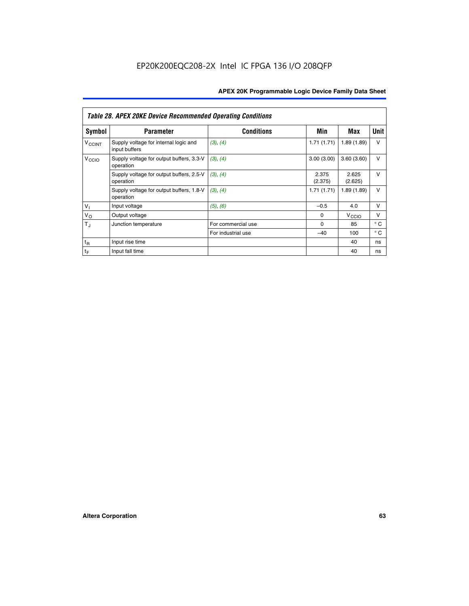|                             | <b>Table 28. APEX 20KE Device Recommended Operating Conditions</b> |                    |                  |                   |              |
|-----------------------------|--------------------------------------------------------------------|--------------------|------------------|-------------------|--------------|
| <b>Symbol</b>               | <b>Parameter</b>                                                   | <b>Conditions</b>  | Min              | Max               | <b>Unit</b>  |
| <b>V<sub>CCINT</sub></b>    | Supply voltage for internal logic and<br>input buffers             | (3), (4)           | 1.71(1.71)       | 1.89(1.89)        | $\vee$       |
| V <sub>CCIO</sub>           | Supply voltage for output buffers, 3.3-V<br>operation              | (3), (4)           | 3.00(3.00)       | 3.60(3.60)        | $\vee$       |
|                             | Supply voltage for output buffers, 2.5-V<br>operation              | (3), (4)           | 2.375<br>(2.375) | 2.625<br>(2.625)  | $\vee$       |
|                             | Supply voltage for output buffers, 1.8-V<br>operation              | (3), (4)           | 1.71(1.71)       | 1.89(1.89)        | $\vee$       |
| $V_1$                       | Input voltage                                                      | (5), (6)           | $-0.5$           | 4.0               | $\vee$       |
| $V_{\rm O}$                 | Output voltage                                                     |                    | $\Omega$         | V <sub>CCIO</sub> | v            |
| $T_{\rm J}$                 | Junction temperature                                               | For commercial use | $\Omega$         | 85                | $^{\circ}$ C |
|                             |                                                                    | For industrial use | $-40$            | 100               | $^{\circ}$ C |
| $t_{R}$                     | Input rise time                                                    |                    |                  | 40                | ns           |
| $\mathfrak{t}_{\mathsf{F}}$ | Input fall time                                                    |                    |                  | 40                | ns           |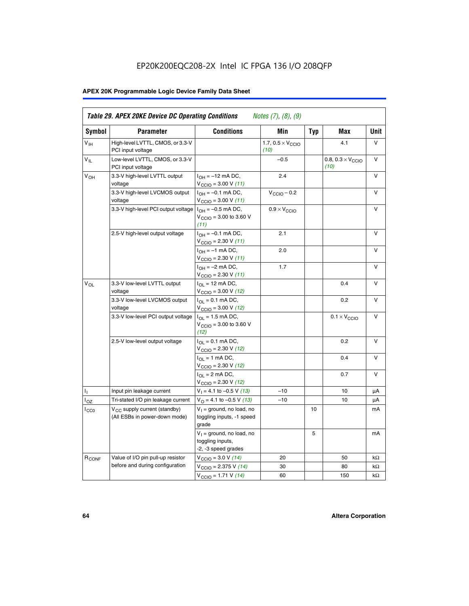# EP20K200EQC208-2X Intel IC FPGA 136 I/O 208QFP

# **APEX 20K Programmable Logic Device Family Data Sheet**

| Symbol                     | <b>Parameter</b>                                                   | <b>Conditions</b>                                                         | Min                                       | <b>Typ</b> | Max                                       | Unit      |
|----------------------------|--------------------------------------------------------------------|---------------------------------------------------------------------------|-------------------------------------------|------------|-------------------------------------------|-----------|
| $V_{\text{IH}}$            | High-level LVTTL, CMOS, or 3.3-V<br>PCI input voltage              |                                                                           | 1.7, $0.5 \times V_{\text{CCIO}}$<br>(10) |            | 4.1                                       | V         |
| $\mathsf{V}_{\mathsf{IL}}$ | Low-level LVTTL, CMOS, or 3.3-V<br>PCI input voltage               |                                                                           | $-0.5$                                    |            | 0.8, $0.3 \times V_{\text{CCIO}}$<br>(10) | $\vee$    |
| $V_{OH}$                   | 3.3-V high-level LVTTL output<br>voltage                           | $I_{OH} = -12$ mA DC,<br>$V_{\text{CCIO}} = 3.00 V (11)$                  | 2.4                                       |            |                                           | v         |
|                            | 3.3-V high-level LVCMOS output<br>voltage                          | $I_{OH} = -0.1$ mA DC,<br>$V_{\text{CCIO}} = 3.00 \text{ V} (11)$         | $V_{\text{CCIO}} - 0.2$                   |            |                                           | v         |
|                            | 3.3-V high-level PCI output voltage $ I_{OH} = -0.5$ mA DC,        | $V_{\text{CGIO}} = 3.00$ to 3.60 V<br>(11)                                | $0.9 \times V_{\text{CCIO}}$              |            |                                           | v         |
|                            | 2.5-V high-level output voltage                                    | $I_{OH} = -0.1$ mA DC,<br>$V_{\text{CCIO}} = 2.30 V (11)$                 | 2.1                                       |            |                                           | ν         |
|                            |                                                                    | $I_{OH} = -1$ mA DC,<br>$V_{\text{CCIO}} = 2.30 V (11)$                   | 2.0                                       |            |                                           | V         |
|                            |                                                                    | $I_{OH} = -2$ mA DC,<br>$V_{\text{CCIO}} = 2.30 V (11)$                   | 1.7                                       |            |                                           | v         |
| $V_{\Omega}$               | 3.3-V low-level LVTTL output<br>voltage                            | $I_{OL}$ = 12 mA DC,<br>$V_{\text{CCIO}} = 3.00 \text{ V} (12)$           |                                           |            | 0.4                                       | v         |
|                            | 3.3-V low-level LVCMOS output<br>voltage                           | $I_{\Omega} = 0.1$ mA DC,<br>$V_{\text{CCIO}} = 3.00 V (12)$              |                                           |            | 0.2                                       | $\vee$    |
|                            | 3.3-V low-level PCI output voltage                                 | $I_{\Omega I}$ = 1.5 mA DC,<br>$V_{\text{CGIO}} = 3.00$ to 3.60 V<br>(12) |                                           |            | $0.1 \times V_{\text{CCIO}}$              | v         |
|                            | 2.5-V low-level output voltage                                     | $I_{\Omega} = 0.1$ mA DC,<br>$V_{\text{CCIO}}$ = 2.30 V (12)              |                                           |            | 0.2                                       | v         |
|                            |                                                                    | $I_{\Omega}$ = 1 mA DC,<br>$V_{\text{CCIO}}$ = 2.30 V (12)                |                                           |            | 0.4                                       | $\vee$    |
|                            |                                                                    | $I_{\Omega}$ = 2 mA DC,<br>$V_{\text{CCIO}} = 2.30 V (12)$                |                                           |            | 0.7                                       | $\vee$    |
| ъ,                         | Input pin leakage current                                          | $V_1 = 4.1$ to -0.5 V (13)                                                | $-10$                                     |            | 10                                        | μA        |
| $I_{OZ}$                   | Tri-stated I/O pin leakage current                                 | $V_{\Omega}$ = 4.1 to -0.5 V (13)                                         | $-10$                                     |            | 10                                        | μA        |
| $I_{CC0}$                  | $V_{CC}$ supply current (standby)<br>(All ESBs in power-down mode) | $V_1$ = ground, no load, no<br>toggling inputs, -1 speed<br>grade         |                                           | 10         |                                           | mA        |
|                            |                                                                    | $V_1$ = ground, no load, no<br>toggling inputs,<br>-2, -3 speed grades    |                                           | 5          |                                           | mA        |
| R <sub>CONF</sub>          | Value of I/O pin pull-up resistor                                  | $V_{\text{CCIO}} = 3.0 V (14)$                                            | 20                                        |            | 50                                        | $k\Omega$ |
|                            | before and during configuration                                    | $V_{\text{CGIO}} = 2.375 V (14)$                                          | 30                                        |            | 80                                        | kΩ        |
|                            |                                                                    | $V_{\text{CCIO}} = 1.71 V (14)$                                           | 60                                        |            | 150                                       | $k\Omega$ |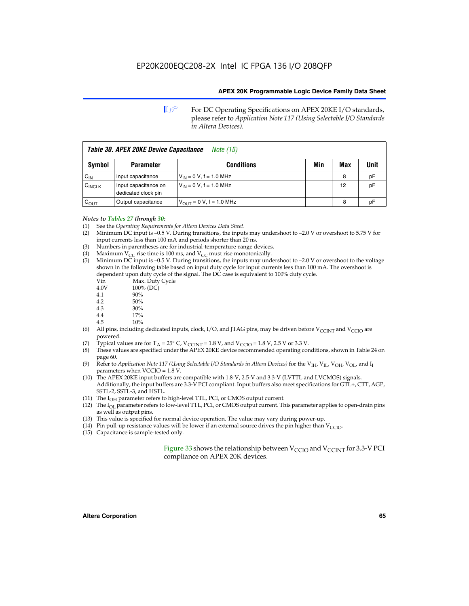**1 For DC Operating Specifications on APEX 20KE I/O standards,** please refer to *Application Note 117 (Using Selectable I/O Standards in Altera Devices).*

| Table 30. APEX 20KE Device Capacitance<br><i>Note</i> (15) |                                             |                                |     |     |      |
|------------------------------------------------------------|---------------------------------------------|--------------------------------|-----|-----|------|
| <b>Symbol</b>                                              | <b>Parameter</b>                            | <b>Conditions</b>              | Min | Max | Unit |
| $C_{\text{IN}}$                                            | Input capacitance                           | $V_{IN} = 0 V$ , f = 1.0 MHz   |     | 8   | рF   |
| $C_{\text{INCLK}}$                                         | Input capacitance on<br>dedicated clock pin | $V_{IN} = 0 V$ , f = 1.0 MHz   |     | 12  | pF   |
| $C_{OUT}$                                                  | Output capacitance                          | $V_{OUIT} = 0 V$ , f = 1.0 MHz |     | 8   | рF   |

- *Notes to Tables 27 through 30:* (1) See the *Operating Requirements for Altera Devices Data Sheet*.
- (2) Minimum DC input is –0.5 V. During transitions, the inputs may undershoot to –2.0 V or overshoot to 5.75 V for input currents less than 100 mA and periods shorter than 20 ns.
- (3) Numbers in parentheses are for industrial-temperature-range devices.
- (4) Maximum  $\overline{V_{CC}}$  rise time is 100 ms, and  $V_{CC}$  must rise monotonically.<br>(5) Minimum DC input is –0.5 V. During transitions, the inputs may und
- Minimum DC input is  $-0.5$  V. During transitions, the inputs may undershoot to  $-2.0$  V or overshoot to the voltage shown in the following table based on input duty cycle for input currents less than 100 mA. The overshoot is dependent upon duty cycle of the signal. The DC case is equivalent to 100% duty cycle.

| Vin  | Max. Duty Cycle |
|------|-----------------|
| 4.0V | 100% (DC)       |
| 4.1  | 90%             |
| 4.2  | 50%             |
| 4.3  | 30%             |
|      |                 |

- 4.4 17%
- 4.5 10%
- (6) All pins, including dedicated inputs, clock, I/O, and JTAG pins, may be driven before  $V_{\text{CCINT}}$  and  $V_{\text{CCIO}}$  are powered.
- (7) Typical values are for  $T_A = 25^\circ$  C, V<sub>CCINT</sub> = 1.8 V, and V<sub>CCIO</sub> = 1.8 V, 2.5 V or 3.3 V.
- (8) These values are specified under the APEX 20KE device recommended operating conditions, shown in Table 24 on page 60.
- (9) Refer to *Application Note 117 (Using Selectable I/O Standards in Altera Devices)* for the V<sub>IH</sub>, V<sub>IL</sub>, V<sub>OH</sub>, V<sub>OL</sub>, and I<sub>I</sub> parameters when VCCIO = 1.8 V.
- (10) The APEX 20KE input buffers are compatible with 1.8-V, 2.5-V and 3.3-V (LVTTL and LVCMOS) signals. Additionally, the input buffers are 3.3-V PCI compliant. Input buffers also meet specifications for GTL+, CTT, AGP, SSTL-2, SSTL-3, and HSTL.
- (11) The  $I_{OH}$  parameter refers to high-level TTL, PCI, or CMOS output current.
- (12) The I<sub>OL</sub> parameter refers to low-level TTL, PCI, or CMOS output current. This parameter applies to open-drain pins as well as output pins.
- (13) This value is specified for normal device operation. The value may vary during power-up.
- (14) Pin pull-up resistance values will be lower if an external source drives the pin higher than  $V_{CCIO}$ .
- (15) Capacitance is sample-tested only.

Figure 33 shows the relationship between  $V_{\text{CCIO}}$  and  $V_{\text{CCINT}}$  for 3.3-V PCI compliance on APEX 20K devices.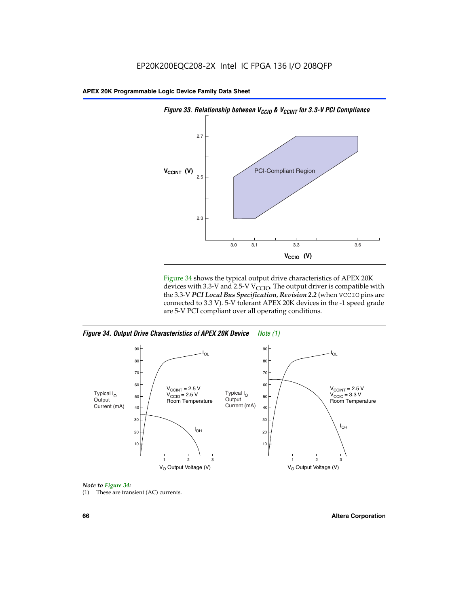

Figure 34 shows the typical output drive characteristics of APEX 20K devices with 3.3-V and 2.5-V V<sub>CCIO</sub>. The output driver is compatible with the 3.3-V *PCI Local Bus Specification, Revision 2.2* (when VCCIO pins are connected to 3.3 V). 5-V tolerant APEX 20K devices in the -1 speed grade are 5-V PCI compliant over all operating conditions.

*Figure 34. Output Drive Characteristics of APEX 20K Device Note (1)*





**66 Altera Corporation**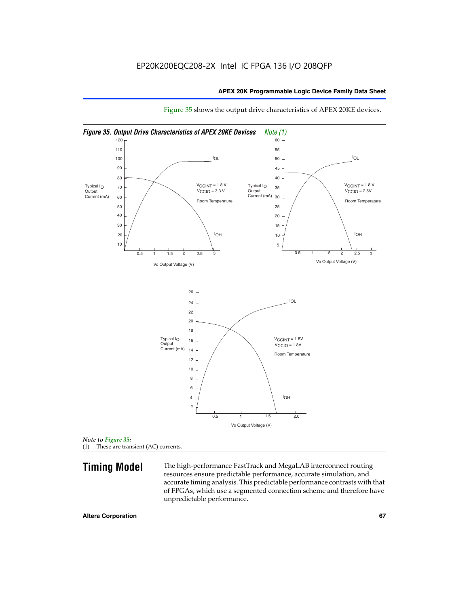

Figure 35 shows the output drive characteristics of APEX 20KE devices.

*Note to Figure 35:* (1) These are transient (AC) currents.

**Timing Model** The high-performance FastTrack and MegaLAB interconnect routing resources ensure predictable performance, accurate simulation, and accurate timing analysis. This predictable performance contrasts with that of FPGAs, which use a segmented connection scheme and therefore have unpredictable performance.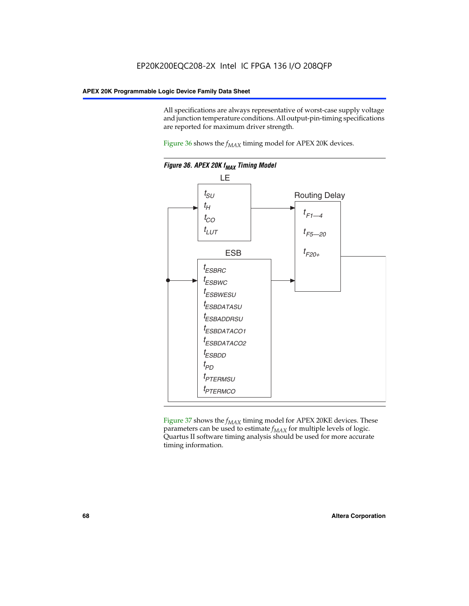All specifications are always representative of worst-case supply voltage and junction temperature conditions. All output-pin-timing specifications are reported for maximum driver strength.

Figure  $36$  shows the  $f_{MAX}$  timing model for APEX 20K devices.



Figure 37 shows the  $f_{MAX}$  timing model for APEX 20KE devices. These parameters can be used to estimate  $f_{MAX}$  for multiple levels of logic. Quartus II software timing analysis should be used for more accurate timing information.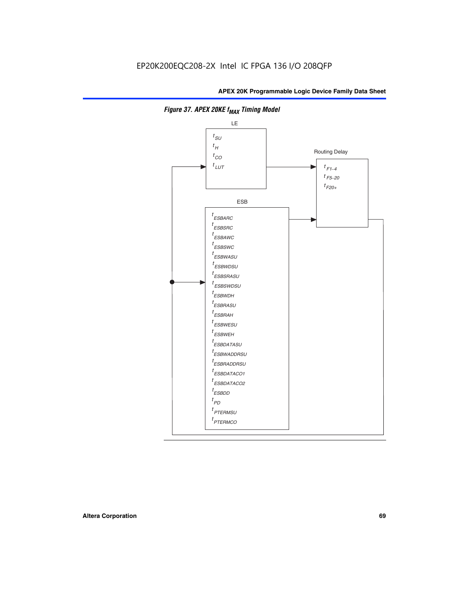

**Figure 37. APEX 20KE f<sub>MAX</sub> Timing Model**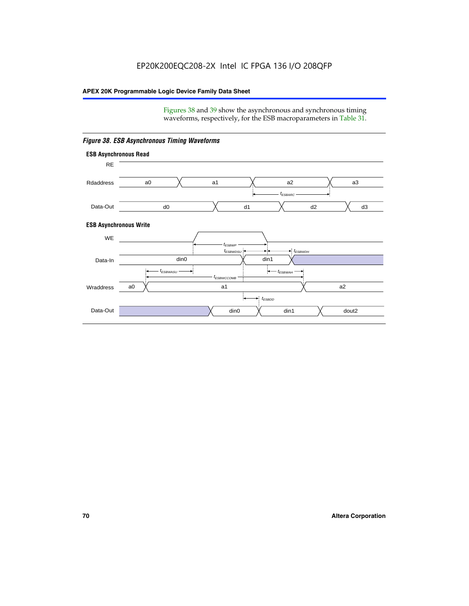Figures 38 and 39 show the asynchronous and synchronous timing waveforms, respectively, for the ESB macroparameters in Table 31.



*Figure 38. ESB Asynchronous Timing Waveforms*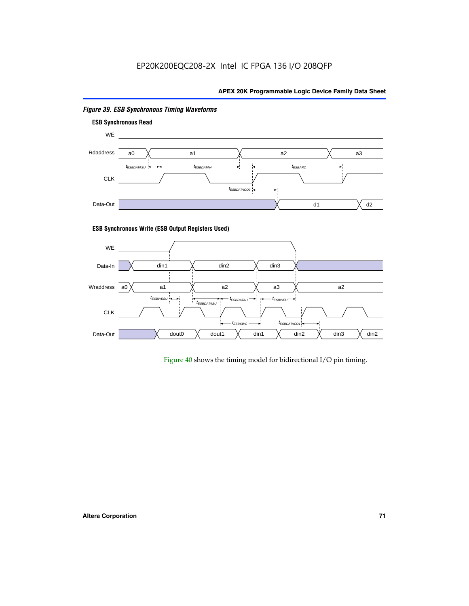# EP20K200EQC208-2X Intel IC FPGA 136 I/O 208QFP

# **APEX 20K Programmable Logic Device Family Data Sheet**



# *Figure 39. ESB Synchronous Timing Waveforms*

# **ESB Synchronous Write (ESB Output Registers Used)**



Figure 40 shows the timing model for bidirectional I/O pin timing.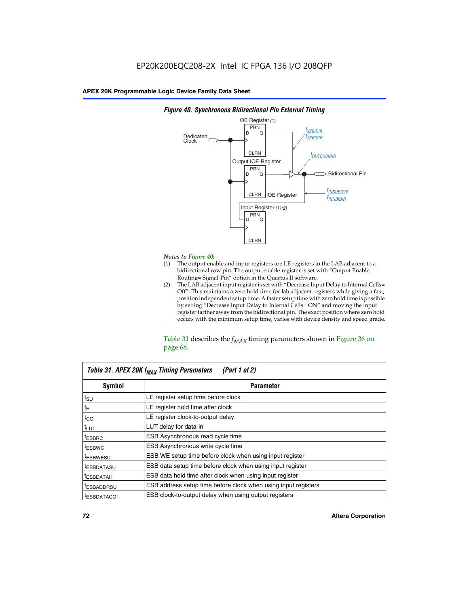

### *Figure 40. Synchronous Bidirectional Pin External Timing*

# *Notes to Figure 40:*

- The output enable and input registers are LE registers in the LAB adjacent to a bidirectional row pin. The output enable register is set with "Output Enable Routing= Signal-Pin" option in the Quartus II software.
- (2) The LAB adjacent input register is set with "Decrease Input Delay to Internal Cells= Off". This maintains a zero hold time for lab adjacent registers while giving a fast, position independent setup time. A faster setup time with zero hold time is possible by setting "Decrease Input Delay to Internal Cells= ON" and moving the input register farther away from the bidirectional pin. The exact position where zero hold occurs with the minimum setup time, varies with device density and speed grade.

Table 31 describes the  $f_{MAX}$  timing parameters shown in Figure 36 on page 68.

| Table 31. APEX 20K f <sub>MAX</sub> Timing Parameters<br>(Part 1 of 2) |                                                                |  |  |  |  |
|------------------------------------------------------------------------|----------------------------------------------------------------|--|--|--|--|
| Symbol<br><b>Parameter</b>                                             |                                                                |  |  |  |  |
| $t_{\text{SU}}$                                                        | LE register setup time before clock                            |  |  |  |  |
| $t_H$                                                                  | LE register hold time after clock                              |  |  |  |  |
| $t_{CO}$                                                               | LE register clock-to-output delay                              |  |  |  |  |
| t <sub>LUT</sub>                                                       | LUT delay for data-in                                          |  |  |  |  |
| <sup>t</sup> ESBRC                                                     | ESB Asynchronous read cycle time                               |  |  |  |  |
| <sup>t</sup> ESBWC                                                     | ESB Asynchronous write cycle time                              |  |  |  |  |
| <sup>t</sup> ESBWESU                                                   | ESB WE setup time before clock when using input register       |  |  |  |  |
| <sup>t</sup> ESBDATASU                                                 | ESB data setup time before clock when using input register     |  |  |  |  |
| <sup>t</sup> ESBDATAH                                                  | ESB data hold time after clock when using input register       |  |  |  |  |
| <sup>t</sup> ESBADDRSU                                                 | ESB address setup time before clock when using input registers |  |  |  |  |
| ESBDATACO1                                                             | ESB clock-to-output delay when using output registers          |  |  |  |  |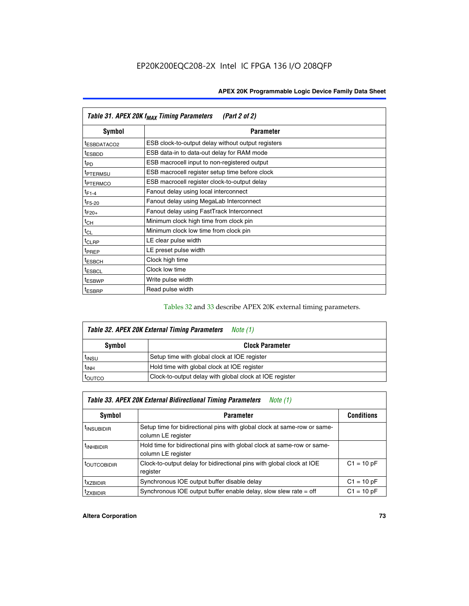| Table 31. APEX 20K f <sub>MAX</sub> Timing Parameters<br>(Part 2 of 2) |                                                    |  |  |  |  |
|------------------------------------------------------------------------|----------------------------------------------------|--|--|--|--|
| Symbol                                                                 | <b>Parameter</b>                                   |  |  |  |  |
| t <sub>ESBDATACO2</sub>                                                | ESB clock-to-output delay without output registers |  |  |  |  |
| <sup>t</sup> ESBDD                                                     | ESB data-in to data-out delay for RAM mode         |  |  |  |  |
| t <sub>PD</sub>                                                        | ESB macrocell input to non-registered output       |  |  |  |  |
| <sup>t</sup> PTERMSU                                                   | ESB macrocell register setup time before clock     |  |  |  |  |
| <sup>t</sup> PTERMCO                                                   | ESB macrocell register clock-to-output delay       |  |  |  |  |
| $t_{F1-4}$                                                             | Fanout delay using local interconnect              |  |  |  |  |
| $t_{F5-20}$                                                            | Fanout delay using MegaLab Interconnect            |  |  |  |  |
| $t_{F20+}$                                                             | Fanout delay using FastTrack Interconnect          |  |  |  |  |
| $t_{CH}$                                                               | Minimum clock high time from clock pin             |  |  |  |  |
| $t_{CL}$                                                               | Minimum clock low time from clock pin              |  |  |  |  |
| t <sub>CLRP</sub>                                                      | LE clear pulse width                               |  |  |  |  |
| t <sub>PREP</sub>                                                      | LE preset pulse width                              |  |  |  |  |
| <sup>t</sup> ESBCH                                                     | Clock high time                                    |  |  |  |  |
| <sup>t</sup> ESBCL                                                     | Clock low time                                     |  |  |  |  |
| <sup>t</sup> ESBWP                                                     | Write pulse width                                  |  |  |  |  |
| <sup>t</sup> ESBRP                                                     | Read pulse width                                   |  |  |  |  |

## Tables 32 and 33 describe APEX 20K external timing parameters.

| Table 32. APEX 20K External Timing Parameters<br>Note (1) |                                                         |  |  |  |  |
|-----------------------------------------------------------|---------------------------------------------------------|--|--|--|--|
| Symbol                                                    | <b>Clock Parameter</b>                                  |  |  |  |  |
| <sup>t</sup> insu                                         | Setup time with global clock at IOE register            |  |  |  |  |
| $t_{\mathsf{INH}}$                                        | Hold time with global clock at IOE register             |  |  |  |  |
| toutco                                                    | Clock-to-output delay with global clock at IOE register |  |  |  |  |

| Table 33. APEX 20K External Bidirectional Timing Parameters<br>Note (1) |                                                                                                |              |  |  |  |  |
|-------------------------------------------------------------------------|------------------------------------------------------------------------------------------------|--------------|--|--|--|--|
| Symbol                                                                  | <b>Conditions</b><br><b>Parameter</b>                                                          |              |  |  |  |  |
| <sup>I</sup> INSUBIDIR                                                  | Setup time for bidirectional pins with global clock at same-row or same-<br>column LE register |              |  |  |  |  |
| <sup>t</sup> INHBIDIR                                                   | Hold time for bidirectional pins with global clock at same-row or same-<br>column LE register  |              |  |  |  |  |
| <sup>t</sup> OUTCOBIDIR                                                 | Clock-to-output delay for bidirectional pins with global clock at IOE<br>register              | $C1 = 10 pF$ |  |  |  |  |
| <sup>T</sup> XZBIDIR                                                    | Synchronous IOE output buffer disable delay                                                    | $C1 = 10 pF$ |  |  |  |  |
| <sup>I</sup> ZXBIDIR                                                    | Synchronous IOE output buffer enable delay, slow slew rate $=$ off                             | $C1 = 10 pF$ |  |  |  |  |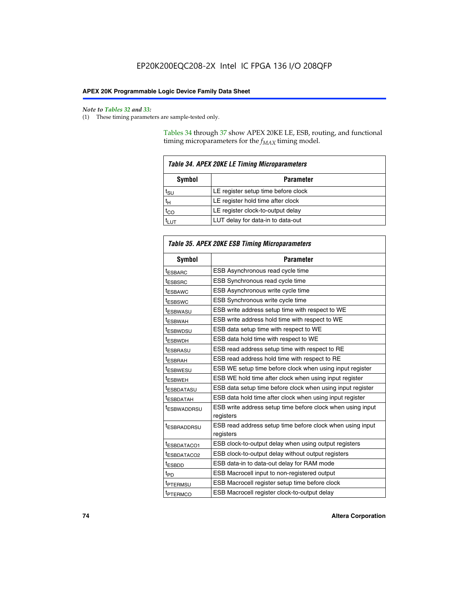$\mathbf{r}$ 

#### *Note to Tables 32 and 33:*

(1) These timing parameters are sample-tested only.

Tables 34 through 37 show APEX 20KE LE, ESB, routing, and functional timing microparameters for the  $f_{MAX}$  timing model.

| <b>Table 34. APEX 20KE LE Timing Microparameters</b> |                                     |  |  |  |
|------------------------------------------------------|-------------------------------------|--|--|--|
| Symbol<br><b>Parameter</b>                           |                                     |  |  |  |
| t <sub>SU</sub>                                      | LE register setup time before clock |  |  |  |
| $t_H$                                                | LE register hold time after clock   |  |  |  |
| $t_{CO}$                                             | LE register clock-to-output delay   |  |  |  |
|                                                      | LUT delay for data-in to data-out   |  |  |  |

| Table 35. APEX 20KE ESB Timing Microparameters |                                                                        |  |  |  |
|------------------------------------------------|------------------------------------------------------------------------|--|--|--|
| Symbol                                         | <b>Parameter</b>                                                       |  |  |  |
| t <sub>ESBARC</sub>                            | ESB Asynchronous read cycle time                                       |  |  |  |
| <sup>t</sup> ESBSRC                            | <b>ESB Synchronous read cycle time</b>                                 |  |  |  |
| t <sub>ESBAWC</sub>                            | ESB Asynchronous write cycle time                                      |  |  |  |
| t <sub>ESBSWC</sub>                            | ESB Synchronous write cycle time                                       |  |  |  |
| tESBWASU                                       | ESB write address setup time with respect to WE                        |  |  |  |
| <sup>t</sup> ESBWAH                            | ESB write address hold time with respect to WE                         |  |  |  |
| t <sub>ESBWDSU</sub>                           | ESB data setup time with respect to WE                                 |  |  |  |
| <sup>t</sup> ESBWDH                            | ESB data hold time with respect to WE                                  |  |  |  |
| tESBRASU                                       | ESB read address setup time with respect to RE                         |  |  |  |
| t <sub>ESBRAH</sub>                            | ESB read address hold time with respect to RE                          |  |  |  |
| <sup>t</sup> ESBWESU                           | ESB WE setup time before clock when using input register               |  |  |  |
| <sup>t</sup> ESBWEH                            | ESB WE hold time after clock when using input register                 |  |  |  |
| <sup>t</sup> ESBDATASU                         | ESB data setup time before clock when using input register             |  |  |  |
| t <sub>ESBDATAH</sub>                          | ESB data hold time after clock when using input register               |  |  |  |
| <sup>t</sup> ESBWADDRSU                        | ESB write address setup time before clock when using input             |  |  |  |
|                                                | registers                                                              |  |  |  |
| tESBRADDRSU                                    | ESB read address setup time before clock when using input<br>registers |  |  |  |
| t <sub>ESBDATACO1</sub>                        | ESB clock-to-output delay when using output registers                  |  |  |  |
| t <sub>ESBDATACO2</sub>                        | ESB clock-to-output delay without output registers                     |  |  |  |
| $t_{ESBDD}$                                    | ESB data-in to data-out delay for RAM mode                             |  |  |  |
| $t_{PD}$                                       | ESB Macrocell input to non-registered output                           |  |  |  |
| t <sub>PTERMSU</sub>                           | ESB Macrocell register setup time before clock                         |  |  |  |
| t <sub>PTERMCO</sub>                           | ESB Macrocell register clock-to-output delay                           |  |  |  |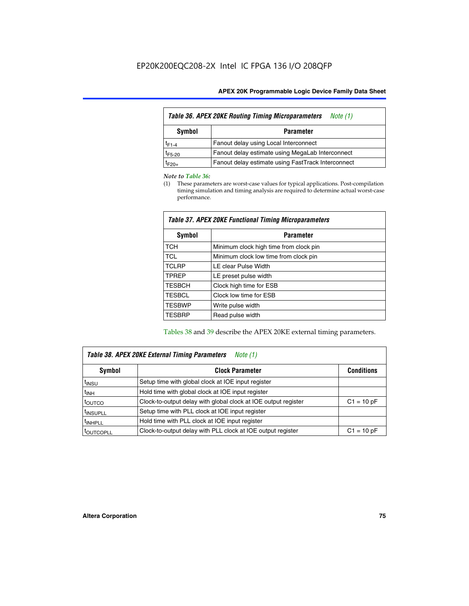| Table 36. APEX 20KE Routing Timing Microparameters<br>Note (1) |                                                    |  |  |  |  |
|----------------------------------------------------------------|----------------------------------------------------|--|--|--|--|
| Symbol<br><b>Parameter</b>                                     |                                                    |  |  |  |  |
| $t_{F1-4}$                                                     | Fanout delay using Local Interconnect              |  |  |  |  |
| $t_{F5-20}$                                                    | Fanout delay estimate using MegaLab Interconnect   |  |  |  |  |
| t <sub>F20+</sub>                                              | Fanout delay estimate using FastTrack Interconnect |  |  |  |  |

#### *Note to Table 36:*

(1) These parameters are worst-case values for typical applications. Post-compilation timing simulation and timing analysis are required to determine actual worst-case performance.

| Symbol        | <b>Parameter</b>                       |  |  |  |  |  |
|---------------|----------------------------------------|--|--|--|--|--|
| <b>TCH</b>    | Minimum clock high time from clock pin |  |  |  |  |  |
| <b>TCL</b>    | Minimum clock low time from clock pin  |  |  |  |  |  |
| <b>TCLRP</b>  | LE clear Pulse Width                   |  |  |  |  |  |
| <b>TPREP</b>  | LE preset pulse width                  |  |  |  |  |  |
| <b>TESBCH</b> | Clock high time for ESB                |  |  |  |  |  |
| <b>TESBCL</b> | Clock low time for ESB                 |  |  |  |  |  |
| <b>TESBWP</b> | Write pulse width                      |  |  |  |  |  |
| <b>TESBRP</b> | Read pulse width                       |  |  |  |  |  |

### *Table 37. APEX 20KE Functional Timing Microparameters*

Tables 38 and 39 describe the APEX 20KE external timing parameters.

| Table 38. APEX 20KE External Timing Parameters<br>Note (1) |                                                                |              |  |  |  |
|------------------------------------------------------------|----------------------------------------------------------------|--------------|--|--|--|
| <b>Clock Parameter</b><br>Symbol<br><b>Conditions</b>      |                                                                |              |  |  |  |
| <sup>t</sup> insu                                          | Setup time with global clock at IOE input register             |              |  |  |  |
| $t_{\text{INH}}$                                           | Hold time with global clock at IOE input register              |              |  |  |  |
| toutco                                                     | Clock-to-output delay with global clock at IOE output register | $C1 = 10 pF$ |  |  |  |
| <sup>t</sup> INSUPLL                                       | Setup time with PLL clock at IOE input register                |              |  |  |  |
| <sup>t</sup> INHPLL                                        | Hold time with PLL clock at IOE input register                 |              |  |  |  |
| <sup>I</sup> OUTCOPLL                                      | Clock-to-output delay with PLL clock at IOE output register    | $C1 = 10 pF$ |  |  |  |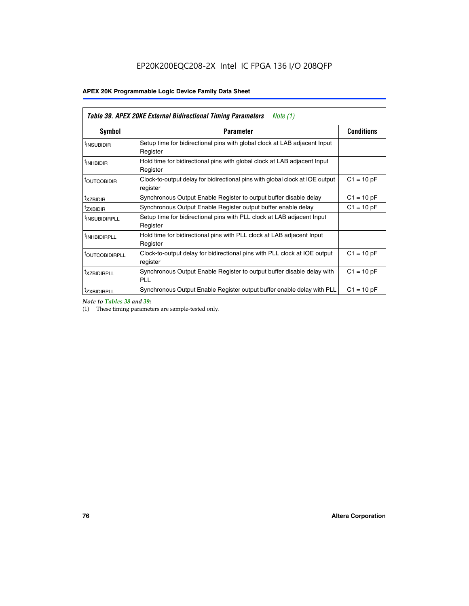| Table 39. APEX 20KE External Bidirectional Timing Parameters<br>Note $(1)$ |                                                                                                          |                   |  |  |  |  |  |  |
|----------------------------------------------------------------------------|----------------------------------------------------------------------------------------------------------|-------------------|--|--|--|--|--|--|
| <b>Symbol</b>                                                              | <b>Parameter</b>                                                                                         | <b>Conditions</b> |  |  |  |  |  |  |
| <sup>t</sup> INSUBIDIR                                                     | Setup time for bidirectional pins with global clock at LAB adjacent Input<br>Register                    |                   |  |  |  |  |  |  |
| <sup>t</sup> INHBIDIR                                                      | Hold time for bidirectional pins with global clock at LAB adjacent Input<br>Register                     |                   |  |  |  |  |  |  |
| <b><i>LOUTCOBIDIR</i></b>                                                  | $C1 = 10 pF$<br>Clock-to-output delay for bidirectional pins with global clock at IOE output<br>register |                   |  |  |  |  |  |  |
| t <sub>XZBIDIR</sub>                                                       | Synchronous Output Enable Register to output buffer disable delay                                        | $C1 = 10 pF$      |  |  |  |  |  |  |
| <sup>t</sup> zxbidir                                                       | Synchronous Output Enable Register output buffer enable delay                                            | $C1 = 10 pF$      |  |  |  |  |  |  |
| <sup>I</sup> INSUBIDIRPLL                                                  | Setup time for bidirectional pins with PLL clock at LAB adjacent Input<br>Register                       |                   |  |  |  |  |  |  |
| <sup>t</sup> INHBIDIRPLL                                                   | Hold time for bidirectional pins with PLL clock at LAB adjacent Input<br>Register                        |                   |  |  |  |  |  |  |
| <sup>t</sup> OUTCOBIDIRPLL                                                 | Clock-to-output delay for bidirectional pins with PLL clock at IOE output<br>register                    | $C1 = 10 pF$      |  |  |  |  |  |  |
| <sup>t</sup> XZBIDIRPLL                                                    | Synchronous Output Enable Register to output buffer disable delay with<br><b>PLL</b>                     | $C1 = 10 pF$      |  |  |  |  |  |  |
| <sup>I</sup> ZXBIDIRPLL                                                    | Synchronous Output Enable Register output buffer enable delay with PLL                                   | $C1 = 10 pF$      |  |  |  |  |  |  |

*Note to Tables 38 and 39:*

(1) These timing parameters are sample-tested only.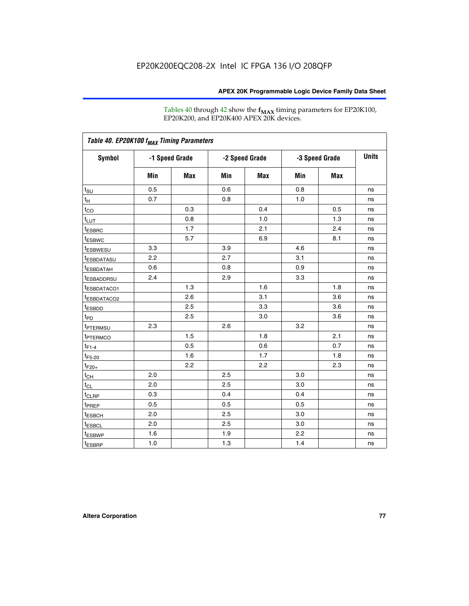Tables 40 through 42 show the **f<sub>MAX</sub>** timing parameters for EP20K100, EP20K200, and EP20K400 APEX 20K devices.

| Table 40. EP20K100 f <sub>MAX</sub> Timing Parameters |                |     |                |     |                |            |              |
|-------------------------------------------------------|----------------|-----|----------------|-----|----------------|------------|--------------|
| <b>Symbol</b>                                         | -1 Speed Grade |     | -2 Speed Grade |     | -3 Speed Grade |            | <b>Units</b> |
|                                                       | Min            | Max | Min            | Max | Min            | <b>Max</b> |              |
| $t_{\text{SU}}$                                       | 0.5            |     | 0.6            |     | 0.8            |            | ns           |
| $t_H$                                                 | 0.7            |     | 0.8            |     | 1.0            |            | ns           |
| $t_{CO}$                                              |                | 0.3 |                | 0.4 |                | 0.5        | ns           |
| $t_{LUT}$                                             |                | 0.8 |                | 1.0 |                | 1.3        | ns           |
| <sup>t</sup> ESBRC                                    |                | 1.7 |                | 2.1 |                | 2.4        | ns           |
| t <sub>ESBWC</sub>                                    |                | 5.7 |                | 6.9 |                | 8.1        | ns           |
| t <sub>ESBWESU</sub>                                  | 3.3            |     | 3.9            |     | 4.6            |            | ns           |
| <sup>t</sup> ESBDATASU                                | 2.2            |     | 2.7            |     | 3.1            |            | ns           |
| <sup>t</sup> ESBDATAH                                 | 0.6            |     | 0.8            |     | 0.9            |            | ns           |
| <sup>t</sup> ESBADDRSU                                | 2.4            |     | 2.9            |     | 3.3            |            | ns           |
| <sup>t</sup> ESBDATACO1                               |                | 1.3 |                | 1.6 |                | 1.8        | ns           |
| t <sub>ESBDATACO2</sub>                               |                | 2.6 |                | 3.1 |                | 3.6        | ns           |
| t <sub>ESBDD</sub>                                    |                | 2.5 |                | 3.3 |                | 3.6        | ns           |
| $t_{PD}$                                              |                | 2.5 |                | 3.0 |                | 3.6        | ns           |
| t <sub>PTERMSU</sub>                                  | 2.3            |     | 2.6            |     | 3.2            |            | ns           |
| t <sub>PTERMCO</sub>                                  |                | 1.5 |                | 1.8 |                | 2.1        | ns           |
| $t_{F1-4}$                                            |                | 0.5 |                | 0.6 |                | 0.7        | ns           |
| $t_{F5-20}$                                           |                | 1.6 |                | 1.7 |                | 1.8        | ns           |
| $t_{F20+}$                                            |                | 2.2 |                | 2.2 |                | 2.3        | ns           |
| $t_{\mathsf{CH}}$                                     | 2.0            |     | 2.5            |     | 3.0            |            | ns           |
| $t_{CL}$                                              | 2.0            |     | 2.5            |     | 3.0            |            | ns           |
| t <sub>CLRP</sub>                                     | 0.3            |     | 0.4            |     | 0.4            |            | ns           |
| t <sub>PREP</sub>                                     | 0.5            |     | 0.5            |     | 0.5            |            | ns           |
| <sup>t</sup> ESBCH                                    | 2.0            |     | 2.5            |     | 3.0            |            | ns           |
| <b>t</b> ESBCL                                        | 2.0            |     | 2.5            |     | 3.0            |            | ns           |
| t <sub>ESBWP</sub>                                    | 1.6            |     | 1.9            |     | 2.2            |            | ns           |
| $t_{ESBRP}$                                           | 1.0            |     | 1.3            |     | 1.4            |            | ns           |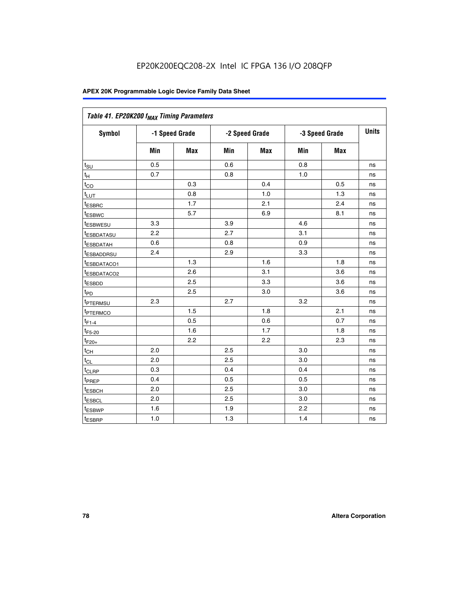| Table 41. EP20K200 f <sub>MAX</sub> Timing Parameters |                |     |     |                |     |                |    |
|-------------------------------------------------------|----------------|-----|-----|----------------|-----|----------------|----|
| Symbol                                                | -1 Speed Grade |     |     | -2 Speed Grade |     | -3 Speed Grade |    |
|                                                       | Min            | Max | Min | <b>Max</b>     | Min | Max            |    |
| $t_{\text{SU}}$                                       | 0.5            |     | 0.6 |                | 0.8 |                | ns |
| $t_H$                                                 | 0.7            |     | 0.8 |                | 1.0 |                | ns |
| $t_{CO}$                                              |                | 0.3 |     | 0.4            |     | 0.5            | ns |
| $t_{LUT}$                                             |                | 0.8 |     | 1.0            |     | 1.3            | ns |
| <sup>t</sup> ESBRC                                    |                | 1.7 |     | 2.1            |     | 2.4            | ns |
| t <sub>ESBWC</sub>                                    |                | 5.7 |     | 6.9            |     | 8.1            | ns |
| t <sub>ESBWESU</sub>                                  | 3.3            |     | 3.9 |                | 4.6 |                | ns |
| t <sub>esbdatasu</sub>                                | 2.2            |     | 2.7 |                | 3.1 |                | ns |
| <sup>t</sup> ESBDATAH                                 | 0.6            |     | 0.8 |                | 0.9 |                | ns |
| <sup>t</sup> ESBADDRSU                                | 2.4            |     | 2.9 |                | 3.3 |                | ns |
| <u>t<sub>ESBDATACO1</sub></u>                         |                | 1.3 |     | 1.6            |     | 1.8            | ns |
| <sup>t</sup> ESBDATACO2                               |                | 2.6 |     | 3.1            |     | 3.6            | ns |
| <sup>t</sup> ESBDD                                    |                | 2.5 |     | 3.3            |     | 3.6            | ns |
| $t_{P\underline{D}}$                                  |                | 2.5 |     | 3.0            |     | 3.6            | ns |
| t <sub>ptermsu</sub>                                  | 2.3            |     | 2.7 |                | 3.2 |                | ns |
| <sup>t</sup> PTERMCO                                  |                | 1.5 |     | 1.8            |     | 2.1            | ns |
| $t_{F1-4}$                                            |                | 0.5 |     | 0.6            |     | 0.7            | ns |
| $t_{F5-20}$                                           |                | 1.6 |     | 1.7            |     | 1.8            | ns |
| $t_{F20+}$                                            |                | 2.2 |     | 2.2            |     | 2.3            | ns |
| $t_{\text{CH}}$                                       | 2.0            |     | 2.5 |                | 3.0 |                | ns |
| $t_{CL}$                                              | 2.0            |     | 2.5 |                | 3.0 |                | ns |
| $t_{CLRP}$                                            | 0.3            |     | 0.4 |                | 0.4 |                | ns |
| t <sub>PREP</sub>                                     | 0.4            |     | 0.5 |                | 0.5 |                | ns |
| t <sub>ESBCH</sub>                                    | 2.0            |     | 2.5 |                | 3.0 |                | ns |
| t <sub>ESBCL</sub>                                    | 2.0            |     | 2.5 |                | 3.0 |                | ns |
| t <sub>ESBWP</sub>                                    | 1.6            |     | 1.9 |                | 2.2 |                | ns |
| t <sub>ESBRP</sub>                                    | 1.0            |     | 1.3 |                | 1.4 |                | ns |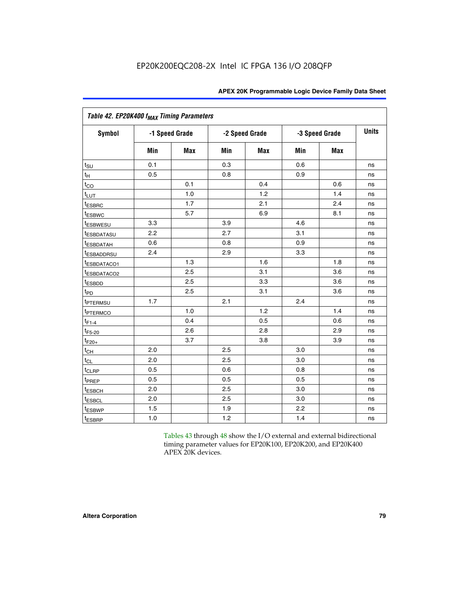|                             | Table 42. EP20K400 f <sub>MAX</sub> Timing Parameters |                |     |                |     |                |              |  |  |  |  |
|-----------------------------|-------------------------------------------------------|----------------|-----|----------------|-----|----------------|--------------|--|--|--|--|
| <b>Symbol</b>               |                                                       | -1 Speed Grade |     | -2 Speed Grade |     | -3 Speed Grade | <b>Units</b> |  |  |  |  |
|                             | Min                                                   | Max            | Min | <b>Max</b>     | Min | <b>Max</b>     |              |  |  |  |  |
| $t_{\text{SU}}$             | 0.1                                                   |                | 0.3 |                | 0.6 |                | ns           |  |  |  |  |
| $t_{\mathsf{H}}$            | 0.5                                                   |                | 0.8 |                | 0.9 |                | ns           |  |  |  |  |
| $t_{CO}$                    |                                                       | 0.1            |     | 0.4            |     | 0.6            | ns           |  |  |  |  |
| t <sub>LUT</sub>            |                                                       | 1.0            |     | 1.2            |     | 1.4            | ns           |  |  |  |  |
| t <sub>ESBRC</sub>          |                                                       | 1.7            |     | 2.1            |     | 2.4            | ns           |  |  |  |  |
| <sup>t</sup> ESBWC          |                                                       | 5.7            |     | 6.9            |     | 8.1            | ns           |  |  |  |  |
| <i>t</i> ESBWESU            | 3.3                                                   |                | 3.9 |                | 4.6 |                | ns           |  |  |  |  |
| <sup>t</sup> ESBDATASU      | 2.2                                                   |                | 2.7 |                | 3.1 |                | ns           |  |  |  |  |
| <sup>t</sup> ESBDATAH       | 0.6                                                   |                | 0.8 |                | 0.9 |                | ns           |  |  |  |  |
| <sup>t</sup> ESBADDRSU      | 2.4                                                   |                | 2.9 |                | 3.3 |                | ns           |  |  |  |  |
| t <sub>ESBDATACO1</sub>     |                                                       | 1.3            |     | 1.6            |     | 1.8            | ns           |  |  |  |  |
| <sup>t</sup> ESBDATACO2     |                                                       | 2.5            |     | 3.1            |     | 3.6            | ns           |  |  |  |  |
| t <sub>ESBDD</sub>          |                                                       | 2.5            |     | 3.3            |     | 3.6            | ns           |  |  |  |  |
| $t_{PD}$                    |                                                       | 2.5            |     | 3.1            |     | 3.6            | ns           |  |  |  |  |
| t <sub>PTERMSU</sub>        | 1.7                                                   |                | 2.1 |                | 2.4 |                | ns           |  |  |  |  |
| t <sub>PTERMCO</sub>        |                                                       | 1.0            |     | 1.2            |     | 1.4            | ns           |  |  |  |  |
| $t_{F1-4}$                  |                                                       | 0.4            |     | 0.5            |     | 0.6            | ns           |  |  |  |  |
| $t_{F5-20}$                 |                                                       | 2.6            |     | 2.8            |     | 2.9            | ns           |  |  |  |  |
| $t_{F20+}$                  |                                                       | 3.7            |     | 3.8            |     | 3.9            | ns           |  |  |  |  |
| $t_{CH}$                    | 2.0                                                   |                | 2.5 |                | 3.0 |                | ns           |  |  |  |  |
| $t_{CL}$                    | 2.0                                                   |                | 2.5 |                | 3.0 |                | ns           |  |  |  |  |
| t <sub>CLRP</sub>           | 0.5                                                   |                | 0.6 |                | 0.8 |                | ns           |  |  |  |  |
| t <sub>PREP</sub>           | 0.5                                                   |                | 0.5 |                | 0.5 |                | ns           |  |  |  |  |
| t <sub>ESBCH</sub>          | 2.0                                                   |                | 2.5 |                | 3.0 |                | ns           |  |  |  |  |
| <b><i><u>LESBCL</u></i></b> | 2.0                                                   |                | 2.5 |                | 3.0 |                | ns           |  |  |  |  |
| t <sub>ESBWP</sub>          | 1.5                                                   |                | 1.9 |                | 2.2 |                | ns           |  |  |  |  |
| t <sub>ESBRP</sub>          | 1.0                                                   |                | 1.2 |                | 1.4 |                | ns           |  |  |  |  |

Tables 43 through 48 show the I/O external and external bidirectional timing parameter values for EP20K100, EP20K200, and EP20K400 APEX 20K devices.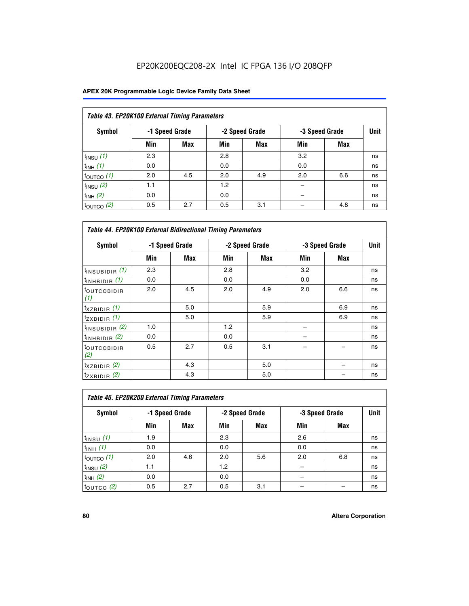| Table 43. EP20K100 External Timing Parameters |     |                |     |                |     |                |             |  |  |  |
|-----------------------------------------------|-----|----------------|-----|----------------|-----|----------------|-------------|--|--|--|
| Symbol                                        |     | -1 Speed Grade |     | -2 Speed Grade |     | -3 Speed Grade | <b>Unit</b> |  |  |  |
|                                               | Min | Max            | Min | <b>Max</b>     | Min | <b>Max</b>     |             |  |  |  |
| $t_{INSU}$ (1)                                | 2.3 |                | 2.8 |                | 3.2 |                | ns          |  |  |  |
| $t_{INH}$ (1)                                 | 0.0 |                | 0.0 |                | 0.0 |                | ns          |  |  |  |
| $t_{\text{OUTCO}}(1)$                         | 2.0 | 4.5            | 2.0 | 4.9            | 2.0 | 6.6            | ns          |  |  |  |
| $t_{INSU}(2)$                                 | 1.1 |                | 1.2 |                |     |                | ns          |  |  |  |
| $t_{INH}$ (2)                                 | 0.0 |                | 0.0 |                |     |                | ns          |  |  |  |
| $t_{\text{OUTCO}}$ (2)                        | 0.5 | 2.7            | 0.5 | 3.1            |     | 4.8            | ns          |  |  |  |

| <b>Table 44. EP20K100 External Bidirectional Timing Parameters</b> |     |                |     |                |     |                |    |
|--------------------------------------------------------------------|-----|----------------|-----|----------------|-----|----------------|----|
| Symbol                                                             |     | -1 Speed Grade |     | -2 Speed Grade |     | -3 Speed Grade |    |
|                                                                    | Min | Max            | Min | Max            | Min | Max            |    |
| $t_{\text{INSUBIDIR}}(1)$                                          | 2.3 |                | 2.8 |                | 3.2 |                | ns |
| $t_{INHBIDIR}$ (1)                                                 | 0.0 |                | 0.0 |                | 0.0 |                | ns |
| <sup>t</sup> OUTCOBIDIR<br>(1)                                     | 2.0 | 4.5            | 2.0 | 4.9            | 2.0 | 6.6            | ns |
| $t_{XZBIDIR}$ (1)                                                  |     | 5.0            |     | 5.9            |     | 6.9            | ns |
| $t_{ZXBIDIR}$ (1)                                                  |     | 5.0            |     | 5.9            |     | 6.9            | ns |
| $t_{INSUBIDIR}$ (2)                                                | 1.0 |                | 1.2 |                |     |                | ns |
| $t_{INHBIDIR}$ (2)                                                 | 0.0 |                | 0.0 |                |     |                | ns |
| <sup>t</sup> OUTCOBIDIR<br>(2)                                     | 0.5 | 2.7            | 0.5 | 3.1            |     |                | ns |
| $t_{XZBIDIR}$ (2)                                                  |     | 4.3            |     | 5.0            |     |                | ns |
| $t_{ZXBIDIR}$ (2)                                                  |     | 4.3            |     | 5.0            |     |                | ns |

| Table 45. EP20K200 External Timing Parameters |     |                |     |                |     |                |             |  |  |  |  |
|-----------------------------------------------|-----|----------------|-----|----------------|-----|----------------|-------------|--|--|--|--|
| Symbol                                        |     | -1 Speed Grade |     | -2 Speed Grade |     | -3 Speed Grade | <b>Unit</b> |  |  |  |  |
|                                               | Min | Max            | Min | <b>Max</b>     | Min | <b>Max</b>     |             |  |  |  |  |
| $t_{INSU}$ (1)                                | 1.9 |                | 2.3 |                | 2.6 |                | ns          |  |  |  |  |
| $t_{INH}$ (1)                                 | 0.0 |                | 0.0 |                | 0.0 |                | ns          |  |  |  |  |
| $t_{\text{OUTCO}}(1)$                         | 2.0 | 4.6            | 2.0 | 5.6            | 2.0 | 6.8            | ns          |  |  |  |  |
| $t_{INSU}$ (2)                                | 1.1 |                | 1.2 |                |     |                | ns          |  |  |  |  |
| $t_{INH}$ (2)                                 | 0.0 |                | 0.0 |                |     |                | ns          |  |  |  |  |
| $t_{\text{OUTCO}}$ (2)                        | 0.5 | 2.7            | 0.5 | 3.1            |     |                | ns          |  |  |  |  |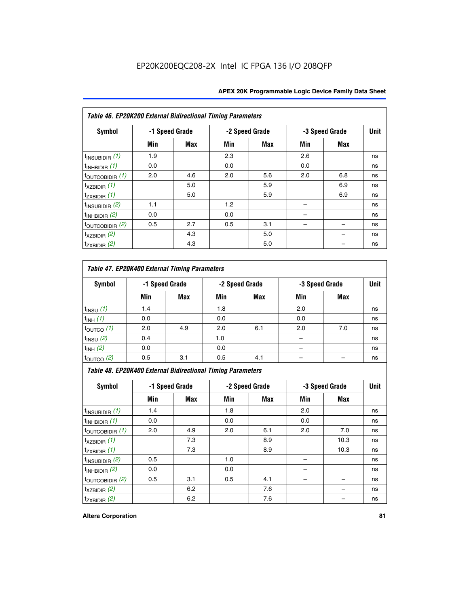| Table 46. EP20K200 External Bidirectional Timing Parameters |     |                |     |                |     |                |             |
|-------------------------------------------------------------|-----|----------------|-----|----------------|-----|----------------|-------------|
| Symbol                                                      |     | -1 Speed Grade |     | -2 Speed Grade |     | -3 Speed Grade | <b>Unit</b> |
|                                                             | Min | <b>Max</b>     | Min | Max            | Min | <b>Max</b>     |             |
| $t_{\text{INSUBIDIR}}(1)$                                   | 1.9 |                | 2.3 |                | 2.6 |                | ns          |
| $t_{INHBIDIR}$ (1)                                          | 0.0 |                | 0.0 |                | 0.0 |                | ns          |
| $t_{\text{OUTCOBIDIR}}(1)$                                  | 2.0 | 4.6            | 2.0 | 5.6            | 2.0 | 6.8            | ns          |
| $t_{XZBIDIR}$ (1)                                           |     | 5.0            |     | 5.9            |     | 6.9            | ns          |
| $t_{ZXBIDIR}$ (1)                                           |     | 5.0            |     | 5.9            |     | 6.9            | ns          |
| $t_{\text{INSUBIDIR}}(2)$                                   | 1.1 |                | 1.2 |                |     |                | ns          |
| $t_{INHBIDIR}$ (2)                                          | 0.0 |                | 0.0 |                |     |                | ns          |
| $t_{\text{OUTCOBIDIR}}(2)$                                  | 0.5 | 2.7            | 0.5 | 3.1            |     |                | ns          |
| $t_{XZBIDIR}$ $(2)$                                         |     | 4.3            |     | 5.0            |     |                | ns          |
| $t_{ZXBIDIR}$ (2)                                           |     | 4.3            |     | 5.0            |     |                | ns          |

## *Table 47. EP20K400 External Timing Parameters*

| Symbol                |     | -1 Speed Grade |     | -2 Speed Grade |     | -3 Speed Grade |    |
|-----------------------|-----|----------------|-----|----------------|-----|----------------|----|
|                       | Min | <b>Max</b>     | Min | <b>Max</b>     | Min | <b>Max</b>     |    |
| $t_{INSU}$ (1)        | 1.4 |                | 1.8 |                | 2.0 |                | ns |
| $t_{INH}$ (1)         | 0.0 |                | 0.0 |                | 0.0 |                | ns |
| $t_{\text{OUTCO}}(1)$ | 2.0 | 4.9            | 2.0 | 6.1            | 2.0 | 7.0            | ns |
| $t_{INSU}$ (2)        | 0.4 |                | 1.0 |                |     |                | ns |
| $t_{INH}$ (2)         | 0.0 |                | 0.0 |                |     |                | ns |
| $t_{\text{OUTCO}}(2)$ | 0.5 | 3.1            | 0.5 | 4.1            |     |                | ns |

*Table 48. EP20K400 External Bidirectional Timing Parameters*

| Symbol                      | -1 Speed Grade |     | -2 Speed Grade |            |     | -3 Speed Grade | <b>Unit</b> |
|-----------------------------|----------------|-----|----------------|------------|-----|----------------|-------------|
|                             | Min            | Max | Min            | <b>Max</b> | Min | <b>Max</b>     |             |
| $t_{\text{INSUBIDIR}}(1)$   | 1.4            |     | 1.8            |            | 2.0 |                | ns          |
| $t_{INHBIDIR}$ (1)          | 0.0            |     | 0.0            |            | 0.0 |                | ns          |
| $t_{\text{OUTCOBIDIR}}(1)$  | 2.0            | 4.9 | 2.0            | 6.1        | 2.0 | 7.0            | ns          |
| $t_{XZBIDIR}$ (1)           |                | 7.3 |                | 8.9        |     | 10.3           | ns          |
| $t_{ZXBIDIR}$ (1)           |                | 7.3 |                | 8.9        |     | 10.3           | ns          |
| $t_{\text{INSUBIDIR}}(2)$   | 0.5            |     | 1.0            |            |     |                | ns          |
| $t_{INHBIDIR}$ (2)          | 0.0            |     | 0.0            |            |     |                | ns          |
| $t_{\text{OUTCOBIDIR}}$ (2) | 0.5            | 3.1 | 0.5            | 4.1        |     |                | ns          |
| $t_{XZBIDIR}$ (2)           |                | 6.2 |                | 7.6        |     |                | ns          |
| $t_{ZXBIDIR}$ (2)           |                | 6.2 |                | 7.6        |     |                | ns          |

#### **Altera Corporation 81**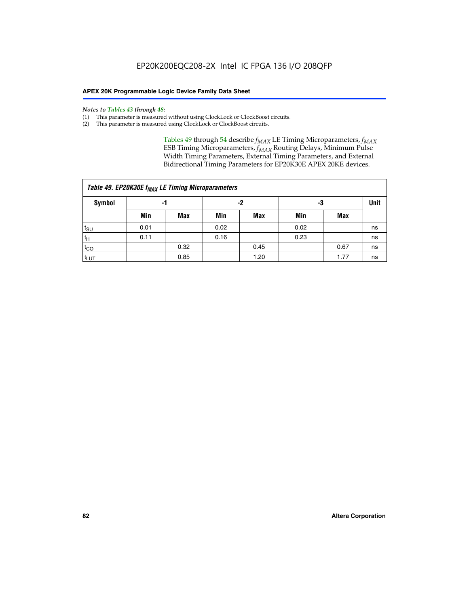#### *Notes to Tables 43 through 48:*

- (1) This parameter is measured without using ClockLock or ClockBoost circuits.
- (2) This parameter is measured using ClockLock or ClockBoost circuits.

Tables 49 through 54 describe  $f_{MAX}$  LE Timing Microparameters,  $f_{MAX}$ ESB Timing Microparameters, *f<sub>MAX</sub>* Routing Delays, Minimum Pulse Width Timing Parameters, External Timing Parameters, and External Bidirectional Timing Parameters for EP20K30E APEX 20KE devices.

| Table 49. EP20K30E f <sub>MAX</sub> LE Timing Microparameters |      |      |      |            |      |      |    |  |  |  |  |
|---------------------------------------------------------------|------|------|------|------------|------|------|----|--|--|--|--|
| <b>Symbol</b>                                                 |      | -1   |      | -2         |      | -3   |    |  |  |  |  |
|                                                               | Min  | Max  | Min  | <b>Max</b> | Min  | Max  |    |  |  |  |  |
| $t_{\text{SU}}$                                               | 0.01 |      | 0.02 |            | 0.02 |      | ns |  |  |  |  |
| $t_H$                                                         | 0.11 |      | 0.16 |            | 0.23 |      | ns |  |  |  |  |
| $t_{CO}$                                                      |      | 0.32 |      | 0.45       |      | 0.67 | ns |  |  |  |  |
| $t_{LUT}$                                                     |      | 0.85 |      | 1.20       |      | 1.77 | ns |  |  |  |  |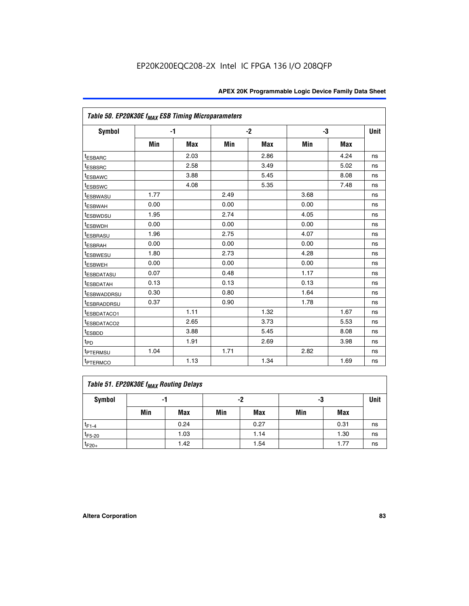| Table 50. EP20K30E f <sub>MAX</sub> ESB Timing Microparameters |      |      |      |      |      |            |             |
|----------------------------------------------------------------|------|------|------|------|------|------------|-------------|
| <b>Symbol</b>                                                  |      | $-1$ |      | $-2$ |      | -3         | <b>Unit</b> |
|                                                                | Min  | Max  | Min  | Max  | Min  | <b>Max</b> |             |
| <sup>t</sup> ESBARC                                            |      | 2.03 |      | 2.86 |      | 4.24       | ns          |
| <sup>t</sup> ESBSRC                                            |      | 2.58 |      | 3.49 |      | 5.02       | ns          |
| <sup>t</sup> ESBAWC                                            |      | 3.88 |      | 5.45 |      | 8.08       | ns          |
| t <sub>ESBSWC</sub>                                            |      | 4.08 |      | 5.35 |      | 7.48       | ns          |
| <sup>t</sup> ESBWASU                                           | 1.77 |      | 2.49 |      | 3.68 |            | ns          |
| <sup>t</sup> ESBWAH                                            | 0.00 |      | 0.00 |      | 0.00 |            | ns          |
| t <sub>ESBWDSU</sub>                                           | 1.95 |      | 2.74 |      | 4.05 |            | ns          |
| <sup>t</sup> ESBWDH                                            | 0.00 |      | 0.00 |      | 0.00 |            | ns          |
| <sup>t</sup> ESBRASU                                           | 1.96 |      | 2.75 |      | 4.07 |            | ns          |
| <sup>t</sup> ESBRAH                                            | 0.00 |      | 0.00 |      | 0.00 |            | ns          |
| <i>t</i> ESBWESU                                               | 1.80 |      | 2.73 |      | 4.28 |            | ns          |
| t <sub>ESBWEH</sub>                                            | 0.00 |      | 0.00 |      | 0.00 |            | ns          |
| <sup>t</sup> ESBDATASU                                         | 0.07 |      | 0.48 |      | 1.17 |            | ns          |
| <sup>I</sup> ESBDATAH                                          | 0.13 |      | 0.13 |      | 0.13 |            | ns          |
| <sup>t</sup> ESBWADDRSU                                        | 0.30 |      | 0.80 |      | 1.64 |            | ns          |
| <sup>I</sup> ESBRADDRSU                                        | 0.37 |      | 0.90 |      | 1.78 |            | ns          |
| ESBDATACO1                                                     |      | 1.11 |      | 1.32 |      | 1.67       | ns          |
| <sup>I</sup> ESBDATACO2                                        |      | 2.65 |      | 3.73 |      | 5.53       | ns          |
| t <sub>ESBDD</sub>                                             |      | 3.88 |      | 5.45 |      | 8.08       | ns          |
| t <sub>PD</sub>                                                |      | 1.91 |      | 2.69 |      | 3.98       | ns          |
| <sup>t</sup> PTERMSU                                           | 1.04 |      | 1.71 |      | 2.82 |            | ns          |
| t <sub>PTERMCO</sub>                                           |      | 1.13 |      | 1.34 |      | 1.69       | ns          |

## **Table 51. EP20K30E f<sub>MAX</sub> Routing Delays**

| Symbol      | - 1 |            | -2  |            | -3  |            | Unit |
|-------------|-----|------------|-----|------------|-----|------------|------|
|             | Min | <b>Max</b> | Min | <b>Max</b> | Min | <b>Max</b> |      |
| $t_{F1-4}$  |     | 0.24       |     | 0.27       |     | 0.31       | ns   |
| $t_{F5-20}$ |     | 1.03       |     | 1.14       |     | 1.30       | ns   |
| $t_{F20+}$  |     | 1.42       |     | 1.54       |     | 1.77       | ns   |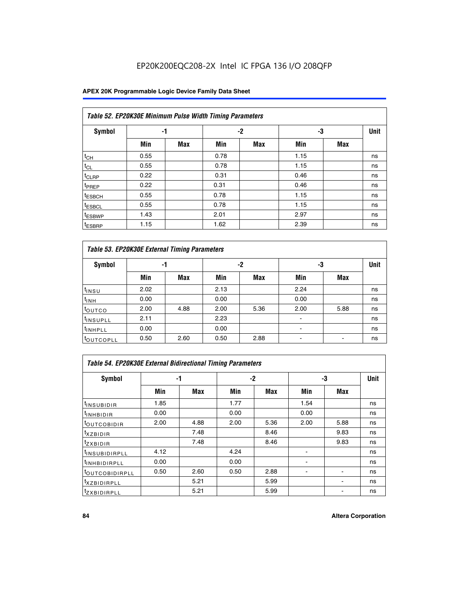### **APEX 20K Programmable Logic Device Family Data Sheet**

| Table 52. EP20K30E Minimum Pulse Width Timing Parameters |      |            |      |            |      |     |             |  |  |  |  |
|----------------------------------------------------------|------|------------|------|------------|------|-----|-------------|--|--|--|--|
| <b>Symbol</b>                                            | -1   |            |      | -2<br>-3   |      |     | <b>Unit</b> |  |  |  |  |
|                                                          | Min  | <b>Max</b> | Min  | <b>Max</b> | Min  | Max |             |  |  |  |  |
| $t_{CH}$                                                 | 0.55 |            | 0.78 |            | 1.15 |     | ns          |  |  |  |  |
| $t_{CL}$                                                 | 0.55 |            | 0.78 |            | 1.15 |     | ns          |  |  |  |  |
| t <sub>CLRP</sub>                                        | 0.22 |            | 0.31 |            | 0.46 |     | ns          |  |  |  |  |
| <sup>t</sup> PREP                                        | 0.22 |            | 0.31 |            | 0.46 |     | ns          |  |  |  |  |
| <sup>t</sup> ESBCH                                       | 0.55 |            | 0.78 |            | 1.15 |     | ns          |  |  |  |  |
| <sup>t</sup> ESBCL                                       | 0.55 |            | 0.78 |            | 1.15 |     | ns          |  |  |  |  |
| <sup>t</sup> ESBWP                                       | 1.43 |            | 2.01 |            | 2.97 |     | ns          |  |  |  |  |
| <sup>t</sup> ESBRP                                       | 1.15 |            | 1.62 |            | 2.39 |     | ns          |  |  |  |  |

| Table 53. EP20K30E External Timing Parameters |      |            |      |            |                |            |             |  |  |  |  |
|-----------------------------------------------|------|------------|------|------------|----------------|------------|-------------|--|--|--|--|
| <b>Symbol</b>                                 | -1   |            |      | -2         |                | -3         | <b>Unit</b> |  |  |  |  |
|                                               | Min  | <b>Max</b> | Min  | <b>Max</b> | Min            | <b>Max</b> |             |  |  |  |  |
| t <sub>INSU</sub>                             | 2.02 |            | 2.13 |            | 2.24           |            | ns          |  |  |  |  |
| $t_{\text{INH}}$                              | 0.00 |            | 0.00 |            | 0.00           |            | ns          |  |  |  |  |
| toutco                                        | 2.00 | 4.88       | 2.00 | 5.36       | 2.00           | 5.88       | ns          |  |  |  |  |
| <sup>t</sup> INSUPLL                          | 2.11 |            | 2.23 |            |                |            | ns          |  |  |  |  |
| <sup>t</sup> INHPLL                           | 0.00 |            | 0.00 |            | $\blacksquare$ |            | ns          |  |  |  |  |
| <b>LOUTCOPLL</b>                              | 0.50 | 2.60       | 0.50 | 2.88       |                |            | ns          |  |  |  |  |

| Table 54. EP20K30E External Bidirectional Timing Parameters |      |      |      |      |                          |      |             |  |  |  |  |
|-------------------------------------------------------------|------|------|------|------|--------------------------|------|-------------|--|--|--|--|
| Symbol                                                      |      | -1   |      | $-2$ |                          | -3   | <b>Unit</b> |  |  |  |  |
|                                                             | Min  | Max  | Min  | Max  | Min                      | Max  |             |  |  |  |  |
| <sup>t</sup> INSUBIDIR                                      | 1.85 |      | 1.77 |      | 1.54                     |      | ns          |  |  |  |  |
| <b>INHBIDIR</b>                                             | 0.00 |      | 0.00 |      | 0.00                     |      | ns          |  |  |  |  |
| <b>LOUTCOBIDIR</b>                                          | 2.00 | 4.88 | 2.00 | 5.36 | 2.00                     | 5.88 | ns          |  |  |  |  |
| <sup>T</sup> XZBIDIR                                        |      | 7.48 |      | 8.46 |                          | 9.83 | ns          |  |  |  |  |
| <sup>t</sup> zxbidir                                        |      | 7.48 |      | 8.46 |                          | 9.83 | ns          |  |  |  |  |
| <sup>I</sup> INSUBIDIRPLL                                   | 4.12 |      | 4.24 |      | $\overline{\phantom{0}}$ |      | ns          |  |  |  |  |
| <b>INHBIDIRPLL</b>                                          | 0.00 |      | 0.00 |      |                          |      | ns          |  |  |  |  |
| <b><i>COUTCOBIDIRPLL</i></b>                                | 0.50 | 2.60 | 0.50 | 2.88 |                          |      | ns          |  |  |  |  |
| <sup>I</sup> XZBIDIRPLL                                     |      | 5.21 |      | 5.99 |                          |      | ns          |  |  |  |  |
| <sup>I</sup> ZXBIDIRPLL                                     |      | 5.21 |      | 5.99 |                          |      | ns          |  |  |  |  |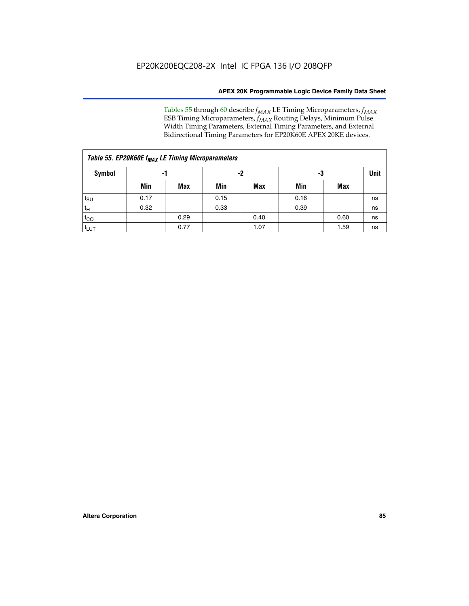Tables 55 through 60 describe *f<sub>MAX</sub>* LE Timing Microparameters, *f<sub>MAX</sub>* ESB Timing Microparameters, *f<sub>MAX</sub>* Routing Delays, Minimum Pulse Width Timing Parameters, External Timing Parameters, and External Bidirectional Timing Parameters for EP20K60E APEX 20KE devices.

| Table 55. EP20K60E f <sub>MAX</sub> LE Timing Microparameters |                |      |      |      |      |             |    |  |  |  |  |
|---------------------------------------------------------------|----------------|------|------|------|------|-------------|----|--|--|--|--|
| Symbol                                                        | -3<br>-2<br>-1 |      |      |      |      | <b>Unit</b> |    |  |  |  |  |
|                                                               | Min            | Max  | Min  | Max  | Min  | Max         |    |  |  |  |  |
| $t_{\text{SU}}$                                               | 0.17           |      | 0.15 |      | 0.16 |             | ns |  |  |  |  |
| $t_H$                                                         | 0.32           |      | 0.33 |      | 0.39 |             | ns |  |  |  |  |
| $t_{CO}$                                                      |                | 0.29 |      | 0.40 |      | 0.60        | ns |  |  |  |  |
| t <sub>lut</sub>                                              |                | 0.77 |      | 1.07 |      | 1.59        | ns |  |  |  |  |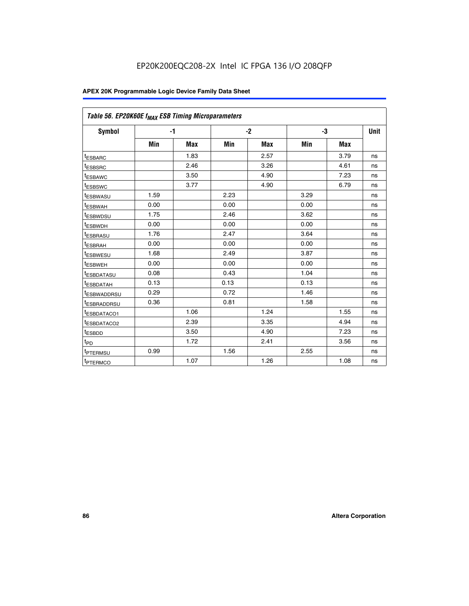| Table 56. EP20K60E f <sub>MAX</sub> ESB Timing Microparameters |      |            |      |            |      |            |             |
|----------------------------------------------------------------|------|------------|------|------------|------|------------|-------------|
| <b>Symbol</b>                                                  |      | $-1$       |      | $-2$       |      | -3         | <b>Unit</b> |
|                                                                | Min  | <b>Max</b> | Min  | <b>Max</b> | Min  | <b>Max</b> |             |
| <sup>t</sup> ESBARC                                            |      | 1.83       |      | 2.57       |      | 3.79       | ns          |
| t <sub>ESBSRC</sub>                                            |      | 2.46       |      | 3.26       |      | 4.61       | ns          |
| <sup>t</sup> ESBAWC                                            |      | 3.50       |      | 4.90       |      | 7.23       | ns          |
| <sup>t</sup> ESBSWC                                            |      | 3.77       |      | 4.90       |      | 6.79       | ns          |
| <sup>t</sup> ESBWASU                                           | 1.59 |            | 2.23 |            | 3.29 |            | ns          |
| <sup>t</sup> ESBWAH                                            | 0.00 |            | 0.00 |            | 0.00 |            | ns          |
| t <sub>ESBWDSU</sub>                                           | 1.75 |            | 2.46 |            | 3.62 |            | ns          |
| <sup>t</sup> ESBWDH                                            | 0.00 |            | 0.00 |            | 0.00 |            | ns          |
| t <sub>ESBRASU</sub>                                           | 1.76 |            | 2.47 |            | 3.64 |            | ns          |
| <sup>t</sup> ESBRAH                                            | 0.00 |            | 0.00 |            | 0.00 |            | ns          |
| t <sub>ESBWESU</sub>                                           | 1.68 |            | 2.49 |            | 3.87 |            | ns          |
| t <sub>ESBWEH</sub>                                            | 0.00 |            | 0.00 |            | 0.00 |            | ns          |
| <sup>t</sup> ESBDATASU                                         | 0.08 |            | 0.43 |            | 1.04 |            | ns          |
| t <sub>ESBDATAH</sub>                                          | 0.13 |            | 0.13 |            | 0.13 |            | ns          |
| <sup>t</sup> ESBWADDRSU                                        | 0.29 |            | 0.72 |            | 1.46 |            | ns          |
| <sup>t</sup> ESBRADDRSU                                        | 0.36 |            | 0.81 |            | 1.58 |            | ns          |
| <sup>I</sup> ESBDATACO1                                        |      | 1.06       |      | 1.24       |      | 1.55       | ns          |
| <sup>t</sup> ESBDATACO2                                        |      | 2.39       |      | 3.35       |      | 4.94       | ns          |
| <sup>t</sup> ESBDD                                             |      | 3.50       |      | 4.90       |      | 7.23       | ns          |
| t <sub>PD</sub>                                                |      | 1.72       |      | 2.41       |      | 3.56       | ns          |
| t <sub>PTERMSU</sub>                                           | 0.99 |            | 1.56 |            | 2.55 |            | ns          |
| t <sub>PTERMCO</sub>                                           |      | 1.07       |      | 1.26       |      | 1.08       | ns          |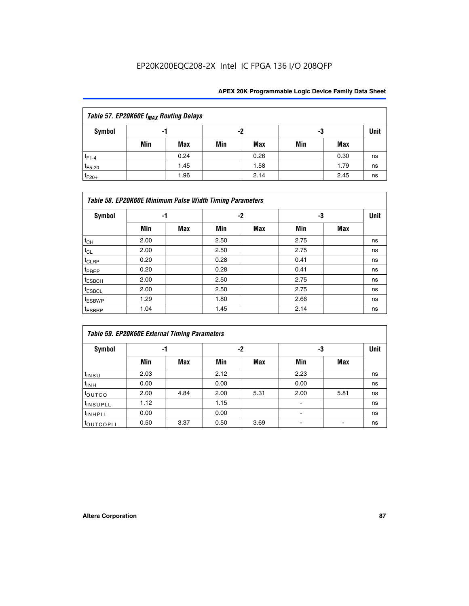| Table 57. EP20K60E f <sub>MAX</sub> Routing Delays |                |      |     |            |     |      |      |  |  |  |  |
|----------------------------------------------------|----------------|------|-----|------------|-----|------|------|--|--|--|--|
| Symbol                                             | -2<br>-3<br>-1 |      |     |            |     |      | Unit |  |  |  |  |
|                                                    | Min            | Max  | Min | <b>Max</b> | Min | Max  |      |  |  |  |  |
| $t_{F1-4}$                                         |                | 0.24 |     | 0.26       |     | 0.30 | ns   |  |  |  |  |
| $t_{F5-20}$                                        |                | 1.45 |     | 1.58       |     | 1.79 | ns   |  |  |  |  |
| $t_{F20+}$                                         |                | 1.96 |     | 2.14       |     | 2.45 | ns   |  |  |  |  |

|                    | Table 58. EP20K60E Minimum Pulse Width Timing Parameters |            |      |            |      |     |             |
|--------------------|----------------------------------------------------------|------------|------|------------|------|-----|-------------|
| Symbol             | -1                                                       |            |      | -2         |      | -3  | <b>Unit</b> |
|                    | Min                                                      | <b>Max</b> | Min  | <b>Max</b> | Min  | Max |             |
| $t_{CH}$           | 2.00                                                     |            | 2.50 |            | 2.75 |     | ns          |
| $t_{CL}$           | 2.00                                                     |            | 2.50 |            | 2.75 |     | ns          |
| t <sub>CLRP</sub>  | 0.20                                                     |            | 0.28 |            | 0.41 |     | ns          |
| t <sub>PREP</sub>  | 0.20                                                     |            | 0.28 |            | 0.41 |     | ns          |
| $t_{ESBCH}$        | 2.00                                                     |            | 2.50 |            | 2.75 |     | ns          |
| t <sub>ESBCL</sub> | 2.00                                                     |            | 2.50 |            | 2.75 |     | ns          |
| t <sub>ESBWP</sub> | 1.29                                                     |            | 1.80 |            | 2.66 |     | ns          |
| t <sub>ESBRP</sub> | 1.04                                                     |            | 1.45 |            | 2.14 |     | ns          |

|                      | <b>Table 59. EP20K60E External Timing Parameters</b> |      |      |      |      |      |      |  |  |  |  |  |  |
|----------------------|------------------------------------------------------|------|------|------|------|------|------|--|--|--|--|--|--|
| Symbol               | -1                                                   |      |      | -2   | -3   |      | Unit |  |  |  |  |  |  |
|                      | Min                                                  | Max  | Min  | Max  | Min  | Max  |      |  |  |  |  |  |  |
| $t_{INSU}$           | 2.03                                                 |      | 2.12 |      | 2.23 |      | ns   |  |  |  |  |  |  |
| $t_{INH}$            | 0.00                                                 |      | 0.00 |      | 0.00 |      | ns   |  |  |  |  |  |  |
| toutco               | 2.00                                                 | 4.84 | 2.00 | 5.31 | 2.00 | 5.81 | ns   |  |  |  |  |  |  |
| <sup>t</sup> INSUPLL | 1.12                                                 |      | 1.15 |      | ٠    |      | ns   |  |  |  |  |  |  |
| <sup>t</sup> INHPLL  | 0.00                                                 |      | 0.00 |      | ۰    |      | ns   |  |  |  |  |  |  |
| toutcopll            | 0.50                                                 | 3.37 | 0.50 | 3.69 |      |      | ns   |  |  |  |  |  |  |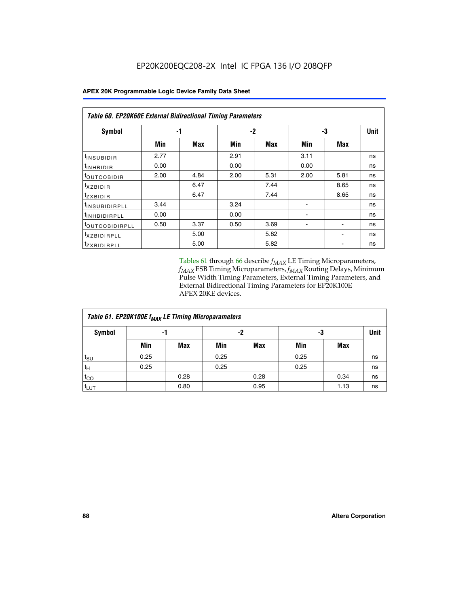| <b>Table 60. EP20K60E External Bidirectional Timing Parameters</b> |      |      |      |      |      |      |             |  |  |  |  |
|--------------------------------------------------------------------|------|------|------|------|------|------|-------------|--|--|--|--|
| Symbol                                                             |      | -1   |      | -2   |      | -3   | <b>Unit</b> |  |  |  |  |
|                                                                    | Min  | Max  | Min  | Max  | Min  | Max  |             |  |  |  |  |
| I <sup>t</sup> INSUBIDIR                                           | 2.77 |      | 2.91 |      | 3.11 |      | ns          |  |  |  |  |
| <sup>t</sup> INHBIDIR                                              | 0.00 |      | 0.00 |      | 0.00 |      | ns          |  |  |  |  |
| <sup>t</sup> OUTCOBIDIR                                            | 2.00 | 4.84 | 2.00 | 5.31 | 2.00 | 5.81 | ns          |  |  |  |  |
| $txz$ BIDIR                                                        |      | 6.47 |      | 7.44 |      | 8.65 | ns          |  |  |  |  |
| <i>tzxbidir</i>                                                    |      | 6.47 |      | 7.44 |      | 8.65 | ns          |  |  |  |  |
| <sup>t</sup> INSUBIDIRPLL                                          | 3.44 |      | 3.24 |      |      |      | ns          |  |  |  |  |
| <sup>t</sup> INHBIDIRPLL                                           | 0.00 |      | 0.00 |      |      |      | ns          |  |  |  |  |
| TOUTCOBIDIRPLL                                                     | 0.50 | 3.37 | 0.50 | 3.69 |      |      | ns          |  |  |  |  |
| <sup>t</sup> XZBIDIRPLL                                            |      | 5.00 |      | 5.82 |      |      | ns          |  |  |  |  |
| <sup>t</sup> zxbidirpll                                            |      | 5.00 |      | 5.82 |      |      | ns          |  |  |  |  |

Tables 61 through 66 describe  $f_{MAX}$  LE Timing Microparameters, *fMAX* ESB Timing Microparameters, *fMAX* Routing Delays, Minimum Pulse Width Timing Parameters, External Timing Parameters, and External Bidirectional Timing Parameters for EP20K100E APEX 20KE devices.

| Table 61. EP20K100E f <sub>MAX</sub> LE Timing Microparameters |      |      |      |            |      |            |             |  |  |  |  |
|----------------------------------------------------------------|------|------|------|------------|------|------------|-------------|--|--|--|--|
| <b>Symbol</b>                                                  |      | -1   | -2   |            |      | -3         | <b>Unit</b> |  |  |  |  |
|                                                                | Min  | Max  | Min  | <b>Max</b> | Min  | <b>Max</b> |             |  |  |  |  |
| $t_{\text{SU}}$                                                | 0.25 |      | 0.25 |            | 0.25 |            | ns          |  |  |  |  |
| tμ                                                             | 0.25 |      | 0.25 |            | 0.25 |            | ns          |  |  |  |  |
| $t_{CO}$                                                       |      | 0.28 |      | 0.28       |      | 0.34       | ns          |  |  |  |  |
| t <sub>LUT</sub>                                               |      | 0.80 |      | 0.95       |      | 1.13       | ns          |  |  |  |  |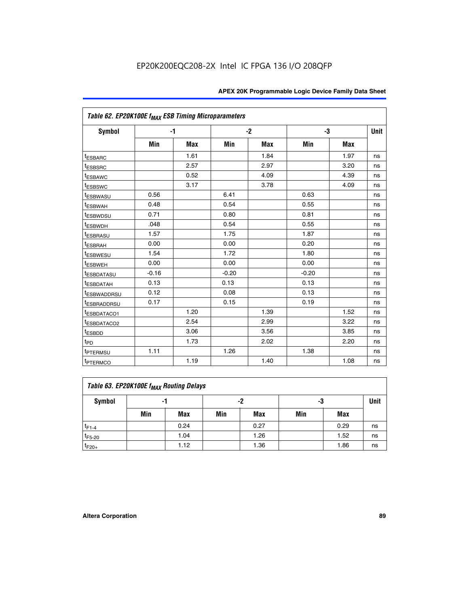| Table 62. EP20K100E f <sub>MAX</sub> ESB Timing Microparameters |         |            |         |      |         |            |             |
|-----------------------------------------------------------------|---------|------------|---------|------|---------|------------|-------------|
| <b>Symbol</b>                                                   |         | $-1$       |         | $-2$ |         | -3         | <b>Unit</b> |
|                                                                 | Min     | <b>Max</b> | Min     | Max  | Min     | <b>Max</b> |             |
| <sup>t</sup> ESBARC                                             |         | 1.61       |         | 1.84 |         | 1.97       | ns          |
| <sup>t</sup> ESBSRC                                             |         | 2.57       |         | 2.97 |         | 3.20       | ns          |
| <sup>t</sup> ESBAWC                                             |         | 0.52       |         | 4.09 |         | 4.39       | ns          |
| <sup>t</sup> ESBSWC                                             |         | 3.17       |         | 3.78 |         | 4.09       | ns          |
| <sup>t</sup> ESBWASU                                            | 0.56    |            | 6.41    |      | 0.63    |            | ns          |
| <sup>t</sup> ESBWAH                                             | 0.48    |            | 0.54    |      | 0.55    |            | ns          |
| <sup>t</sup> ESBWDSU                                            | 0.71    |            | 0.80    |      | 0.81    |            | ns          |
| t <sub>ESBWDH</sub>                                             | .048    |            | 0.54    |      | 0.55    |            | ns          |
| <sup>t</sup> ESBRASU                                            | 1.57    |            | 1.75    |      | 1.87    |            | ns          |
| t <sub>ESBRAH</sub>                                             | 0.00    |            | 0.00    |      | 0.20    |            | ns          |
| <b>ESBWESU</b>                                                  | 1.54    |            | 1.72    |      | 1.80    |            | ns          |
| t <sub>ESBWEH</sub>                                             | 0.00    |            | 0.00    |      | 0.00    |            | ns          |
| <sup>t</sup> ESBDATASU                                          | $-0.16$ |            | $-0.20$ |      | $-0.20$ |            | ns          |
| <sup>t</sup> ESBDATAH                                           | 0.13    |            | 0.13    |      | 0.13    |            | ns          |
| <sup>t</sup> ESBWADDRSU                                         | 0.12    |            | 0.08    |      | 0.13    |            | ns          |
| <sup>t</sup> ESBRADDRSU                                         | 0.17    |            | 0.15    |      | 0.19    |            | ns          |
| ESBDATACO1                                                      |         | 1.20       |         | 1.39 |         | 1.52       | ns          |
| <sup>t</sup> ESBDATACO2                                         |         | 2.54       |         | 2.99 |         | 3.22       | ns          |
| <sup>t</sup> ESBDD                                              |         | 3.06       |         | 3.56 |         | 3.85       | ns          |
| t <sub>PD</sub>                                                 |         | 1.73       |         | 2.02 |         | 2.20       | ns          |
| t <sub>PTERMSU</sub>                                            | 1.11    |            | 1.26    |      | 1.38    |            | ns          |
| <sup>t</sup> PTERMCO                                            |         | 1.19       |         | 1.40 |         | 1.08       | ns          |

| Table 63. EP20K100E f <sub>MAX</sub> Routing Delays |     |      |     |            |     |      |    |  |  |  |
|-----------------------------------------------------|-----|------|-----|------------|-----|------|----|--|--|--|
| Symbol                                              |     | -1   |     | -2         |     | -3   |    |  |  |  |
|                                                     | Min | Max  | Min | <b>Max</b> | Min | Max  |    |  |  |  |
| $t_{F1-4}$                                          |     | 0.24 |     | 0.27       |     | 0.29 | ns |  |  |  |
| $t_{F5-20}$                                         |     | 1.04 |     | 1.26       |     | 1.52 | ns |  |  |  |
| $t_{F20+}$                                          |     | 1.12 |     | 1.36       |     | 1.86 | ns |  |  |  |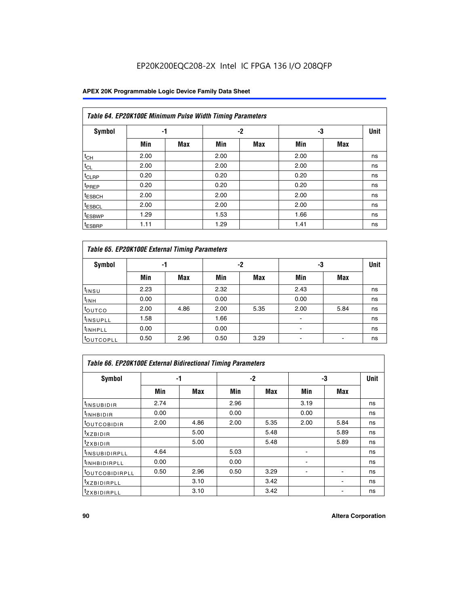### **APEX 20K Programmable Logic Device Family Data Sheet**

| Table 64. EP20K100E Minimum Pulse Width Timing Parameters |      |            |      |            |      |            |             |  |  |  |  |
|-----------------------------------------------------------|------|------------|------|------------|------|------------|-------------|--|--|--|--|
| <b>Symbol</b>                                             | -1   |            |      | -2         | -3   |            | <b>Unit</b> |  |  |  |  |
|                                                           | Min  | <b>Max</b> | Min  | <b>Max</b> | Min  | <b>Max</b> |             |  |  |  |  |
| $t_{CH}$                                                  | 2.00 |            | 2.00 |            | 2.00 |            | ns          |  |  |  |  |
| $t_{CL}$                                                  | 2.00 |            | 2.00 |            | 2.00 |            | ns          |  |  |  |  |
| $t_{CLRP}$                                                | 0.20 |            | 0.20 |            | 0.20 |            | ns          |  |  |  |  |
| <sup>t</sup> PREP                                         | 0.20 |            | 0.20 |            | 0.20 |            | ns          |  |  |  |  |
| <sup>t</sup> ESBCH                                        | 2.00 |            | 2.00 |            | 2.00 |            | ns          |  |  |  |  |
| <sup>t</sup> ESBCL                                        | 2.00 |            | 2.00 |            | 2.00 |            | ns          |  |  |  |  |
| <sup>t</sup> ESBWP                                        | 1.29 |            | 1.53 |            | 1.66 |            | ns          |  |  |  |  |
| <sup>t</sup> ESBRP                                        | 1.11 |            | 1.29 |            | 1.41 |            | ns          |  |  |  |  |

|                      | Table 65. EP20K100E External Timing Parameters |            |      |            |                          |            |             |  |  |  |  |  |
|----------------------|------------------------------------------------|------------|------|------------|--------------------------|------------|-------------|--|--|--|--|--|
| <b>Symbol</b>        | -1                                             |            |      | -2         | -3                       |            | <b>Unit</b> |  |  |  |  |  |
|                      | Min                                            | <b>Max</b> | Min  | <b>Max</b> | Min                      | <b>Max</b> |             |  |  |  |  |  |
| t <sub>INSU</sub>    | 2.23                                           |            | 2.32 |            | 2.43                     |            | ns          |  |  |  |  |  |
| $t_{\rm INH}$        | 0.00                                           |            | 0.00 |            | 0.00                     |            | ns          |  |  |  |  |  |
| toutco               | 2.00                                           | 4.86       | 2.00 | 5.35       | 2.00                     | 5.84       | ns          |  |  |  |  |  |
| <sup>t</sup> INSUPLL | 1.58                                           |            | 1.66 |            |                          |            | ns          |  |  |  |  |  |
| <sup>t</sup> INHPLL  | 0.00                                           |            | 0.00 |            | $\overline{\phantom{a}}$ |            | ns          |  |  |  |  |  |
| <b>LOUTCOPLL</b>     | 0.50                                           | 2.96       | 0.50 | 3.29       | -                        |            | ns          |  |  |  |  |  |

|                              | Table 66. EP20K100E External Bidirectional Timing Parameters |      |      |      |      |            |      |  |  |  |  |
|------------------------------|--------------------------------------------------------------|------|------|------|------|------------|------|--|--|--|--|
| Symbol                       |                                                              | -1   |      | $-2$ |      | -3         | Unit |  |  |  |  |
|                              | Min                                                          | Max  | Min  | Max  | Min  | <b>Max</b> |      |  |  |  |  |
| <sup>t</sup> INSUBIDIR       | 2.74                                                         |      | 2.96 |      | 3.19 |            | ns   |  |  |  |  |
| <b>TINHBIDIR</b>             | 0.00                                                         |      | 0.00 |      | 0.00 |            | ns   |  |  |  |  |
| <b>LOUTCOBIDIR</b>           | 2.00                                                         | 4.86 | 2.00 | 5.35 | 2.00 | 5.84       | ns   |  |  |  |  |
| <sup>T</sup> XZBIDIR         |                                                              | 5.00 |      | 5.48 |      | 5.89       | ns   |  |  |  |  |
| $I_{Z}$ XBIDIR               |                                                              | 5.00 |      | 5.48 |      | 5.89       | ns   |  |  |  |  |
| <sup>t</sup> INSUBIDIRPLL    | 4.64                                                         |      | 5.03 |      |      |            | ns   |  |  |  |  |
| <sup>I</sup> INHBIDIRPLL     | 0.00                                                         |      | 0.00 |      |      |            | ns   |  |  |  |  |
| <b><i>COUTCOBIDIRPLL</i></b> | 0.50                                                         | 2.96 | 0.50 | 3.29 |      |            | ns   |  |  |  |  |
| <sup>I</sup> XZBIDIRPLL      |                                                              | 3.10 |      | 3.42 |      |            | ns   |  |  |  |  |
| <sup>I</sup> ZXBIDIRPLL      |                                                              | 3.10 |      | 3.42 |      |            | ns   |  |  |  |  |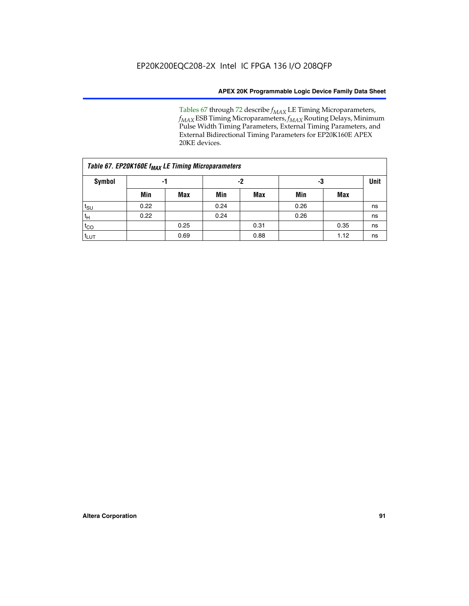Tables 67 through 72 describe *f<sub>MAX</sub>* LE Timing Microparameters, *f<sub>MAX</sub>* ESB Timing Microparameters, *f<sub>MAX</sub>* Routing Delays, Minimum Pulse Width Timing Parameters, External Timing Parameters, and External Bidirectional Timing Parameters for EP20K160E APEX 20KE devices.

|                  | Table 67. EP20K160E f <sub>MAX</sub> LE Timing Microparameters |            |      |            |      |      |    |  |  |  |  |  |
|------------------|----------------------------------------------------------------|------------|------|------------|------|------|----|--|--|--|--|--|
| <b>Symbol</b>    | -1                                                             |            |      | -2         |      | -3   |    |  |  |  |  |  |
|                  | Min                                                            | <b>Max</b> | Min  | <b>Max</b> | Min  | Max  |    |  |  |  |  |  |
| $t_{\text{SU}}$  | 0.22                                                           |            | 0.24 |            | 0.26 |      | ns |  |  |  |  |  |
| $t_H$            | 0.22                                                           |            | 0.24 |            | 0.26 |      | ns |  |  |  |  |  |
| $t_{CO}$         |                                                                | 0.25       |      | 0.31       |      | 0.35 | ns |  |  |  |  |  |
| t <sub>LUT</sub> |                                                                | 0.69       |      | 0.88       |      | 1.12 | ns |  |  |  |  |  |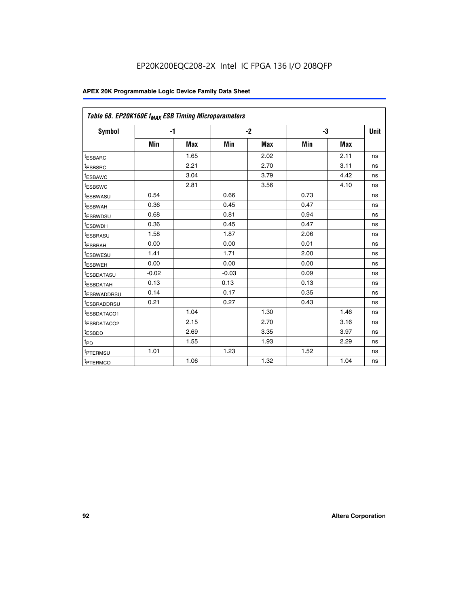| Table 68. EP20K160E f <sub>MAX</sub> ESB Timing Microparameters |         |            |         |            |      |      |      |
|-----------------------------------------------------------------|---------|------------|---------|------------|------|------|------|
| <b>Symbol</b>                                                   |         | $-1$       |         | $-2$       |      | -3   | Unit |
|                                                                 | Min     | <b>Max</b> | Min     | <b>Max</b> | Min  | Max  |      |
| <sup>t</sup> ESBARC                                             |         | 1.65       |         | 2.02       |      | 2.11 | ns   |
| t <sub>ESBSRC</sub>                                             |         | 2.21       |         | 2.70       |      | 3.11 | ns   |
| <sup>t</sup> ESBAWC                                             |         | 3.04       |         | 3.79       |      | 4.42 | ns   |
| t <sub>ESBSWC</sub>                                             |         | 2.81       |         | 3.56       |      | 4.10 | ns   |
| <sup>t</sup> ESBWASU                                            | 0.54    |            | 0.66    |            | 0.73 |      | ns   |
| <sup>t</sup> ESBWAH                                             | 0.36    |            | 0.45    |            | 0.47 |      | ns   |
| t <sub>ESBWDSU</sub>                                            | 0.68    |            | 0.81    |            | 0.94 |      | ns   |
| <sup>t</sup> ESBWDH                                             | 0.36    |            | 0.45    |            | 0.47 |      | ns   |
| t <sub>ESBRASU</sub>                                            | 1.58    |            | 1.87    |            | 2.06 |      | ns   |
| <sup>t</sup> ESBRAH                                             | 0.00    |            | 0.00    |            | 0.01 |      | ns   |
| <sup>t</sup> ESBWESU                                            | 1.41    |            | 1.71    |            | 2.00 |      | ns   |
| t <sub>ESBWEH</sub>                                             | 0.00    |            | 0.00    |            | 0.00 |      | ns   |
| t <sub>ESBDATASU</sub>                                          | $-0.02$ |            | $-0.03$ |            | 0.09 |      | ns   |
| t <sub>ESBDATAH</sub>                                           | 0.13    |            | 0.13    |            | 0.13 |      | ns   |
| t <sub>ESBWADDRSU</sub>                                         | 0.14    |            | 0.17    |            | 0.35 |      | ns   |
| <sup>t</sup> ESBRADDRSU                                         | 0.21    |            | 0.27    |            | 0.43 |      | ns   |
| <sup>I</sup> ESBDATACO1                                         |         | 1.04       |         | 1.30       |      | 1.46 | ns   |
| t <sub>ESBDATACO2</sub>                                         |         | 2.15       |         | 2.70       |      | 3.16 | ns   |
| <sup>t</sup> ESBDD                                              |         | 2.69       |         | 3.35       |      | 3.97 | ns   |
| $t_{\mathsf{PD}}$                                               |         | 1.55       |         | 1.93       |      | 2.29 | ns   |
| t <sub>PTERMSU</sub>                                            | 1.01    |            | 1.23    |            | 1.52 |      | ns   |
| t <sub>PTERMCO</sub>                                            |         | 1.06       |         | 1.32       |      | 1.04 | ns   |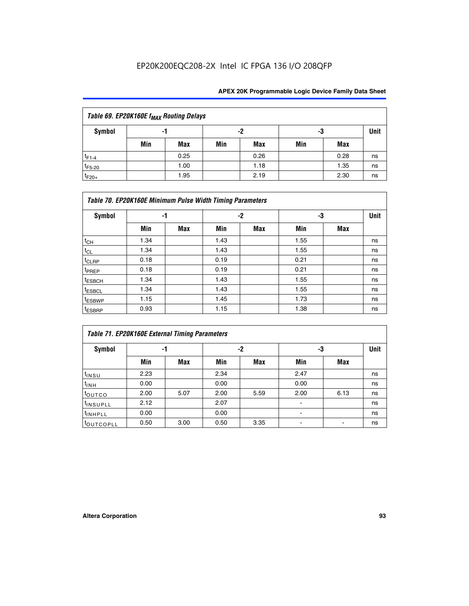| Table 69. EP20K160E f <sub>MAX</sub> Routing Delays |     |      |     |      |     |      |             |  |  |  |  |
|-----------------------------------------------------|-----|------|-----|------|-----|------|-------------|--|--|--|--|
| Symbol                                              |     | -1   |     | -2   | -3  |      | <b>Unit</b> |  |  |  |  |
|                                                     | Min | Max  | Min | Max  | Min | Max  |             |  |  |  |  |
| $t_{F1-4}$                                          |     | 0.25 |     | 0.26 |     | 0.28 | ns          |  |  |  |  |
| $t_{F5-20}$                                         |     | 1.00 |     | 1.18 |     | 1.35 | ns          |  |  |  |  |
| $t_{F20+}$                                          |     | 1.95 |     | 2.19 |     | 2.30 | ns          |  |  |  |  |

|                    | Table 70. EP20K160E Minimum Pulse Width Timing Parameters |            |      |            |      |     |             |  |  |  |  |
|--------------------|-----------------------------------------------------------|------------|------|------------|------|-----|-------------|--|--|--|--|
| <b>Symbol</b>      |                                                           | -1         |      | -2         |      | -3  | <b>Unit</b> |  |  |  |  |
|                    | Min                                                       | <b>Max</b> | Min  | <b>Max</b> | Min  | Max |             |  |  |  |  |
| $t_{CH}$           | 1.34                                                      |            | 1.43 |            | 1.55 |     | ns          |  |  |  |  |
| $t_{CL}$           | 1.34                                                      |            | 1.43 |            | 1.55 |     | ns          |  |  |  |  |
| $t_{CLRP}$         | 0.18                                                      |            | 0.19 |            | 0.21 |     | ns          |  |  |  |  |
| t <sub>PREP</sub>  | 0.18                                                      |            | 0.19 |            | 0.21 |     | ns          |  |  |  |  |
| <sup>t</sup> ESBCH | 1.34                                                      |            | 1.43 |            | 1.55 |     | ns          |  |  |  |  |
| <sup>t</sup> ESBCL | 1.34                                                      |            | 1.43 |            | 1.55 |     | ns          |  |  |  |  |
| <sup>t</sup> ESBWP | 1.15                                                      |            | 1.45 |            | 1.73 |     | ns          |  |  |  |  |
| <sup>t</sup> ESBRP | 0.93                                                      |            | 1.15 |            | 1.38 |     | ns          |  |  |  |  |

| Table 71. EP20K160E External Timing Parameters |      |      |      |      |                |      |    |  |  |  |  |
|------------------------------------------------|------|------|------|------|----------------|------|----|--|--|--|--|
| Symbol                                         |      | -1   |      | -2   |                | -3   |    |  |  |  |  |
|                                                | Min  | Max  | Min  | Max  | Min            | Max  |    |  |  |  |  |
| t <sub>INSU</sub>                              | 2.23 |      | 2.34 |      | 2.47           |      | ns |  |  |  |  |
| $t_{\text{INH}}$                               | 0.00 |      | 0.00 |      | 0.00           |      | ns |  |  |  |  |
| toutco                                         | 2.00 | 5.07 | 2.00 | 5.59 | 2.00           | 6.13 | ns |  |  |  |  |
| tinsupLL                                       | 2.12 |      | 2.07 |      | $\blacksquare$ |      | ns |  |  |  |  |
| <sup>t</sup> INHPLL                            | 0.00 |      | 0.00 |      | ۰              |      | ns |  |  |  |  |
| <b>COUTCOPLL</b>                               | 0.50 | 3.00 | 0.50 | 3.35 |                |      | ns |  |  |  |  |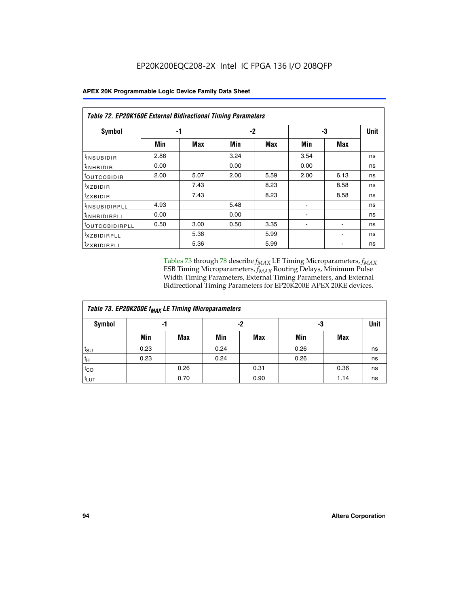|                                | Table 72. EP20K160E External Bidirectional Timing Parameters |      |      |      |      |      |             |  |  |  |  |
|--------------------------------|--------------------------------------------------------------|------|------|------|------|------|-------------|--|--|--|--|
| Symbol                         |                                                              | -1   |      | $-2$ |      | -3   | <b>Unit</b> |  |  |  |  |
|                                | Min                                                          | Max  | Min  | Max  | Min  | Max  |             |  |  |  |  |
| <sup>t</sup> INSUB <u>IDIR</u> | 2.86                                                         |      | 3.24 |      | 3.54 |      | ns          |  |  |  |  |
| <b>UNHBIDIR</b>                | 0.00                                                         |      | 0.00 |      | 0.00 |      | ns          |  |  |  |  |
| <b>LOUTCOBIDIR</b>             | 2.00                                                         | 5.07 | 2.00 | 5.59 | 2.00 | 6.13 | ns          |  |  |  |  |
| KZBIDIR                        |                                                              | 7.43 |      | 8.23 |      | 8.58 | ns          |  |  |  |  |
| <sup>t</sup> zxbidir           |                                                              | 7.43 |      | 8.23 |      | 8.58 | ns          |  |  |  |  |
| <sup>t</sup> INSUBIDIRPLL      | 4.93                                                         |      | 5.48 |      |      |      | ns          |  |  |  |  |
| <sup>I</sup> INHBIDIRPLL       | 0.00                                                         |      | 0.00 |      | ۰    |      | ns          |  |  |  |  |
| <b><i>LOUTCOBIDIRPLL</i></b>   | 0.50                                                         | 3.00 | 0.50 | 3.35 |      |      | ns          |  |  |  |  |
| <sup>T</sup> XZBIDIRPLL        |                                                              | 5.36 |      | 5.99 |      |      | ns          |  |  |  |  |
| <sup>t</sup> ZXBIDIRPLL        |                                                              | 5.36 |      | 5.99 |      |      | ns          |  |  |  |  |

Tables 73 through 78 describe  $f_{MAX}$  LE Timing Microparameters,  $f_{MAX}$ ESB Timing Microparameters, *f<sub>MAX</sub>* Routing Delays, Minimum Pulse Width Timing Parameters, External Timing Parameters, and External Bidirectional Timing Parameters for EP20K200E APEX 20KE devices.

| Table 73. EP20K200E f <sub>MAX</sub> LE Timing Microparameters |      |      |      |            |      |      |             |  |  |  |  |
|----------------------------------------------------------------|------|------|------|------------|------|------|-------------|--|--|--|--|
| <b>Symbol</b>                                                  | -1   |      |      | -2<br>-3   |      |      | <b>Unit</b> |  |  |  |  |
|                                                                | Min  | Max  | Min  | <b>Max</b> | Min  | Max  |             |  |  |  |  |
| $t_{\text{SU}}$                                                | 0.23 |      | 0.24 |            | 0.26 |      | ns          |  |  |  |  |
| $t_H$                                                          | 0.23 |      | 0.24 |            | 0.26 |      | ns          |  |  |  |  |
| $t_{CO}$                                                       |      | 0.26 |      | 0.31       |      | 0.36 | ns          |  |  |  |  |
| t <sub>LUT</sub>                                               |      | 0.70 |      | 0.90       |      | 1.14 | ns          |  |  |  |  |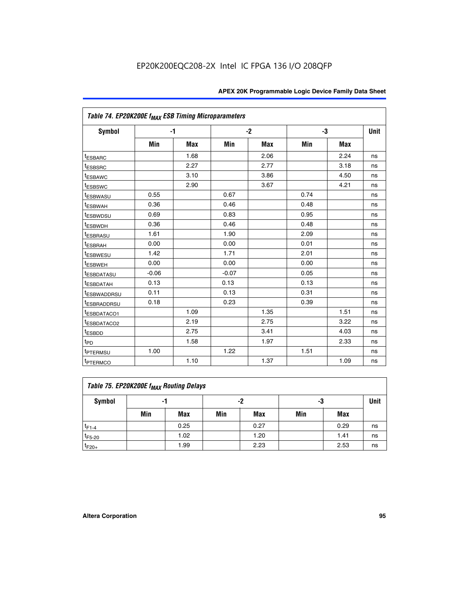|                         | Table 74. EP20K200E f <sub>MAX</sub> ESB Timing Microparameters |      |         |            |      |            |             |  |  |  |  |
|-------------------------|-----------------------------------------------------------------|------|---------|------------|------|------------|-------------|--|--|--|--|
| Symbol                  |                                                                 | $-1$ |         | $-2$       | -3   |            | <b>Unit</b> |  |  |  |  |
|                         | Min                                                             | Max  | Min     | <b>Max</b> | Min  | <b>Max</b> |             |  |  |  |  |
| <sup>t</sup> ESBARC     |                                                                 | 1.68 |         | 2.06       |      | 2.24       | ns          |  |  |  |  |
| <sup>t</sup> ESBSRC     |                                                                 | 2.27 |         | 2.77       |      | 3.18       | ns          |  |  |  |  |
| <sup>t</sup> ESBAWC     |                                                                 | 3.10 |         | 3.86       |      | 4.50       | ns          |  |  |  |  |
| <sup>t</sup> ESBSWC     |                                                                 | 2.90 |         | 3.67       |      | 4.21       | ns          |  |  |  |  |
| <sup>t</sup> ESBWASU    | 0.55                                                            |      | 0.67    |            | 0.74 |            | ns          |  |  |  |  |
| <b><i>LESBWAH</i></b>   | 0.36                                                            |      | 0.46    |            | 0.48 |            | ns          |  |  |  |  |
| <sup>t</sup> ESBWDSU    | 0.69                                                            |      | 0.83    |            | 0.95 |            | ns          |  |  |  |  |
| t <sub>ESBWDH</sub>     | 0.36                                                            |      | 0.46    |            | 0.48 |            | ns          |  |  |  |  |
| <sup>t</sup> ESBRASU    | 1.61                                                            |      | 1.90    |            | 2.09 |            | ns          |  |  |  |  |
| <sup>t</sup> ESBRAH     | 0.00                                                            |      | 0.00    |            | 0.01 |            | ns          |  |  |  |  |
| t <sub>ESBWESU</sub>    | 1.42                                                            |      | 1.71    |            | 2.01 |            | ns          |  |  |  |  |
| <sup>I</sup> ESBWEH     | 0.00                                                            |      | 0.00    |            | 0.00 |            | ns          |  |  |  |  |
| <sup>t</sup> ESBDATASU  | $-0.06$                                                         |      | $-0.07$ |            | 0.05 |            | ns          |  |  |  |  |
| <sup>I</sup> ESBDATAH   | 0.13                                                            |      | 0.13    |            | 0.13 |            | ns          |  |  |  |  |
| <sup>t</sup> ESBWADDRSU | 0.11                                                            |      | 0.13    |            | 0.31 |            | ns          |  |  |  |  |
| <sup>I</sup> ESBRADDRSU | 0.18                                                            |      | 0.23    |            | 0.39 |            | ns          |  |  |  |  |
| ESBDATACO1              |                                                                 | 1.09 |         | 1.35       |      | 1.51       | ns          |  |  |  |  |
| <sup>t</sup> ESBDATACO2 |                                                                 | 2.19 |         | 2.75       |      | 3.22       | ns          |  |  |  |  |
| t <sub>ESBDD</sub>      |                                                                 | 2.75 |         | 3.41       |      | 4.03       | ns          |  |  |  |  |
| t <sub>PD</sub>         |                                                                 | 1.58 |         | 1.97       |      | 2.33       | ns          |  |  |  |  |
| t <sub>PTERMSU</sub>    | 1.00                                                            |      | 1.22    |            | 1.51 |            | ns          |  |  |  |  |
| t <sub>PTERMCO</sub>    |                                                                 | 1.10 |         | 1.37       |      | 1.09       | ns          |  |  |  |  |

| Table 75. EP20K200E f <sub>MAX</sub> Routing Delays |     |      |     |            |     |      |             |  |  |  |
|-----------------------------------------------------|-----|------|-----|------------|-----|------|-------------|--|--|--|
| Symbol                                              |     | -1   |     | -2         | -3  |      | <b>Unit</b> |  |  |  |
|                                                     | Min | Max  | Min | <b>Max</b> | Min | Max  |             |  |  |  |
| $t_{F1-4}$                                          |     | 0.25 |     | 0.27       |     | 0.29 | ns          |  |  |  |
| $t_{F5-20}$                                         |     | 1.02 |     | 1.20       |     | 1.41 | ns          |  |  |  |
| $t_{F20+}$                                          |     | 1.99 |     | 2.23       |     | 2.53 | ns          |  |  |  |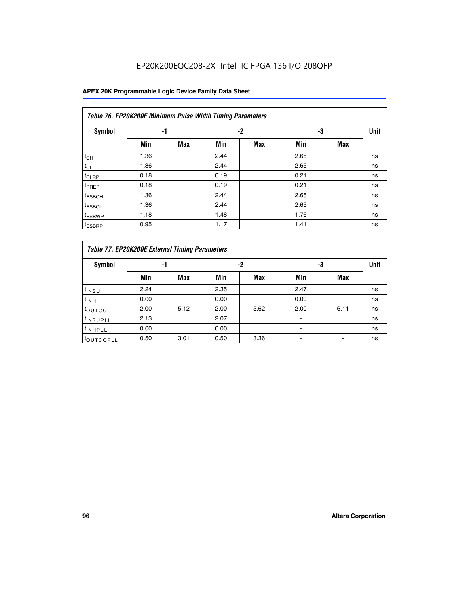|                    | Table 76. EP20K200E Minimum Pulse Width Timing Parameters |            |      |            |      |            |             |  |  |  |  |  |
|--------------------|-----------------------------------------------------------|------------|------|------------|------|------------|-------------|--|--|--|--|--|
| <b>Symbol</b>      | -1                                                        |            |      | $-2$       | -3   |            | <b>Unit</b> |  |  |  |  |  |
|                    | Min                                                       | <b>Max</b> | Min  | <b>Max</b> | Min  | <b>Max</b> |             |  |  |  |  |  |
| $t_{CH}$           | 1.36                                                      |            | 2.44 |            | 2.65 |            | ns          |  |  |  |  |  |
| $t_{CL}$           | 1.36                                                      |            | 2.44 |            | 2.65 |            | ns          |  |  |  |  |  |
| $t_{CLRP}$         | 0.18                                                      |            | 0.19 |            | 0.21 |            | ns          |  |  |  |  |  |
| t <sub>PREP</sub>  | 0.18                                                      |            | 0.19 |            | 0.21 |            | ns          |  |  |  |  |  |
| <sup>t</sup> ESBCH | 1.36                                                      |            | 2.44 |            | 2.65 |            | ns          |  |  |  |  |  |
| t <sub>ESBCL</sub> | 1.36                                                      |            | 2.44 |            | 2.65 |            | ns          |  |  |  |  |  |
| <sup>t</sup> ESBWP | 1.18                                                      |            | 1.48 |            | 1.76 |            | ns          |  |  |  |  |  |
| <sup>t</sup> ESBRP | 0.95                                                      |            | 1.17 |            | 1.41 |            | ns          |  |  |  |  |  |

|                       | Table 77. EP20K200E External Timing Parameters |            |      |            |      |      |             |  |  |  |  |  |
|-----------------------|------------------------------------------------|------------|------|------------|------|------|-------------|--|--|--|--|--|
| <b>Symbol</b>         |                                                | -1         |      | -2         |      | -3   | <b>Unit</b> |  |  |  |  |  |
|                       | Min                                            | <b>Max</b> | Min  | <b>Max</b> | Min  | Max  |             |  |  |  |  |  |
| t <sub>INSU</sub>     | 2.24                                           |            | 2.35 |            | 2.47 |      | ns          |  |  |  |  |  |
| $t_{\text{INH}}$      | 0.00                                           |            | 0.00 |            | 0.00 |      | ns          |  |  |  |  |  |
| toutco                | 2.00                                           | 5.12       | 2.00 | 5.62       | 2.00 | 6.11 | ns          |  |  |  |  |  |
| <sup>t</sup> INSUPLL  | 2.13                                           |            | 2.07 |            |      |      | ns          |  |  |  |  |  |
| <sup>t</sup> INHPLL   | 0.00                                           |            | 0.00 |            |      |      | ns          |  |  |  |  |  |
| <sup>I</sup> OUTCOPLL | 0.50                                           | 3.01       | 0.50 | 3.36       |      |      | ns          |  |  |  |  |  |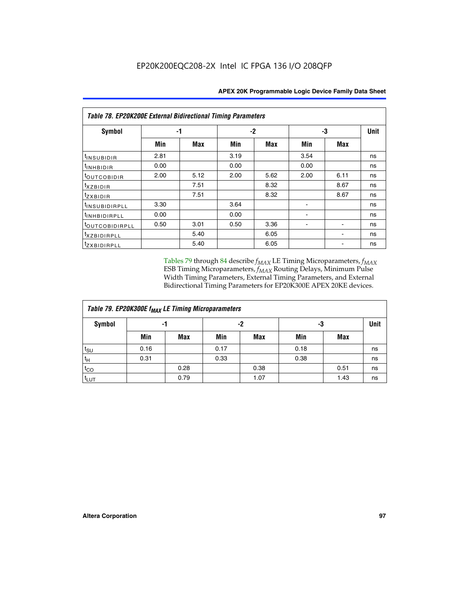| <b>Table 78. EP20K200E External Bidirectional Timing Parameters</b> |      |      |      |      |      |      |             |  |  |  |  |
|---------------------------------------------------------------------|------|------|------|------|------|------|-------------|--|--|--|--|
| Symbol                                                              |      | -1   | $-2$ |      |      | -3   | <b>Unit</b> |  |  |  |  |
|                                                                     | Min  | Max  | Min  | Max  | Min  | Max  |             |  |  |  |  |
| <sup>t</sup> INSUBIDIR                                              | 2.81 |      | 3.19 |      | 3.54 |      | ns          |  |  |  |  |
| <sup>t</sup> INHBIDIR                                               | 0.00 |      | 0.00 |      | 0.00 |      | ns          |  |  |  |  |
| <sup>t</sup> OUTCOBIDIR                                             | 2.00 | 5.12 | 2.00 | 5.62 | 2.00 | 6.11 | ns          |  |  |  |  |
| txzBIDIR                                                            |      | 7.51 |      | 8.32 |      | 8.67 | ns          |  |  |  |  |
| $t_{ZXBIDIR}$                                                       |      | 7.51 |      | 8.32 |      | 8.67 | ns          |  |  |  |  |
| <sup>t</sup> INSUBIDIRPLL                                           | 3.30 |      | 3.64 |      |      |      | ns          |  |  |  |  |
| <sup>t</sup> INHBIDIRPLL                                            | 0.00 |      | 0.00 |      |      |      | ns          |  |  |  |  |
| <sup>t</sup> OUTCOBIDIRPLL                                          | 0.50 | 3.01 | 0.50 | 3.36 |      |      | ns          |  |  |  |  |
| <sup>T</sup> XZBIDIRPLL                                             |      | 5.40 |      | 6.05 |      |      | ns          |  |  |  |  |
| <sup>t</sup> ZXBIDIRPLL                                             |      | 5.40 |      | 6.05 |      |      | ns          |  |  |  |  |

Tables 79 through 84 describe  $f_{MAX}$  LE Timing Microparameters,  $f_{MAX}$ ESB Timing Microparameters, *f<sub>MAX</sub>* Routing Delays, Minimum Pulse Width Timing Parameters, External Timing Parameters, and External Bidirectional Timing Parameters for EP20K300E APEX 20KE devices.

| Table 79. EP20K300E f <sub>MAX</sub> LE Timing Microparameters |      |            |      |            |      |            |             |  |  |  |  |
|----------------------------------------------------------------|------|------------|------|------------|------|------------|-------------|--|--|--|--|
| <b>Symbol</b>                                                  |      | -1         | -2   |            |      | -3         | <b>Unit</b> |  |  |  |  |
|                                                                | Min  | <b>Max</b> | Min  | <b>Max</b> | Min  | <b>Max</b> |             |  |  |  |  |
| $t_{\text{SU}}$                                                | 0.16 |            | 0.17 |            | 0.18 |            | ns          |  |  |  |  |
| $t_H$                                                          | 0.31 |            | 0.33 |            | 0.38 |            | ns          |  |  |  |  |
| $t_{CO}$                                                       |      | 0.28       |      | 0.38       |      | 0.51       | ns          |  |  |  |  |
| $t_{LUT}$                                                      |      | 0.79       |      | 1.07       |      | 1.43       | ns          |  |  |  |  |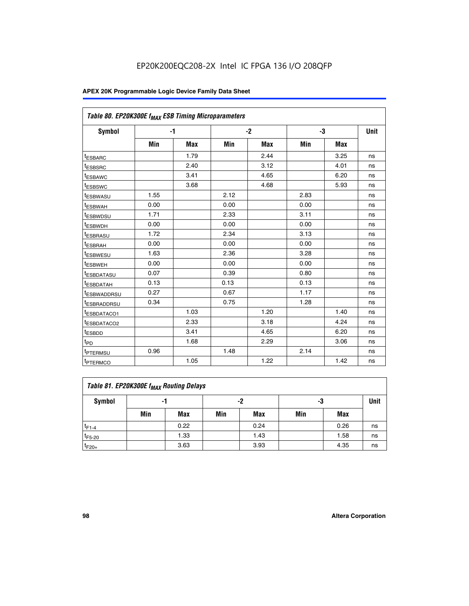| Table 80. EP20K300E f <sub>MAX</sub> ESB Timing Microparameters |      |            |      |            |      |            |      |
|-----------------------------------------------------------------|------|------------|------|------------|------|------------|------|
| <b>Symbol</b>                                                   |      | -1         |      | $-2$       |      | -3         | Unit |
|                                                                 | Min  | <b>Max</b> | Min  | <b>Max</b> | Min  | <b>Max</b> |      |
| t <sub>ESBARC</sub>                                             |      | 1.79       |      | 2.44       |      | 3.25       | ns   |
| t <sub>ESBSRC</sub>                                             |      | 2.40       |      | 3.12       |      | 4.01       | ns   |
| t <sub>ESBAWC</sub>                                             |      | 3.41       |      | 4.65       |      | 6.20       | ns   |
| t <sub>ESBSWC</sub>                                             |      | 3.68       |      | 4.68       |      | 5.93       | ns   |
| <sup>I</sup> ESBWASU                                            | 1.55 |            | 2.12 |            | 2.83 |            | ns   |
| <sup>t</sup> ESBWAH                                             | 0.00 |            | 0.00 |            | 0.00 |            | ns   |
| <sup>I</sup> ESBWDSU                                            | 1.71 |            | 2.33 |            | 3.11 |            | ns   |
| <sup>t</sup> ESBWDH                                             | 0.00 |            | 0.00 |            | 0.00 |            | ns   |
| <sup>t</sup> ESBRASU                                            | 1.72 |            | 2.34 |            | 3.13 |            | ns   |
| t <sub>ESBRAH</sub>                                             | 0.00 |            | 0.00 |            | 0.00 |            | ns   |
| <sup>t</sup> ESBWESU                                            | 1.63 |            | 2.36 |            | 3.28 |            | ns   |
| <sup>t</sup> ESBWEH                                             | 0.00 |            | 0.00 |            | 0.00 |            | ns   |
| t <sub>ESBDATASU</sub>                                          | 0.07 |            | 0.39 |            | 0.80 |            | ns   |
| <sup>t</sup> ESBDATAH                                           | 0.13 |            | 0.13 |            | 0.13 |            | ns   |
| <sup>t</sup> ESBWADDRSU                                         | 0.27 |            | 0.67 |            | 1.17 |            | ns   |
| <sup>t</sup> ESBRADDRSU                                         | 0.34 |            | 0.75 |            | 1.28 |            | ns   |
| <sup>I</sup> ESBDATACO1                                         |      | 1.03       |      | 1.20       |      | 1.40       | ns   |
| <sup>t</sup> ESBDATACO2                                         |      | 2.33       |      | 3.18       |      | 4.24       | ns   |
| <sup>t</sup> ESBDD                                              |      | 3.41       |      | 4.65       |      | 6.20       | ns   |
| t <sub>PD</sub>                                                 |      | 1.68       |      | 2.29       |      | 3.06       | ns   |
| t <sub>PTERMSU</sub>                                            | 0.96 |            | 1.48 |            | 2.14 |            | ns   |
| t <sub>PTERMCO</sub>                                            |      | 1.05       |      | 1.22       |      | 1.42       | ns   |

| Table 81. EP20K300E f <sub>MAX</sub> Routing Delays |     |      |     |      |     |      |    |  |  |  |
|-----------------------------------------------------|-----|------|-----|------|-----|------|----|--|--|--|
| Symbol                                              |     | -1   |     | -2   | -3  |      |    |  |  |  |
|                                                     | Min | Max  | Min | Max  | Min | Max  |    |  |  |  |
| $t_{F1-4}$                                          |     | 0.22 |     | 0.24 |     | 0.26 | ns |  |  |  |
| $t_{F5-20}$                                         |     | 1.33 |     | 1.43 |     | 1.58 | ns |  |  |  |
| $t_{F20+}$                                          |     | 3.63 |     | 3.93 |     | 4.35 | ns |  |  |  |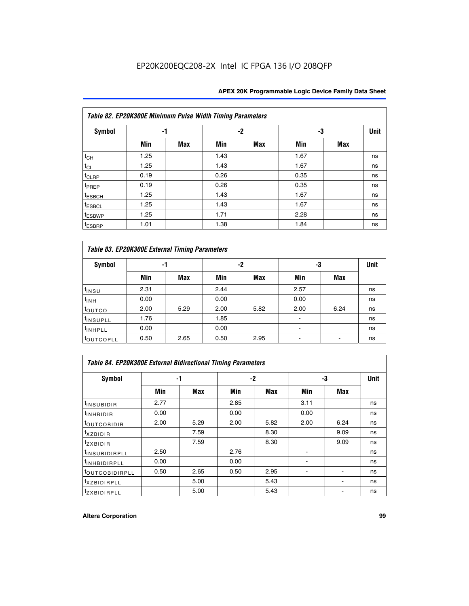|                    | Table 82. EP20K300E Minimum Pulse Width Timing Parameters |            |      |     |      |     |      |  |  |  |  |  |
|--------------------|-----------------------------------------------------------|------------|------|-----|------|-----|------|--|--|--|--|--|
| <b>Symbol</b>      | -1                                                        |            |      | -2  |      | -3  | Unit |  |  |  |  |  |
|                    | Min                                                       | <b>Max</b> | Min  | Max | Min  | Max |      |  |  |  |  |  |
| $t_{CH}$           | 1.25                                                      |            | 1.43 |     | 1.67 |     | ns   |  |  |  |  |  |
| $t_{CL}$           | 1.25                                                      |            | 1.43 |     | 1.67 |     | ns   |  |  |  |  |  |
| t <sub>CLRP</sub>  | 0.19                                                      |            | 0.26 |     | 0.35 |     | ns   |  |  |  |  |  |
| t <sub>PREP</sub>  | 0.19                                                      |            | 0.26 |     | 0.35 |     | ns   |  |  |  |  |  |
| t <sub>ESBCH</sub> | 1.25                                                      |            | 1.43 |     | 1.67 |     | ns   |  |  |  |  |  |
| <sup>t</sup> ESBCL | 1.25                                                      |            | 1.43 |     | 1.67 |     | ns   |  |  |  |  |  |
| <sup>t</sup> ESBWP | 1.25                                                      |            | 1.71 |     | 2.28 |     | ns   |  |  |  |  |  |
| <sup>t</sup> ESBRP | 1.01                                                      |            | 1.38 |     | 1.84 |     | ns   |  |  |  |  |  |

|                       | Table 83. EP20K300E External Timing Parameters |      |      |      |      |            |             |  |  |  |  |  |
|-----------------------|------------------------------------------------|------|------|------|------|------------|-------------|--|--|--|--|--|
| Symbol                |                                                | -1   |      | -2   |      | -3         | <b>Unit</b> |  |  |  |  |  |
|                       | Min                                            | Max  | Min  | Max  | Min  | <b>Max</b> |             |  |  |  |  |  |
| t <sub>INSU</sub>     | 2.31                                           |      | 2.44 |      | 2.57 |            | ns          |  |  |  |  |  |
| $t_{\rm INH}$         | 0.00                                           |      | 0.00 |      | 0.00 |            | ns          |  |  |  |  |  |
| toutco                | 2.00                                           | 5.29 | 2.00 | 5.82 | 2.00 | 6.24       | ns          |  |  |  |  |  |
| <sup>t</sup> INSUPLL  | 1.76                                           |      | 1.85 |      |      |            | ns          |  |  |  |  |  |
| <sup>t</sup> INHPLL   | 0.00                                           |      | 0.00 |      | -    |            | ns          |  |  |  |  |  |
| <sup>t</sup> OUTCOPLL | 0.50                                           | 2.65 | 0.50 | 2.95 |      |            | ns          |  |  |  |  |  |

| Table 84. EP20K300E External Bidirectional Timing Parameters |      |      |      |      |      |             |    |  |  |  |  |
|--------------------------------------------------------------|------|------|------|------|------|-------------|----|--|--|--|--|
| Symbol                                                       |      | -1   | $-2$ |      | -3   | <b>Unit</b> |    |  |  |  |  |
|                                                              | Min  | Max  | Min  | Max  | Min  | <b>Max</b>  |    |  |  |  |  |
| <sup>t</sup> INSUBIDIR                                       | 2.77 |      | 2.85 |      | 3.11 |             | ns |  |  |  |  |
| <b>TINHBIDIR</b>                                             | 0.00 |      | 0.00 |      | 0.00 |             | ns |  |  |  |  |
| <sup>t</sup> OUTCOBIDIR                                      | 2.00 | 5.29 | 2.00 | 5.82 | 2.00 | 6.24        | ns |  |  |  |  |
| KZBIDIR                                                      |      | 7.59 |      | 8.30 |      | 9.09        | ns |  |  |  |  |
| $t_{Z}$ <i>x</i> BIDIR                                       |      | 7.59 |      | 8.30 |      | 9.09        | ns |  |  |  |  |
| <b>INSUBIDIRPLL</b>                                          | 2.50 |      | 2.76 |      |      |             | ns |  |  |  |  |
| <sup>t</sup> INHBIDIRPLL                                     | 0.00 |      | 0.00 |      |      |             | ns |  |  |  |  |
| <sup>t</sup> OUTCOBIDIRPLL                                   | 0.50 | 2.65 | 0.50 | 2.95 |      |             | ns |  |  |  |  |
| <sup>t</sup> XZBIDIRPLL                                      |      | 5.00 |      | 5.43 |      |             | ns |  |  |  |  |
| <sup>t</sup> ZXBIDIRPLL                                      |      | 5.00 |      | 5.43 |      |             | ns |  |  |  |  |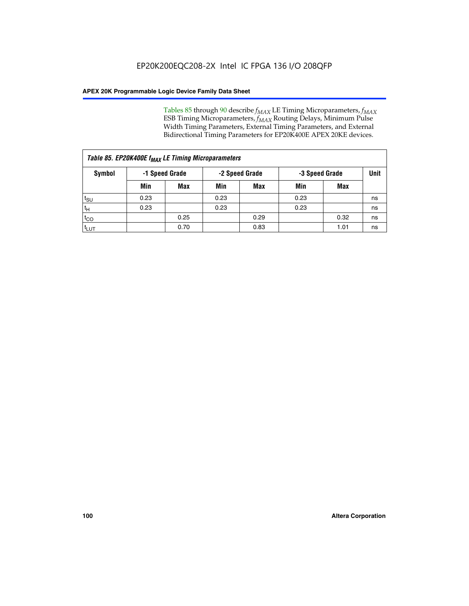Tables 85 through 90 describe  $f_{MAX}$  LE Timing Microparameters,  $f_{MAX}$ ESB Timing Microparameters, *f<sub>MAX</sub>* Routing Delays, Minimum Pulse Width Timing Parameters, External Timing Parameters, and External Bidirectional Timing Parameters for EP20K400E APEX 20KE devices.

|                    | Table 85. EP20K400E f <sub>MAX</sub> LE Timing Microparameters |            |                |            |                |      |      |  |  |  |  |  |
|--------------------|----------------------------------------------------------------|------------|----------------|------------|----------------|------|------|--|--|--|--|--|
| Symbol             | -1 Speed Grade                                                 |            | -2 Speed Grade |            | -3 Speed Grade |      | Unit |  |  |  |  |  |
|                    | Min                                                            | <b>Max</b> | Min            | <b>Max</b> | Min            | Max  |      |  |  |  |  |  |
| $t_{\text{SU}}$    | 0.23                                                           |            | 0.23           |            | 0.23           |      | ns   |  |  |  |  |  |
| $t_H$              | 0.23                                                           |            | 0.23           |            | 0.23           |      | ns   |  |  |  |  |  |
| $t_{CO}$           |                                                                | 0.25       |                | 0.29       |                | 0.32 | ns   |  |  |  |  |  |
| ι <sup>t</sup> ιυτ |                                                                | 0.70       |                | 0.83       |                | 1.01 | ns   |  |  |  |  |  |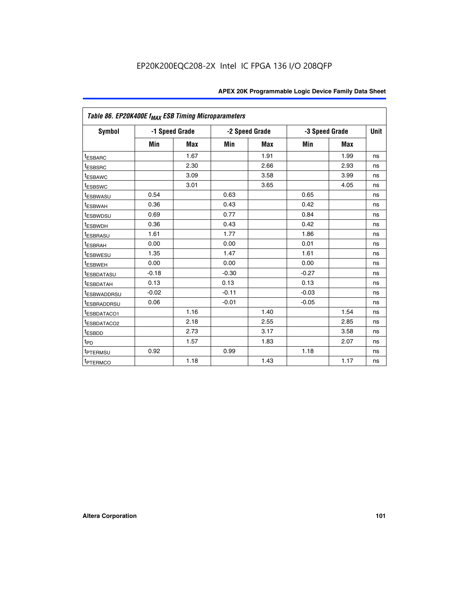| Table 86. EP20K400E f <sub>MAX</sub> ESB Timing Microparameters |         |                |         |                |         |                |             |
|-----------------------------------------------------------------|---------|----------------|---------|----------------|---------|----------------|-------------|
| Symbol                                                          |         | -1 Speed Grade |         | -2 Speed Grade |         | -3 Speed Grade | <b>Unit</b> |
|                                                                 | Min     | <b>Max</b>     | Min     | <b>Max</b>     | Min     | <b>Max</b>     |             |
| <sup>t</sup> ESBARC                                             |         | 1.67           |         | 1.91           |         | 1.99           | ns          |
| <sup>t</sup> ESBSRC                                             |         | 2.30           |         | 2.66           |         | 2.93           | ns          |
| <sup>t</sup> ESBAWC                                             |         | 3.09           |         | 3.58           |         | 3.99           | ns          |
| <sup>t</sup> ESBSWC                                             |         | 3.01           |         | 3.65           |         | 4.05           | ns          |
| <sup>t</sup> ESBWASU                                            | 0.54    |                | 0.63    |                | 0.65    |                | ns          |
| t <sub>ESBWAH</sub>                                             | 0.36    |                | 0.43    |                | 0.42    |                | ns          |
| <sup>t</sup> ESBWDSU                                            | 0.69    |                | 0.77    |                | 0.84    |                | ns          |
| <sup>t</sup> ESBWDH                                             | 0.36    |                | 0.43    |                | 0.42    |                | ns          |
| <sup>t</sup> ESBRASU                                            | 1.61    |                | 1.77    |                | 1.86    |                | ns          |
| <sup>t</sup> ESBRAH                                             | 0.00    |                | 0.00    |                | 0.01    |                | ns          |
| t <sub>ESBWESU</sub>                                            | 1.35    |                | 1.47    |                | 1.61    |                | ns          |
| t <sub>ESBWEH</sub>                                             | 0.00    |                | 0.00    |                | 0.00    |                | ns          |
| <sup>I</sup> ESBDATASU                                          | $-0.18$ |                | $-0.30$ |                | $-0.27$ |                | ns          |
| <b>ESBDATAH</b>                                                 | 0.13    |                | 0.13    |                | 0.13    |                | ns          |
| <sup>t</sup> ESBWADDRSU                                         | $-0.02$ |                | $-0.11$ |                | $-0.03$ |                | ns          |
| t <sub>ESBRADDRSU</sub>                                         | 0.06    |                | $-0.01$ |                | $-0.05$ |                | ns          |
| <sup>t</sup> ESBDATACO1                                         |         | 1.16           |         | 1.40           |         | 1.54           | ns          |
| <sup>I</sup> ESBDATACO2                                         |         | 2.18           |         | 2.55           |         | 2.85           | ns          |
| <sup>t</sup> ESBDD                                              |         | 2.73           |         | 3.17           |         | 3.58           | ns          |
| $t_{\mathsf{PD}}$                                               |         | 1.57           |         | 1.83           |         | 2.07           | ns          |
| t <sub>PTERMSU</sub>                                            | 0.92    |                | 0.99    |                | 1.18    |                | ns          |
| <sup>t</sup> PTERMCO                                            |         | 1.18           |         | 1.43           |         | 1.17           | ns          |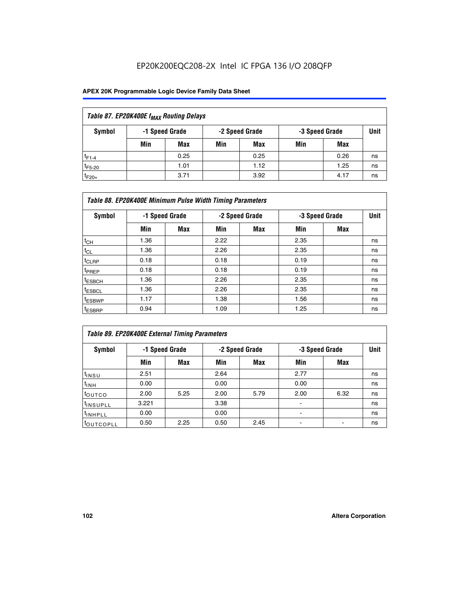| Table 87. EP20K400E f <sub>MAX</sub> Routing Delays |     |                |     |                |     |                |      |  |  |  |
|-----------------------------------------------------|-----|----------------|-----|----------------|-----|----------------|------|--|--|--|
| Symbol                                              |     | -1 Speed Grade |     | -2 Speed Grade |     | -3 Speed Grade | Unit |  |  |  |
|                                                     | Min | <b>Max</b>     | Min | Max            | Min | Max            |      |  |  |  |
| $t_{F1-4}$                                          |     | 0.25           |     | 0.25           |     | 0.26           | ns   |  |  |  |
| $t_{F5-20}$                                         |     | 1.01           |     | 1.12           |     | 1.25           | ns   |  |  |  |
| $t_{F20+}$                                          |     | 3.71           |     | 3.92           |     | 4.17           | ns   |  |  |  |

| Table 88. EP20K400E Minimum Pulse Width Timing Parameters |      |                |      |                |      |                |      |  |  |  |
|-----------------------------------------------------------|------|----------------|------|----------------|------|----------------|------|--|--|--|
| Symbol                                                    |      | -1 Speed Grade |      | -2 Speed Grade |      | -3 Speed Grade | Unit |  |  |  |
|                                                           | Min  | <b>Max</b>     | Min  | <b>Max</b>     | Min  | Max            |      |  |  |  |
| $t_{CH}$                                                  | 1.36 |                | 2.22 |                | 2.35 |                | ns   |  |  |  |
| $t_{\rm CL}$                                              | 1.36 |                | 2.26 |                | 2.35 |                | ns   |  |  |  |
| $t_{CLRP}$                                                | 0.18 |                | 0.18 |                | 0.19 |                | ns   |  |  |  |
| <sup>t</sup> PREP                                         | 0.18 |                | 0.18 |                | 0.19 |                | ns   |  |  |  |
| t <sub>ESBCH</sub>                                        | 1.36 |                | 2.26 |                | 2.35 |                | ns   |  |  |  |
| <sup>t</sup> ESBCL                                        | 1.36 |                | 2.26 |                | 2.35 |                | ns   |  |  |  |
| <sup>t</sup> ESBWP                                        | 1.17 |                | 1.38 |                | 1.56 |                | ns   |  |  |  |
| <sup>t</sup> ESBRP                                        | 0.94 |                | 1.09 |                | 1.25 |                | ns   |  |  |  |

| Table 89. EP20K400E External Timing Parameters |                |      |      |                |                          |                               |    |  |  |  |
|------------------------------------------------|----------------|------|------|----------------|--------------------------|-------------------------------|----|--|--|--|
| Symbol                                         | -1 Speed Grade |      |      | -2 Speed Grade |                          | <b>Unit</b><br>-3 Speed Grade |    |  |  |  |
|                                                | Min            | Max  | Min  | <b>Max</b>     | Min                      | Max                           |    |  |  |  |
| $t_{INSU}$                                     | 2.51           |      | 2.64 |                | 2.77                     |                               | ns |  |  |  |
| $t_{INH}$                                      | 0.00           |      | 0.00 |                | 0.00                     |                               | ns |  |  |  |
| toutco                                         | 2.00           | 5.25 | 2.00 | 5.79           | 2.00                     | 6.32                          | ns |  |  |  |
| <sup>t</sup> INSUPLL                           | 3.221          |      | 3.38 |                | ۰                        |                               | ns |  |  |  |
| I <sup>t</sup> INHPLL                          | 0.00           |      | 0.00 |                | $\overline{\phantom{0}}$ |                               | ns |  |  |  |
| toutcopll                                      | 0.50           | 2.25 | 0.50 | 2.45           |                          |                               | ns |  |  |  |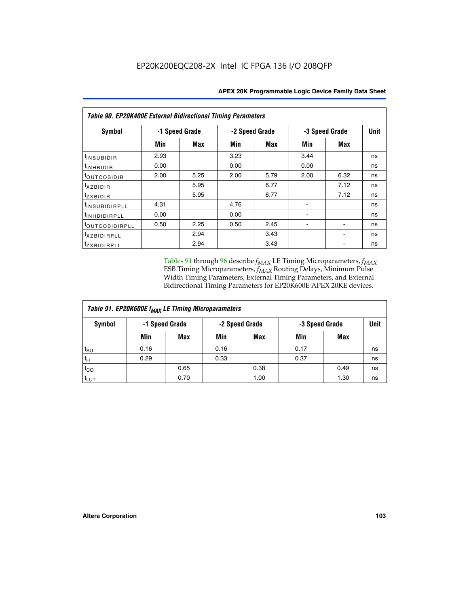| <b>Table 90. EP20K400E External Bidirectional Timing Parameters</b> |                |            |                |            |      |                |             |  |  |
|---------------------------------------------------------------------|----------------|------------|----------------|------------|------|----------------|-------------|--|--|
| Symbol                                                              | -1 Speed Grade |            | -2 Speed Grade |            |      | -3 Speed Grade | <b>Unit</b> |  |  |
|                                                                     | Min            | <b>Max</b> | Min            | <b>Max</b> | Min  | <b>Max</b>     |             |  |  |
| tinsubidir                                                          | 2.93           |            | 3.23           |            | 3.44 |                | ns          |  |  |
| $t_{INHBIDIR}$                                                      | 0.00           |            | 0.00           |            | 0.00 |                | ns          |  |  |
| <b>toutcobidir</b>                                                  | 2.00           | 5.25       | 2.00           | 5.79       | 2.00 | 6.32           | ns          |  |  |
| <i>txzbidir</i>                                                     |                | 5.95       |                | 6.77       |      | 7.12           | ns          |  |  |
| tzxbidir                                                            |                | 5.95       |                | 6.77       |      | 7.12           | ns          |  |  |
| <sup>t</sup> INSUBIDIRPLL                                           | 4.31           |            | 4.76           |            |      |                | ns          |  |  |
| t <sub>INHBIDIRPLL</sub>                                            | 0.00           |            | 0.00           |            |      |                | ns          |  |  |
| <sup>t</sup> OUTCOBIDIRPLL                                          | 0.50           | 2.25       | 0.50           | 2.45       |      |                | ns          |  |  |
| txzBIDIRPLL                                                         |                | 2.94       |                | 3.43       |      |                | ns          |  |  |
| tzxBIDIRPLL                                                         |                | 2.94       |                | 3.43       |      |                | ns          |  |  |

Tables 91 through 96 describe  $f_{MAX}$  LE Timing Microparameters,  $f_{MAX}$ ESB Timing Microparameters, *f<sub>MAX</sub>* Routing Delays, Minimum Pulse Width Timing Parameters, External Timing Parameters, and External Bidirectional Timing Parameters for EP20K600E APEX 20KE devices.

| Table 91. EP20K600E f <sub>MAX</sub> LE Timing Microparameters |      |                |      |                |                |      |      |  |  |
|----------------------------------------------------------------|------|----------------|------|----------------|----------------|------|------|--|--|
| Symbol                                                         |      | -1 Speed Grade |      | -2 Speed Grade | -3 Speed Grade |      | Unit |  |  |
|                                                                | Min  | <b>Max</b>     | Min  | <b>Max</b>     | Min            | Max  |      |  |  |
| $t_{\text{SU}}$                                                | 0.16 |                | 0.16 |                | 0.17           |      | ns   |  |  |
| $t_H$                                                          | 0.29 |                | 0.33 |                | 0.37           |      | ns   |  |  |
| $t_{CO}$                                                       |      | 0.65           |      | 0.38           |                | 0.49 | ns   |  |  |
| $t_{LUT}$                                                      |      | 0.70           |      | 1.00           |                | 1.30 | ns   |  |  |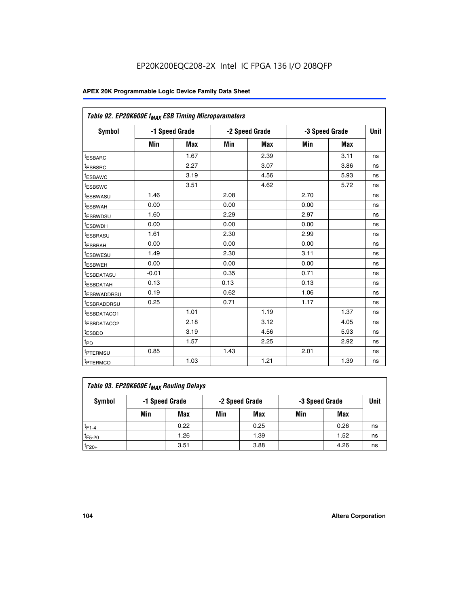| Table 92. EP20K600E f <sub>MAX</sub> ESB Timing Microparameters |         |                |      |                |      |                |             |
|-----------------------------------------------------------------|---------|----------------|------|----------------|------|----------------|-------------|
| <b>Symbol</b>                                                   |         | -1 Speed Grade |      | -2 Speed Grade |      | -3 Speed Grade | <b>Unit</b> |
|                                                                 | Min     | <b>Max</b>     | Min  | <b>Max</b>     | Min  | <b>Max</b>     |             |
| t <sub>ESBARC</sub>                                             |         | 1.67           |      | 2.39           |      | 3.11           | ns          |
| t <sub>ESBSRC</sub>                                             |         | 2.27           |      | 3.07           |      | 3.86           | ns          |
| <sup>t</sup> ESBAWC                                             |         | 3.19           |      | 4.56           |      | 5.93           | ns          |
| t <sub>ESBSWC</sub>                                             |         | 3.51           |      | 4.62           |      | 5.72           | ns          |
| <sup>t</sup> ESBWASU                                            | 1.46    |                | 2.08 |                | 2.70 |                | ns          |
| t <sub>ESBWAH</sub>                                             | 0.00    |                | 0.00 |                | 0.00 |                | ns          |
| t <sub>ESBWDSU</sub>                                            | 1.60    |                | 2.29 |                | 2.97 |                | ns          |
| <sup>t</sup> ESBWDH                                             | 0.00    |                | 0.00 |                | 0.00 |                | ns          |
| <sup>t</sup> ESBRASU                                            | 1.61    |                | 2.30 |                | 2.99 |                | ns          |
| t <sub>ESBRAH</sub>                                             | 0.00    |                | 0.00 |                | 0.00 |                | ns          |
| t <sub>ESBWESU</sub>                                            | 1.49    |                | 2.30 |                | 3.11 |                | ns          |
| <sup>t</sup> ESBWEH                                             | 0.00    |                | 0.00 |                | 0.00 |                | ns          |
| <sup>t</sup> ESBDATASU                                          | $-0.01$ |                | 0.35 |                | 0.71 |                | ns          |
| <sup>t</sup> ESBDATAH                                           | 0.13    |                | 0.13 |                | 0.13 |                | ns          |
| <sup>t</sup> ESBWADDRSU                                         | 0.19    |                | 0.62 |                | 1.06 |                | ns          |
| <sup>t</sup> ESBRADDRSU                                         | 0.25    |                | 0.71 |                | 1.17 |                | ns          |
| <sup>I</sup> ESBDATACO1                                         |         | 1.01           |      | 1.19           |      | 1.37           | ns          |
| <sup>t</sup> ESBDATACO2                                         |         | 2.18           |      | 3.12           |      | 4.05           | ns          |
| <sup>t</sup> ESBDD                                              |         | 3.19           |      | 4.56           |      | 5.93           | ns          |
| t <sub>PD</sub>                                                 |         | 1.57           |      | 2.25           |      | 2.92           | ns          |
| t <sub>PTERMSU</sub>                                            | 0.85    |                | 1.43 |                | 2.01 |                | ns          |
| t <sub>PTERMCO</sub>                                            |         | 1.03           |      | 1.21           |      | 1.39           | ns          |

| Table 93. EP20K600E f <sub>MAX</sub> Routing Delays |     |                |     |                |     |                |      |  |  |
|-----------------------------------------------------|-----|----------------|-----|----------------|-----|----------------|------|--|--|
| Symbol                                              |     | -1 Speed Grade |     | -2 Speed Grade |     | -3 Speed Grade | Unit |  |  |
|                                                     | Min | Max            | Min | Max            | Min | Max            |      |  |  |
| $t_{F1-4}$                                          |     | 0.22           |     | 0.25           |     | 0.26           | ns   |  |  |
| $t_{F5-20}$                                         |     | 1.26           |     | 1.39           |     | 1.52           | ns   |  |  |
| $t_{F20+}$                                          |     | 3.51           |     | 3.88           |     | 4.26           | ns   |  |  |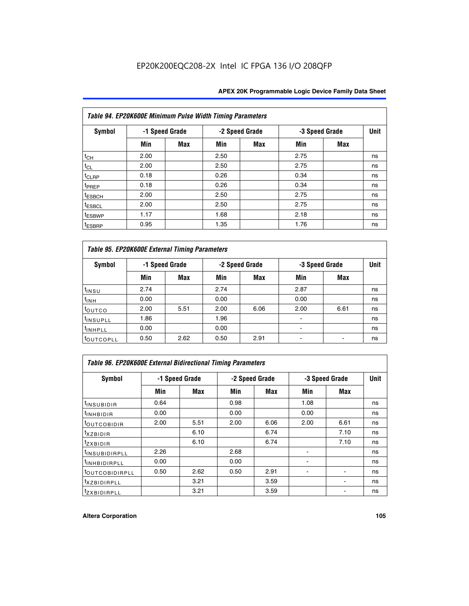| Table 94. EP20K600E Minimum Pulse Width Timing Parameters |      |                |      |                |      |                |    |  |  |  |
|-----------------------------------------------------------|------|----------------|------|----------------|------|----------------|----|--|--|--|
| Symbol                                                    |      | -1 Speed Grade |      | -2 Speed Grade |      | -3 Speed Grade |    |  |  |  |
|                                                           | Min  | <b>Max</b>     | Min  | Max            | Min  | Max            |    |  |  |  |
| $t_{CH}$                                                  | 2.00 |                | 2.50 |                | 2.75 |                | ns |  |  |  |
| $t_{CL}$                                                  | 2.00 |                | 2.50 |                | 2.75 |                | ns |  |  |  |
| $t_{CLRP}$                                                | 0.18 |                | 0.26 |                | 0.34 |                | ns |  |  |  |
| t <sub>PREP</sub>                                         | 0.18 |                | 0.26 |                | 0.34 |                | ns |  |  |  |
| <sup>t</sup> ESBCH                                        | 2.00 |                | 2.50 |                | 2.75 |                | ns |  |  |  |
| <sup>t</sup> ESBCL                                        | 2.00 |                | 2.50 |                | 2.75 |                | ns |  |  |  |
| <sup>t</sup> ESBWP                                        | 1.17 |                | 1.68 |                | 2.18 |                | ns |  |  |  |
| <sup>t</sup> ESBRP                                        | 0.95 |                | 1.35 |                | 1.76 |                | ns |  |  |  |

| Table 95. EP20K600E External Timing Parameters |                |      |      |                |                          |      |    |  |  |
|------------------------------------------------|----------------|------|------|----------------|--------------------------|------|----|--|--|
| Symbol                                         | -1 Speed Grade |      |      | -2 Speed Grade | -3 Speed Grade           | Unit |    |  |  |
|                                                | Min            | Max  | Min  | Max            | Min                      | Max  |    |  |  |
| t <sub>insu</sub>                              | 2.74           |      | 2.74 |                | 2.87                     |      | ns |  |  |
| $t_{INH}$                                      | 0.00           |      | 0.00 |                | 0.00                     |      | ns |  |  |
| toutco                                         | 2.00           | 5.51 | 2.00 | 6.06           | 2.00                     | 6.61 | ns |  |  |
| <sup>t</sup> INSUPLL                           | 1.86           |      | 1.96 |                |                          |      | ns |  |  |
| <sup>t</sup> INHPLL                            | 0.00           |      | 0.00 |                | $\overline{\phantom{a}}$ |      | ns |  |  |
| <b>LOUTCOPLL</b>                               | 0.50           | 2.62 | 0.50 | 2.91           |                          |      | ns |  |  |

| Table 96. EP20K600E External Bidirectional Timing Parameters |                |      |      |                |                |             |    |  |  |
|--------------------------------------------------------------|----------------|------|------|----------------|----------------|-------------|----|--|--|
| Symbol                                                       | -1 Speed Grade |      |      | -2 Speed Grade | -3 Speed Grade | <b>Unit</b> |    |  |  |
|                                                              | Min            | Max  | Min  | Max            | Min            | <b>Max</b>  |    |  |  |
| <sup>t</sup> INSUBIDIR                                       | 0.64           |      | 0.98 |                | 1.08           |             | ns |  |  |
| $t_{\text{INHBIDIR}}$                                        | 0.00           |      | 0.00 |                | 0.00           |             | ns |  |  |
| <sup>t</sup> OUTCOBIDIR                                      | 2.00           | 5.51 | 2.00 | 6.06           | 2.00           | 6.61        | ns |  |  |
| $t_{XZBIDIR}$                                                |                | 6.10 |      | 6.74           |                | 7.10        | ns |  |  |
| $t_{ZXBIDIR}$                                                |                | 6.10 |      | 6.74           |                | 7.10        | ns |  |  |
| <sup>t</sup> INSUBIDIRPLL                                    | 2.26           |      | 2.68 |                |                |             | ns |  |  |
| <sup>t</sup> INHBIDIRPLL                                     | 0.00           |      | 0.00 |                |                |             | ns |  |  |
| <b><i>LOUTCOBIDIRPLL</i></b>                                 | 0.50           | 2.62 | 0.50 | 2.91           |                |             | ns |  |  |
| <sup>t</sup> xzbidirpll                                      |                | 3.21 |      | 3.59           |                |             | ns |  |  |
| <i>t</i> zxbidirpll                                          |                | 3.21 |      | 3.59           |                | ٠           | ns |  |  |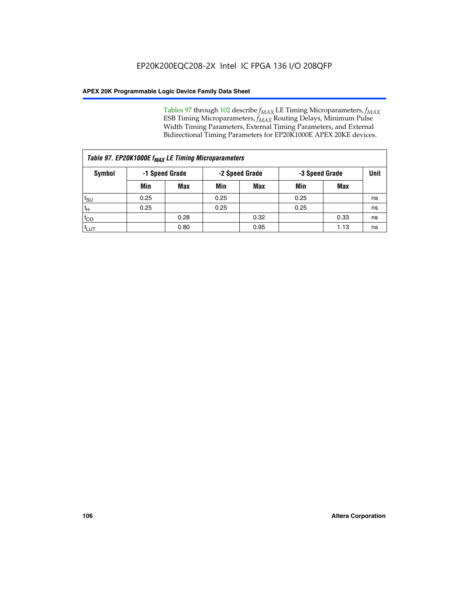Tables 97 through 102 describe  $f_{MAX}$  LE Timing Microparameters,  $f_{MAX}$ ESB Timing Microparameters, *f<sub>MAX</sub>* Routing Delays, Minimum Pulse Width Timing Parameters, External Timing Parameters, and External Bidirectional Timing Parameters for EP20K1000E APEX 20KE devices.

| Table 97. EP20K1000E f <sub>MAX</sub> LE Timing Microparameters |                |            |                |            |                |      |      |  |  |
|-----------------------------------------------------------------|----------------|------------|----------------|------------|----------------|------|------|--|--|
| Symbol                                                          | -1 Speed Grade |            | -2 Speed Grade |            | -3 Speed Grade |      | Unit |  |  |
|                                                                 | Min            | <b>Max</b> | Min            | <b>Max</b> | Min            | Max  |      |  |  |
| $t_{\text{SU}}$                                                 | 0.25           |            | 0.25           |            | 0.25           |      | ns   |  |  |
| $t_H$                                                           | 0.25           |            | 0.25           |            | 0.25           |      | ns   |  |  |
| $t_{CO}$                                                        |                | 0.28       |                | 0.32       |                | 0.33 | ns   |  |  |
| ι <sup>t</sup> ιυτ                                              |                | 0.80       |                | 0.95       |                | 1.13 | ns   |  |  |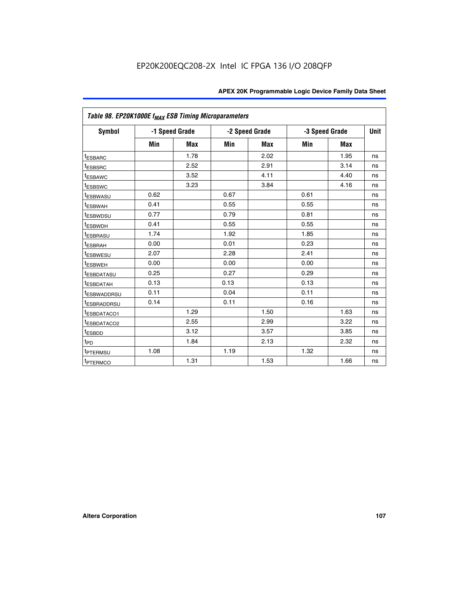|                         | Table 98. EP20K1000E f <sub>MAX</sub> ESB Timing Microparameters |                |      |                |                |            |             |  |  |  |  |
|-------------------------|------------------------------------------------------------------|----------------|------|----------------|----------------|------------|-------------|--|--|--|--|
| Symbol                  |                                                                  | -1 Speed Grade |      | -2 Speed Grade | -3 Speed Grade |            | <b>Unit</b> |  |  |  |  |
|                         | Min                                                              | <b>Max</b>     | Min  | Max            | Min            | <b>Max</b> |             |  |  |  |  |
| <sup>t</sup> ESBARC     |                                                                  | 1.78           |      | 2.02           |                | 1.95       | ns          |  |  |  |  |
| <sup>t</sup> ESBSRC     |                                                                  | 2.52           |      | 2.91           |                | 3.14       | ns          |  |  |  |  |
| t <sub>ESBAWC</sub>     |                                                                  | 3.52           |      | 4.11           |                | 4.40       | ns          |  |  |  |  |
| <sup>t</sup> ESBSWC     |                                                                  | 3.23           |      | 3.84           |                | 4.16       | ns          |  |  |  |  |
| <sup>t</sup> ESBWASU    | 0.62                                                             |                | 0.67 |                | 0.61           |            | ns          |  |  |  |  |
| t <sub>ESBWAH</sub>     | 0.41                                                             |                | 0.55 |                | 0.55           |            | ns          |  |  |  |  |
| <sup>t</sup> ESBWDSU    | 0.77                                                             |                | 0.79 |                | 0.81           |            | ns          |  |  |  |  |
| t <sub>ESBWDH</sub>     | 0.41                                                             |                | 0.55 |                | 0.55           |            | ns          |  |  |  |  |
| t <sub>ESBRASU</sub>    | 1.74                                                             |                | 1.92 |                | 1.85           |            | ns          |  |  |  |  |
| t <sub>ESBRAH</sub>     | 0.00                                                             |                | 0.01 |                | 0.23           |            | ns          |  |  |  |  |
| <sup>t</sup> ESBWESU    | 2.07                                                             |                | 2.28 |                | 2.41           |            | ns          |  |  |  |  |
| t <sub>ESBWEH</sub>     | 0.00                                                             |                | 0.00 |                | 0.00           |            | ns          |  |  |  |  |
| <sup>I</sup> ESBDATASU  | 0.25                                                             |                | 0.27 |                | 0.29           |            | ns          |  |  |  |  |
| <b>ESBDATAH</b>         | 0.13                                                             |                | 0.13 |                | 0.13           |            | ns          |  |  |  |  |
| <sup>T</sup> ESBWADDRSU | 0.11                                                             |                | 0.04 |                | 0.11           |            | ns          |  |  |  |  |
| <sup>T</sup> ESBRADDRSU | 0.14                                                             |                | 0.11 |                | 0.16           |            | ns          |  |  |  |  |
| <sup>t</sup> ESBDATACO1 |                                                                  | 1.29           |      | 1.50           |                | 1.63       | ns          |  |  |  |  |
| <sup>t</sup> ESBDATACO2 |                                                                  | 2.55           |      | 2.99           |                | 3.22       | ns          |  |  |  |  |
| <sup>t</sup> ESBDD      |                                                                  | 3.12           |      | 3.57           |                | 3.85       | ns          |  |  |  |  |
| $t_{P\underline{D}}$    |                                                                  | 1.84           |      | 2.13           |                | 2.32       | ns          |  |  |  |  |
| t <sub>PTERMSU</sub>    | 1.08                                                             |                | 1.19 |                | 1.32           |            | ns          |  |  |  |  |
| <sup>t</sup> PTERMCO    |                                                                  | 1.31           |      | 1.53           |                | 1.66       | ns          |  |  |  |  |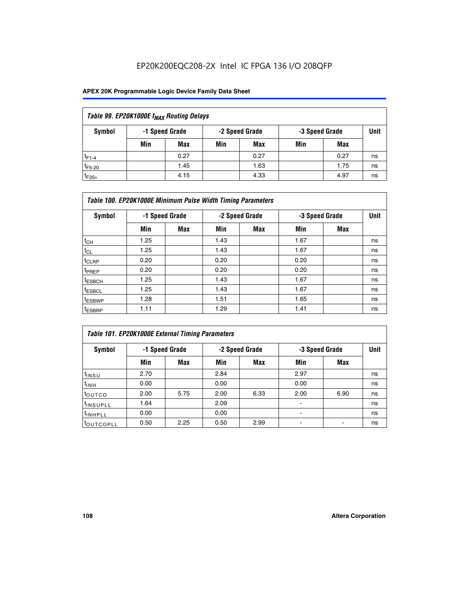### EP20K200EQC208-2X Intel IC FPGA 136 I/O 208QFP

### **APEX 20K Programmable Logic Device Family Data Sheet**

| Table 99. EP20K1000E f <sub>MAX</sub> Routing Delays |                |            |     |                |     |                |    |  |  |  |  |
|------------------------------------------------------|----------------|------------|-----|----------------|-----|----------------|----|--|--|--|--|
| Symbol                                               | -1 Speed Grade |            |     | -2 Speed Grade |     | -3 Speed Grade |    |  |  |  |  |
|                                                      | Min            | <b>Max</b> | Min | Max            | Min | Max            |    |  |  |  |  |
| $t_{F1-4}$                                           |                | 0.27       |     | 0.27           |     | 0.27           | ns |  |  |  |  |
| $t_{F5-20}$                                          |                | 1.45       |     | 1.63           |     | 1.75           | ns |  |  |  |  |
| $t_{F20+}$                                           |                | 4.15       |     | 4.33           |     | 4.97           | ns |  |  |  |  |

|                    | Table 100. EP20K1000E Minimum Pulse Width Timing Parameters |            |      |                |      |                |    |  |  |  |  |  |
|--------------------|-------------------------------------------------------------|------------|------|----------------|------|----------------|----|--|--|--|--|--|
| Symbol             | -1 Speed Grade                                              |            |      | -2 Speed Grade |      | -3 Speed Grade |    |  |  |  |  |  |
|                    | Min                                                         | <b>Max</b> | Min  | Max            | Min  | Max            |    |  |  |  |  |  |
| $t_{CH}$           | 1.25                                                        |            | 1.43 |                | 1.67 |                | ns |  |  |  |  |  |
| $t_{CL}$           | 1.25                                                        |            | 1.43 |                | 1.67 |                | ns |  |  |  |  |  |
| t <sub>CLRP</sub>  | 0.20                                                        |            | 0.20 |                | 0.20 |                | ns |  |  |  |  |  |
| <sup>t</sup> PREP  | 0.20                                                        |            | 0.20 |                | 0.20 |                | ns |  |  |  |  |  |
| <sup>t</sup> ESBCH | 1.25                                                        |            | 1.43 |                | 1.67 |                | ns |  |  |  |  |  |
| <sup>t</sup> ESBCL | 1.25                                                        |            | 1.43 |                | 1.67 |                | ns |  |  |  |  |  |
| <sup>t</sup> ESBWP | 1.28                                                        |            | 1.51 |                | 1.65 |                | ns |  |  |  |  |  |
| <sup>t</sup> ESBRP | 1.11                                                        |            | 1.29 |                | 1.41 |                | ns |  |  |  |  |  |

|                       | Table 101. EP20K1000E External Timing Parameters |      |      |                |                          |      |             |  |  |  |  |  |
|-----------------------|--------------------------------------------------|------|------|----------------|--------------------------|------|-------------|--|--|--|--|--|
| Symbol                | -1 Speed Grade                                   |      |      | -2 Speed Grade | -3 Speed Grade           |      | <b>Unit</b> |  |  |  |  |  |
|                       | Min                                              | Max  | Min  | <b>Max</b>     | Min                      | Max  |             |  |  |  |  |  |
| t <sub>INSU</sub>     | 2.70                                             |      | 2.84 |                | 2.97                     |      | ns          |  |  |  |  |  |
| $t_{INH}$             | 0.00                                             |      | 0.00 |                | 0.00                     |      | ns          |  |  |  |  |  |
| toutco                | 2.00                                             | 5.75 | 2.00 | 6.33           | 2.00                     | 6.90 | ns          |  |  |  |  |  |
| <sup>t</sup> INSUPLL  | 1.64                                             |      | 2.09 |                | ٠                        |      | ns          |  |  |  |  |  |
| I <sup>t</sup> INHPLL | 0.00                                             |      | 0.00 |                | $\overline{\phantom{a}}$ |      | ns          |  |  |  |  |  |
| toutcopll             | 0.50                                             | 2.25 | 0.50 | 2.99           | -                        |      | ns          |  |  |  |  |  |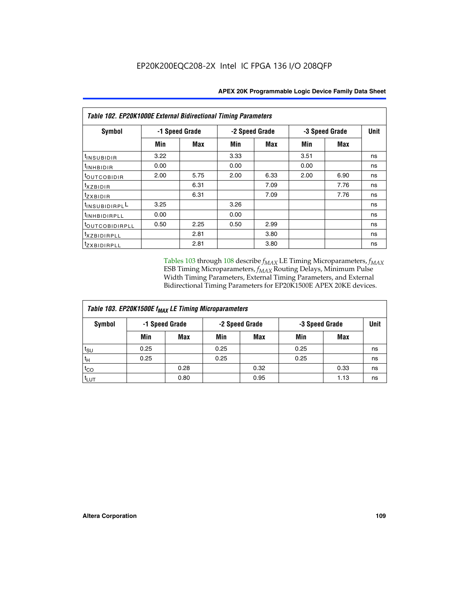| Table 102. EP20K1000E External Bidirectional Timing Parameters |                |      |                |      |                |            |             |  |  |  |
|----------------------------------------------------------------|----------------|------|----------------|------|----------------|------------|-------------|--|--|--|
| Symbol                                                         | -1 Speed Grade |      | -2 Speed Grade |      | -3 Speed Grade |            | <b>Unit</b> |  |  |  |
|                                                                | Min            | Max  | Min            | Max  | Min            | <b>Max</b> |             |  |  |  |
| tINSUBIDIR                                                     | 3.22           |      | 3.33           |      | 3.51           |            | ns          |  |  |  |
| t <sub>INHBIDIR</sub>                                          | 0.00           |      | 0.00           |      | 0.00           |            | ns          |  |  |  |
| t <sub>outcobidir</sub>                                        | 2.00           | 5.75 | 2.00           | 6.33 | 2.00           | 6.90       | ns          |  |  |  |
| <i>txzbidir</i>                                                |                | 6.31 |                | 7.09 |                | 7.76       | ns          |  |  |  |
| tzxbidir                                                       |                | 6.31 |                | 7.09 |                | 7.76       | ns          |  |  |  |
| tINSUBIDIRPLL                                                  | 3.25           |      | 3.26           |      |                |            | ns          |  |  |  |
| t <sub>INHBIDIRPLL</sub>                                       | 0.00           |      | 0.00           |      |                |            | ns          |  |  |  |
| <sup>t</sup> OUTCOBIDIRPLL                                     | 0.50           | 2.25 | 0.50           | 2.99 |                |            | ns          |  |  |  |
| <i>txzBIDIRPLL</i>                                             |                | 2.81 |                | 3.80 |                |            | ns          |  |  |  |
| tzxBIDIRPLL                                                    |                | 2.81 |                | 3.80 |                |            | ns          |  |  |  |

Tables 103 through 108 describe  $f_{MAX}$  LE Timing Microparameters,  $f_{MAX}$ ESB Timing Microparameters, *f<sub>MAX</sub>* Routing Delays, Minimum Pulse Width Timing Parameters, External Timing Parameters, and External Bidirectional Timing Parameters for EP20K1500E APEX 20KE devices.

| Table 103. EP20K1500E f <sub>MAX</sub> LE Timing Microparameters |                |            |                |            |                |      |             |  |  |  |
|------------------------------------------------------------------|----------------|------------|----------------|------------|----------------|------|-------------|--|--|--|
| Symbol                                                           | -1 Speed Grade |            | -2 Speed Grade |            | -3 Speed Grade |      | <b>Unit</b> |  |  |  |
|                                                                  | Min            | <b>Max</b> | Min            | <b>Max</b> | Min            | Max  |             |  |  |  |
| $t_{\text{SU}}$                                                  | 0.25           |            | 0.25           |            | 0.25           |      | ns          |  |  |  |
| $t_H$                                                            | 0.25           |            | 0.25           |            | 0.25           |      | ns          |  |  |  |
| $t_{CO}$                                                         |                | 0.28       |                | 0.32       |                | 0.33 | ns          |  |  |  |
| t <sub>lut</sub>                                                 |                | 0.80       |                | 0.95       |                | 1.13 | ns          |  |  |  |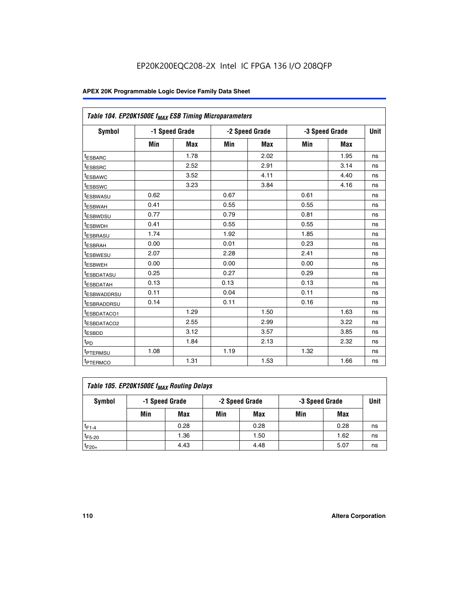| Table 104. EP20K1500E f <sub>MAX</sub> ESB Timing Microparameters |      |                |      |                |      |                |             |
|-------------------------------------------------------------------|------|----------------|------|----------------|------|----------------|-------------|
| <b>Symbol</b>                                                     |      | -1 Speed Grade |      | -2 Speed Grade |      | -3 Speed Grade | <b>Unit</b> |
|                                                                   | Min  | <b>Max</b>     | Min  | <b>Max</b>     | Min  | <b>Max</b>     |             |
| t <sub>ESBARC</sub>                                               |      | 1.78           |      | 2.02           |      | 1.95           | ns          |
| t <sub>ESBSRC</sub>                                               |      | 2.52           |      | 2.91           |      | 3.14           | ns          |
| <sup>t</sup> ESBAWC                                               |      | 3.52           |      | 4.11           |      | 4.40           | ns          |
| t <sub>ESBSWC</sub>                                               |      | 3.23           |      | 3.84           |      | 4.16           | ns          |
| <sup>t</sup> ESBWASU                                              | 0.62 |                | 0.67 |                | 0.61 |                | ns          |
| t <sub>ESBWAH</sub>                                               | 0.41 |                | 0.55 |                | 0.55 |                | ns          |
| t <sub>ESBWDSU</sub>                                              | 0.77 |                | 0.79 |                | 0.81 |                | ns          |
| t <sub>ESBWDH</sub>                                               | 0.41 |                | 0.55 |                | 0.55 |                | ns          |
| <sup>t</sup> ESBRASU                                              | 1.74 |                | 1.92 |                | 1.85 |                | ns          |
| <sup>t</sup> ESBRAH                                               | 0.00 |                | 0.01 |                | 0.23 |                | ns          |
| <sup>t</sup> ESBWESU                                              | 2.07 |                | 2.28 |                | 2.41 |                | ns          |
| t <sub>ESBWEH</sub>                                               | 0.00 |                | 0.00 |                | 0.00 |                | ns          |
| t <sub>ESBDATASU</sub>                                            | 0.25 |                | 0.27 |                | 0.29 |                | ns          |
| <sup>t</sup> ESBDATAH                                             | 0.13 |                | 0.13 |                | 0.13 |                | ns          |
| <sup>t</sup> ESBWADDRSU                                           | 0.11 |                | 0.04 |                | 0.11 |                | ns          |
| <sup>t</sup> ESBRADDRSU                                           | 0.14 |                | 0.11 |                | 0.16 |                | ns          |
| t <sub>ESBDATACO1</sub>                                           |      | 1.29           |      | 1.50           |      | 1.63           | ns          |
| <sup>t</sup> ESBDATACO2                                           |      | 2.55           |      | 2.99           |      | 3.22           | ns          |
| <sup>t</sup> ESBDD                                                |      | 3.12           |      | 3.57           |      | 3.85           | ns          |
| t <sub>PD</sub>                                                   |      | 1.84           |      | 2.13           |      | 2.32           | ns          |
| <sup>t</sup> PTERMSU                                              | 1.08 |                | 1.19 |                | 1.32 |                | ns          |
| t <sub>PTERMCO</sub>                                              |      | 1.31           |      | 1.53           |      | 1.66           | ns          |

| Table 105. EP20K1500E f <sub>MAX</sub> Routing Delays |                |      |                |      |                |      |             |  |  |  |
|-------------------------------------------------------|----------------|------|----------------|------|----------------|------|-------------|--|--|--|
| Symbol                                                | -1 Speed Grade |      | -2 Speed Grade |      | -3 Speed Grade |      | <b>Unit</b> |  |  |  |
|                                                       | Min            | Max  | Min            | Max  | Min            | Max  |             |  |  |  |
| $t_{F1-4}$                                            |                | 0.28 |                | 0.28 |                | 0.28 | ns          |  |  |  |
| $t_{F5-20}$                                           |                | 1.36 |                | 1.50 |                | 1.62 | ns          |  |  |  |
| $t_{F20+}$                                            |                | 4.43 |                | 4.48 |                | 5.07 | ns          |  |  |  |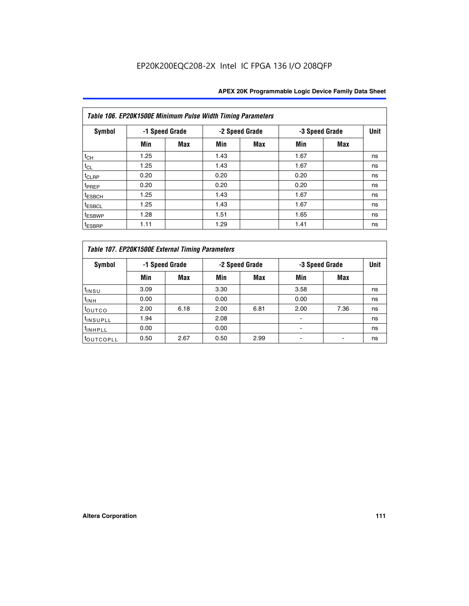|                    | Table 106. EP20K1500E Minimum Pulse Width Timing Parameters |                |      |                |      |                |             |  |  |  |  |  |
|--------------------|-------------------------------------------------------------|----------------|------|----------------|------|----------------|-------------|--|--|--|--|--|
| Symbol             |                                                             | -1 Speed Grade |      | -2 Speed Grade |      | -3 Speed Grade | <b>Unit</b> |  |  |  |  |  |
|                    | Min                                                         | <b>Max</b>     | Min  | Max            | Min  | <b>Max</b>     |             |  |  |  |  |  |
| $t_{CH}$           | 1.25                                                        |                | 1.43 |                | 1.67 |                | ns          |  |  |  |  |  |
| $t_{CL}$           | 1.25                                                        |                | 1.43 |                | 1.67 |                | ns          |  |  |  |  |  |
| t <sub>CLRP</sub>  | 0.20                                                        |                | 0.20 |                | 0.20 |                | ns          |  |  |  |  |  |
| <sup>t</sup> PREP  | 0.20                                                        |                | 0.20 |                | 0.20 |                | ns          |  |  |  |  |  |
| <sup>t</sup> ESBCH | 1.25                                                        |                | 1.43 |                | 1.67 |                | ns          |  |  |  |  |  |
| <sup>t</sup> ESBCL | 1.25                                                        |                | 1.43 |                | 1.67 |                | ns          |  |  |  |  |  |
| <sup>t</sup> ESBWP | 1.28                                                        |                | 1.51 |                | 1.65 |                | ns          |  |  |  |  |  |
| <sup>t</sup> ESBRP | 1.11                                                        |                | 1.29 |                | 1.41 |                | ns          |  |  |  |  |  |

|                      | Table 107. EP20K1500E External Timing Parameters |                |      |                |      |                |    |  |  |  |  |
|----------------------|--------------------------------------------------|----------------|------|----------------|------|----------------|----|--|--|--|--|
| Symbol               |                                                  | -1 Speed Grade |      | -2 Speed Grade |      | -3 Speed Grade |    |  |  |  |  |
|                      | Min                                              | Max            | Min  | <b>Max</b>     | Min  | <b>Max</b>     |    |  |  |  |  |
| t <sub>insu</sub>    | 3.09                                             |                | 3.30 |                | 3.58 |                | ns |  |  |  |  |
| $t_{INH}$            | 0.00                                             |                | 0.00 |                | 0.00 |                | ns |  |  |  |  |
| toutco               | 2.00                                             | 6.18           | 2.00 | 6.81           | 2.00 | 7.36           | ns |  |  |  |  |
| <sup>t</sup> INSUPLL | 1.94                                             |                | 2.08 |                |      |                | ns |  |  |  |  |
| <sup>t</sup> INHPLL  | 0.00                                             |                | 0.00 |                |      |                | ns |  |  |  |  |
| <b>LOUTCOPLL</b>     | 0.50                                             | 2.67           | 0.50 | 2.99           |      |                | ns |  |  |  |  |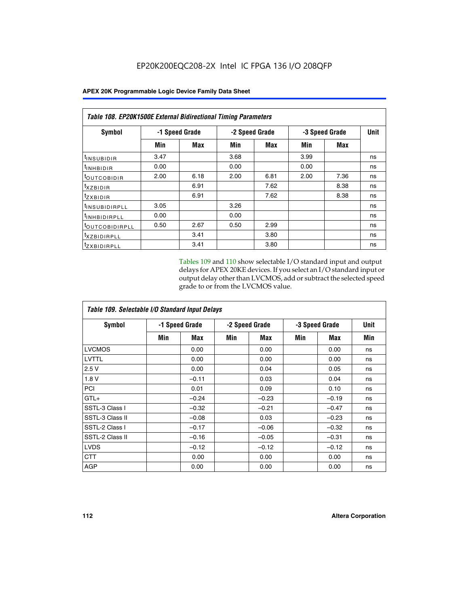| Table 108. EP20K1500E External Bidirectional Timing Parameters |      |                |                |      |                |      |             |  |  |  |
|----------------------------------------------------------------|------|----------------|----------------|------|----------------|------|-------------|--|--|--|
| Symbol                                                         |      | -1 Speed Grade | -2 Speed Grade |      | -3 Speed Grade |      | <b>Unit</b> |  |  |  |
|                                                                | Min  | Max            | Min            | Max  | Min            | Max  |             |  |  |  |
| <sup>t</sup> INSUBIDIR                                         | 3.47 |                | 3.68           |      | 3.99           |      | ns          |  |  |  |
| <sup>t</sup> INHBIDIR                                          | 0.00 |                | 0.00           |      | 0.00           |      | ns          |  |  |  |
| <sup>t</sup> OUTCOBIDIR                                        | 2.00 | 6.18           | 2.00           | 6.81 | 2.00           | 7.36 | ns          |  |  |  |
| txzBIDIR                                                       |      | 6.91           |                | 7.62 |                | 8.38 | ns          |  |  |  |
| $t_{Z}$ <i>x</i> BIDIR                                         |      | 6.91           |                | 7.62 |                | 8.38 | ns          |  |  |  |
| <sup>t</sup> INSUBIDIRPLL                                      | 3.05 |                | 3.26           |      |                |      | ns          |  |  |  |
| <sup>t</sup> INHBIDIRPLL                                       | 0.00 |                | 0.00           |      |                |      | ns          |  |  |  |
| <sup>t</sup> OUTCOBIDIRPLL                                     | 0.50 | 2.67           | 0.50           | 2.99 |                |      | ns          |  |  |  |
| <sup>t</sup> XZBIDIRPLL                                        |      | 3.41           |                | 3.80 |                |      | ns          |  |  |  |
| <sup>t</sup> zxbidirpll                                        |      | 3.41           |                | 3.80 |                |      | ns          |  |  |  |

Tables 109 and 110 show selectable I/O standard input and output delays for APEX 20KE devices. If you select an I/O standard input or output delay other than LVCMOS, add or subtract the selected speed grade to or from the LVCMOS value.

| Table 109. Selectable I/O Standard Input Delays |     |                |     |                |                |         |             |  |  |  |
|-------------------------------------------------|-----|----------------|-----|----------------|----------------|---------|-------------|--|--|--|
| <b>Symbol</b>                                   |     | -1 Speed Grade |     | -2 Speed Grade | -3 Speed Grade |         | <b>Unit</b> |  |  |  |
|                                                 | Min | Max            | Min | Max            | Min            | Max     | Min         |  |  |  |
| <b>LVCMOS</b>                                   |     | 0.00           |     | 0.00           |                | 0.00    | ns          |  |  |  |
| <b>LVTTL</b>                                    |     | 0.00           |     | 0.00           |                | 0.00    | ns          |  |  |  |
| 2.5V                                            |     | 0.00           |     | 0.04           |                | 0.05    | ns          |  |  |  |
| 1.8V                                            |     | $-0.11$        |     | 0.03           |                | 0.04    | ns          |  |  |  |
| PCI                                             |     | 0.01           |     | 0.09           |                | 0.10    | ns          |  |  |  |
| $GTL+$                                          |     | $-0.24$        |     | $-0.23$        |                | $-0.19$ | ns          |  |  |  |
| SSTL-3 Class I                                  |     | $-0.32$        |     | $-0.21$        |                | $-0.47$ | ns          |  |  |  |
| SSTL-3 Class II                                 |     | $-0.08$        |     | 0.03           |                | $-0.23$ | ns          |  |  |  |
| SSTL-2 Class I                                  |     | $-0.17$        |     | $-0.06$        |                | $-0.32$ | ns          |  |  |  |
| SSTL-2 Class II                                 |     | $-0.16$        |     | $-0.05$        |                | $-0.31$ | ns          |  |  |  |
| <b>LVDS</b>                                     |     | $-0.12$        |     | $-0.12$        |                | $-0.12$ | ns          |  |  |  |
| <b>CTT</b>                                      |     | 0.00           |     | 0.00           |                | 0.00    | ns          |  |  |  |
| <b>AGP</b>                                      |     | 0.00           |     | 0.00           |                | 0.00    | ns          |  |  |  |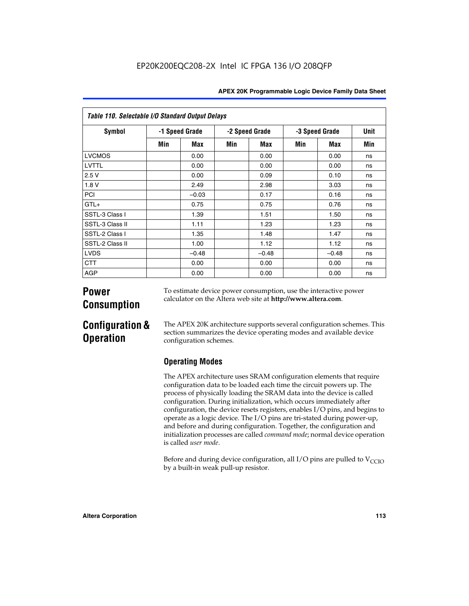|  | <b>APEX 20K Programmable Logic Device Family Data Sheet</b> |  |  |  |
|--|-------------------------------------------------------------|--|--|--|
|--|-------------------------------------------------------------|--|--|--|

| Table 110. Selectable I/O Standard Output Delays |     |                |     |                |     |                |     |  |
|--------------------------------------------------|-----|----------------|-----|----------------|-----|----------------|-----|--|
| Symbol                                           |     | -1 Speed Grade |     | -2 Speed Grade |     | -3 Speed Grade |     |  |
|                                                  | Min | Max            | Min | Max            | Min | Max            | Min |  |
| <b>LVCMOS</b>                                    |     | 0.00           |     | 0.00           |     | 0.00           | ns  |  |
| LVTTL                                            |     | 0.00           |     | 0.00           |     | 0.00           | ns  |  |
| 2.5V                                             |     | 0.00           |     | 0.09           |     | 0.10           | ns  |  |
| 1.8V                                             |     | 2.49           |     | 2.98           |     | 3.03           | ns  |  |
| PCI                                              |     | $-0.03$        |     | 0.17           |     | 0.16           | ns  |  |
| $GTL+$                                           |     | 0.75           |     | 0.75           |     | 0.76           | ns  |  |
| SSTL-3 Class I                                   |     | 1.39           |     | 1.51           |     | 1.50           | ns  |  |
| SSTL-3 Class II                                  |     | 1.11           |     | 1.23           |     | 1.23           | ns  |  |
| SSTL-2 Class I                                   |     | 1.35           |     | 1.48           |     | 1.47           | ns  |  |
| SSTL-2 Class II                                  |     | 1.00           |     | 1.12           |     | 1.12           | ns  |  |
| <b>LVDS</b>                                      |     | $-0.48$        |     | $-0.48$        |     | $-0.48$        | ns  |  |
| <b>CTT</b>                                       |     | 0.00           |     | 0.00           |     | 0.00           | ns  |  |
| <b>AGP</b>                                       |     | 0.00           |     | 0.00           |     | 0.00           | ns  |  |

# **Power Consumption**

To estimate device power consumption, use the interactive power calculator on the Altera web site at **http://www.altera.com**.

# **Configuration & Operation**

The APEX 20K architecture supports several configuration schemes. This section summarizes the device operating modes and available device configuration schemes.

## **Operating Modes**

The APEX architecture uses SRAM configuration elements that require configuration data to be loaded each time the circuit powers up. The process of physically loading the SRAM data into the device is called configuration. During initialization, which occurs immediately after configuration, the device resets registers, enables I/O pins, and begins to operate as a logic device. The I/O pins are tri-stated during power-up, and before and during configuration. Together, the configuration and initialization processes are called *command mode*; normal device operation is called *user mode*.

Before and during device configuration, all I/O pins are pulled to  $V<sub>CCIO</sub>$ by a built-in weak pull-up resistor.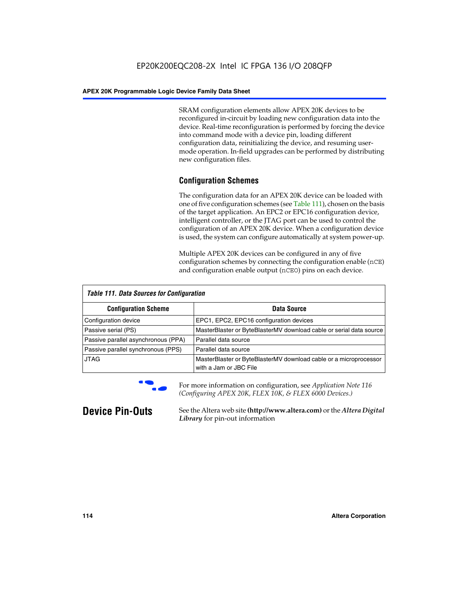SRAM configuration elements allow APEX 20K devices to be reconfigured in-circuit by loading new configuration data into the device. Real-time reconfiguration is performed by forcing the device into command mode with a device pin, loading different configuration data, reinitializing the device, and resuming usermode operation. In-field upgrades can be performed by distributing new configuration files.

### **Configuration Schemes**

The configuration data for an APEX 20K device can be loaded with one of five configuration schemes (see Table 111), chosen on the basis of the target application. An EPC2 or EPC16 configuration device, intelligent controller, or the JTAG port can be used to control the configuration of an APEX 20K device. When a configuration device is used, the system can configure automatically at system power-up.

Multiple APEX 20K devices can be configured in any of five configuration schemes by connecting the configuration enable (nCE) and configuration enable output (nCEO) pins on each device.

| <b>Table 111. Data Sources for Configuration</b> |                                                                                             |  |  |  |  |
|--------------------------------------------------|---------------------------------------------------------------------------------------------|--|--|--|--|
| <b>Configuration Scheme</b>                      | Data Source                                                                                 |  |  |  |  |
| Configuration device                             | EPC1, EPC2, EPC16 configuration devices                                                     |  |  |  |  |
| Passive serial (PS)                              | MasterBlaster or ByteBlasterMV download cable or serial data source                         |  |  |  |  |
| Passive parallel asynchronous (PPA)              | Parallel data source                                                                        |  |  |  |  |
| Passive parallel synchronous (PPS)               | Parallel data source                                                                        |  |  |  |  |
| <b>JTAG</b>                                      | MasterBlaster or ByteBlasterMV download cable or a microprocessor<br>with a Jam or JBC File |  |  |  |  |



**For more information on configuration, see Application Note 116** *(Configuring APEX 20K, FLEX 10K, & FLEX 6000 Devices.)*

**Device Pin-Outs** See the Altera web site **(http://www.altera.com)** or the *Altera Digital Library* for pin-out information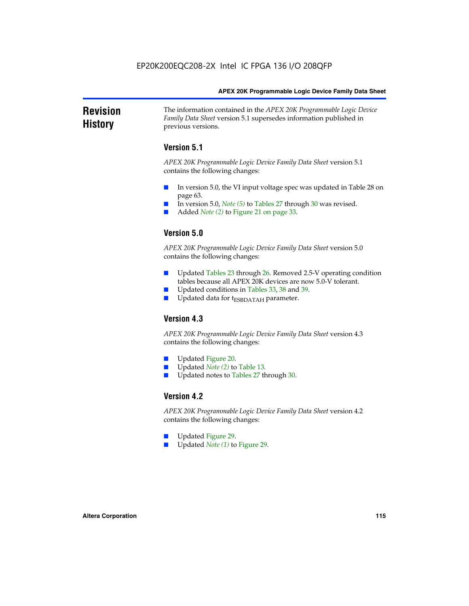#### **Revision History** The information contained in the *APEX 20K Programmable Logic Device Family Data Sheet* version 5.1 supersedes information published in previous versions.

### **Version 5.1**

*APEX 20K Programmable Logic Device Family Data Sheet* version 5.1 contains the following changes:

- In version 5.0, the VI input voltage spec was updated in Table 28 on page 63.
- In version 5.0, *Note* (5) to Tables 27 through 30 was revised.
- Added *Note* (2) to Figure 21 on page 33.

### **Version 5.0**

*APEX 20K Programmable Logic Device Family Data Sheet* version 5.0 contains the following changes:

- Updated Tables 23 through 26. Removed 2.5-V operating condition tables because all APEX 20K devices are now 5.0-V tolerant.
- Updated conditions in Tables 33, 38 and 39.
- Updated data for t<sub>ESBDATAH</sub> parameter.

### **Version 4.3**

*APEX 20K Programmable Logic Device Family Data Sheet* version 4.3 contains the following changes:

- Updated Figure 20.
- Updated *Note (2)* to Table 13.
- Updated notes to Tables 27 through 30.

### **Version 4.2**

*APEX 20K Programmable Logic Device Family Data Sheet* version 4.2 contains the following changes:

- Updated Figure 29.
- Updated *Note (1)* to Figure 29.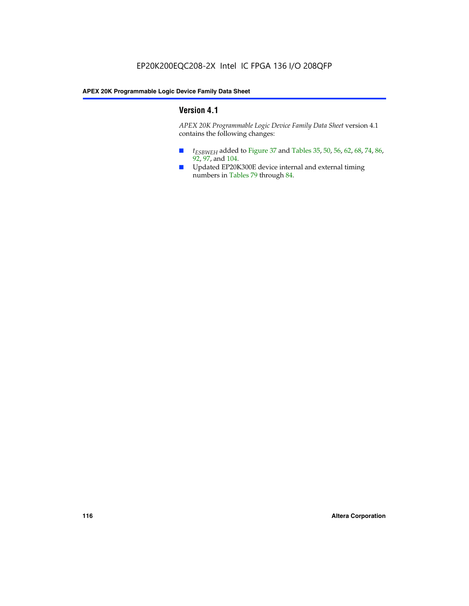### **Version 4.1**

*APEX 20K Programmable Logic Device Family Data Sheet* version 4.1 contains the following changes:

- *t<sub>ESBWEH</sub>* added to Figure 37 and Tables 35, 50, 56, 62, 68, 74, 86, 92, 97, and 104.
- Updated EP20K300E device internal and external timing numbers in Tables 79 through 84.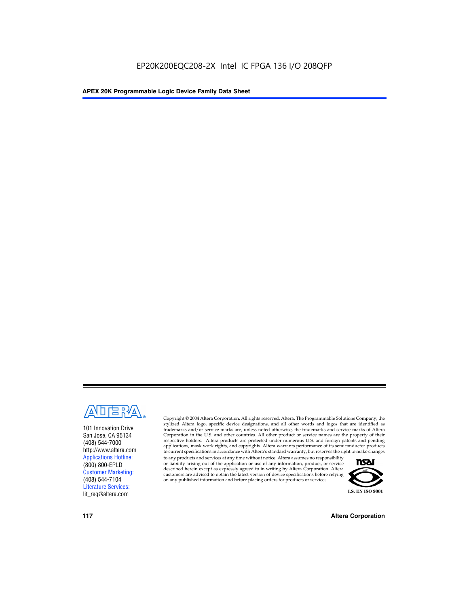

101 Innovation Drive San Jose, CA 95134 (408) 544-7000 http://www.altera.com Applications Hotline: (800) 800-EPLD Customer Marketing: (408) 544-7104 Literature Services: lit\_req@altera.com

Copyright © 2004 Altera Corporation. All rights reserved. Altera, The Programmable Solutions Company, the stylized Altera logo, specific device designations, and all other words and logos that are identified as trademarks and/or service marks are, unless noted otherwise, the trademarks and service marks of Altera Corporation in the U.S. and other countries. All other product or service names are the property of their respective holders. Altera products are protected under numerous U.S. and foreign patents and pending applications, mask work rights, and copyrights. Altera warrants performance of its semiconductor products to current specifications in accordance with Altera's standard warranty, but reserves the right to make changes

to any products and services at any time without notice. Altera assumes no responsibility or liability arising out of the application or use of any information, product, or service described herein except as expressly agreed to in writing by Altera Corporation. Altera customers are advised to obtain the latest version of device specifications before relying on any published information and before placing orders for products or services.



**117 Altera Corporation**